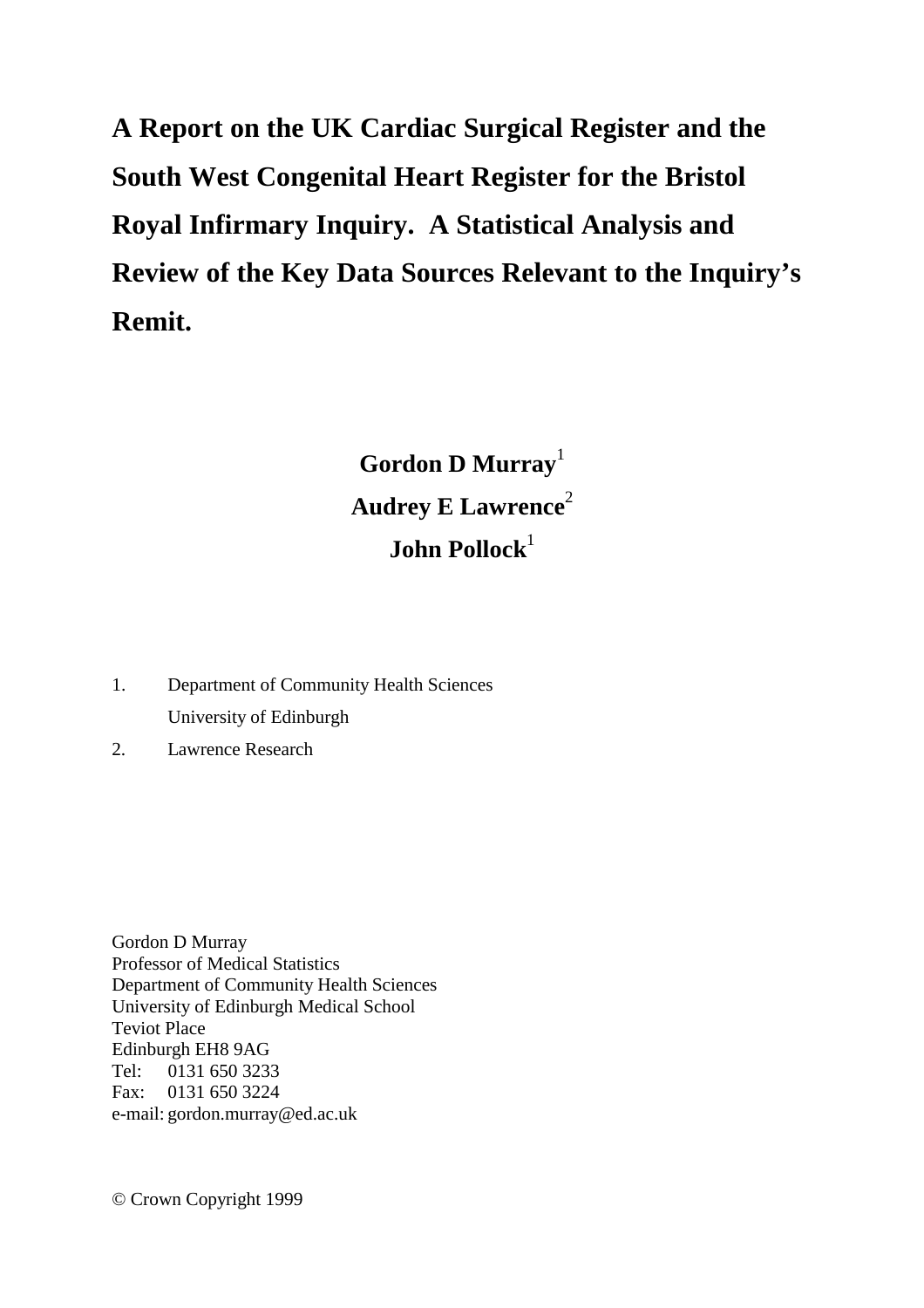**A Report on the UK Cardiac Surgical Register and the South West Congenital Heart Register for the Bristol Royal Infirmary Inquiry. A Statistical Analysis and Review of the Key Data Sources Relevant to the Inquiry's Remit.** 

> **Gordon D Murray**<sup>1</sup> Audrey E Lawrence<sup>2</sup> **John Pollock**<sup>1</sup>

- 1. Department of Community Health Sciences University of Edinburgh
- 2. Lawrence Research

Gordon D Murray Professor of Medical Statistics Department of Community Health Sciences University of Edinburgh Medical School Teviot Place Edinburgh EH8 9AG Tel: 0131 650 3233 Fax: 0131 650 3224 e-mail: gordon.murray@ed.ac.uk

© Crown Copyright 1999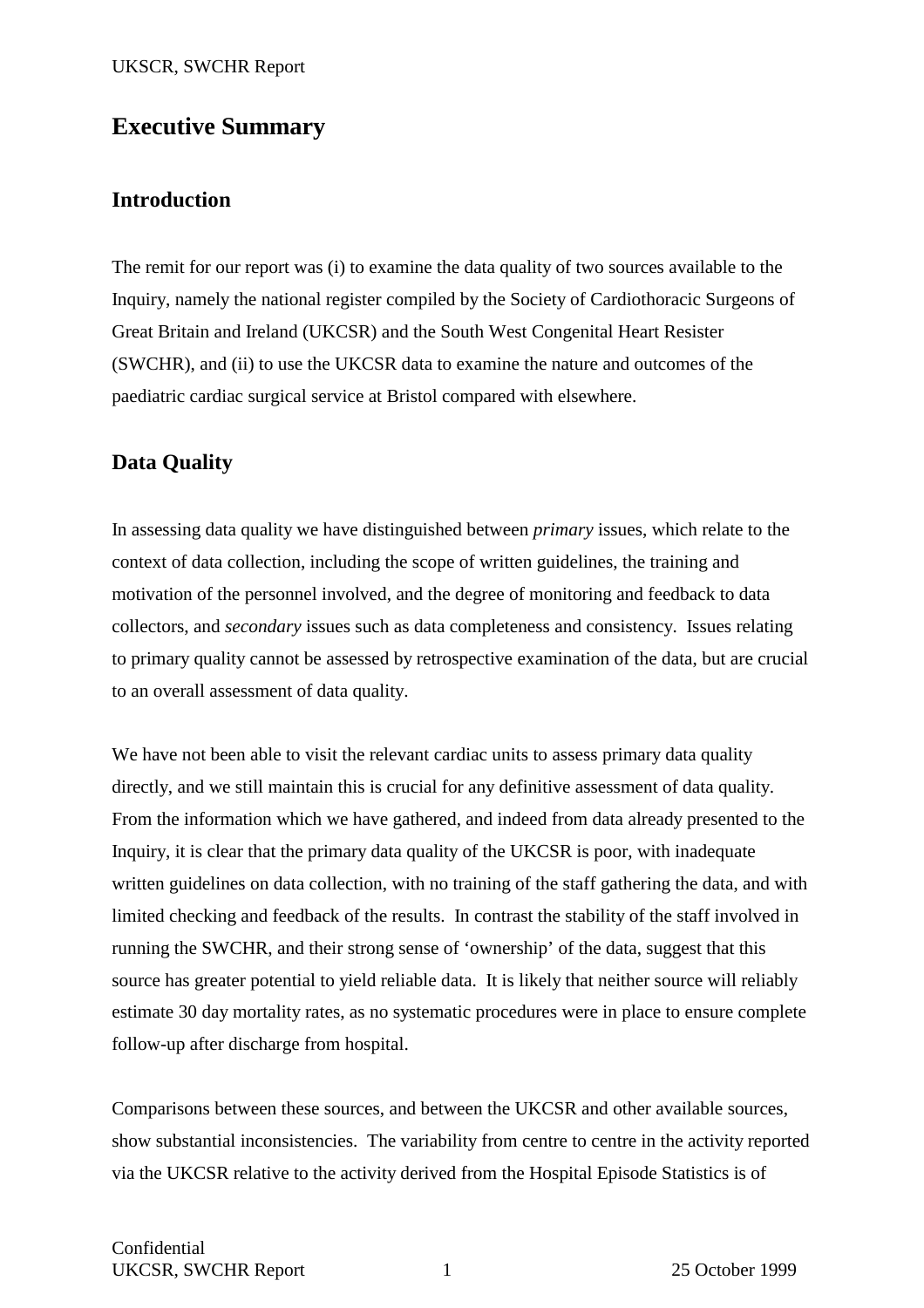## **Executive Summary**

## **Introduction**

The remit for our report was (i) to examine the data quality of two sources available to the Inquiry, namely the national register compiled by the Society of Cardiothoracic Surgeons of Great Britain and Ireland (UKCSR) and the South West Congenital Heart Resister (SWCHR), and (ii) to use the UKCSR data to examine the nature and outcomes of the paediatric cardiac surgical service at Bristol compared with elsewhere.

## **Data Quality**

In assessing data quality we have distinguished between *primary* issues, which relate to the context of data collection, including the scope of written guidelines, the training and motivation of the personnel involved, and the degree of monitoring and feedback to data collectors, and *secondary* issues such as data completeness and consistency. Issues relating to primary quality cannot be assessed by retrospective examination of the data, but are crucial to an overall assessment of data quality.

We have not been able to visit the relevant cardiac units to assess primary data quality directly, and we still maintain this is crucial for any definitive assessment of data quality. From the information which we have gathered, and indeed from data already presented to the Inquiry, it is clear that the primary data quality of the UKCSR is poor, with inadequate written guidelines on data collection, with no training of the staff gathering the data, and with limited checking and feedback of the results. In contrast the stability of the staff involved in running the SWCHR, and their strong sense of 'ownership' of the data, suggest that this source has greater potential to yield reliable data. It is likely that neither source will reliably estimate 30 day mortality rates, as no systematic procedures were in place to ensure complete follow-up after discharge from hospital.

Comparisons between these sources, and between the UKCSR and other available sources, show substantial inconsistencies. The variability from centre to centre in the activity reported via the UKCSR relative to the activity derived from the Hospital Episode Statistics is of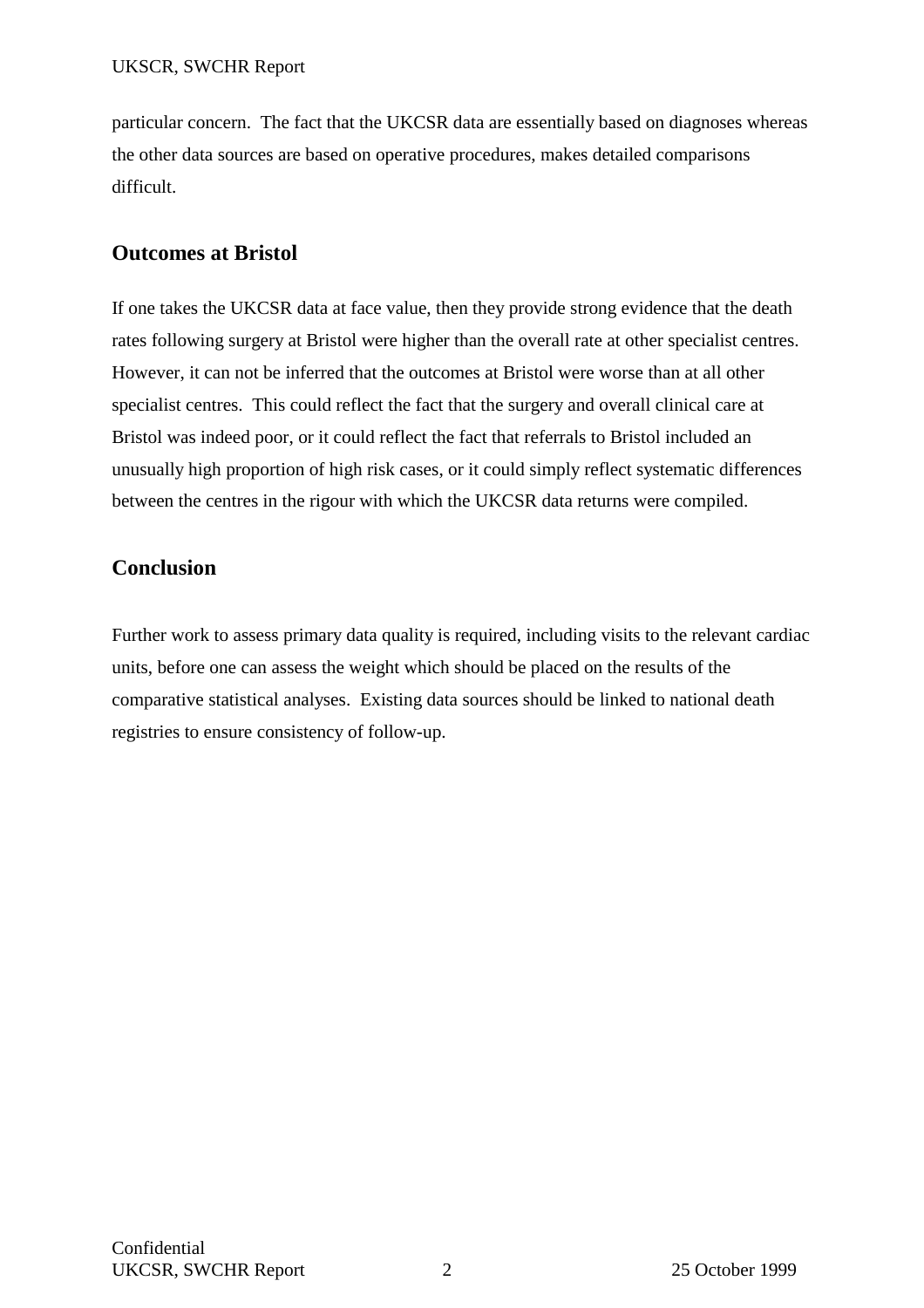particular concern. The fact that the UKCSR data are essentially based on diagnoses whereas the other data sources are based on operative procedures, makes detailed comparisons difficult.

## **Outcomes at Bristol**

If one takes the UKCSR data at face value, then they provide strong evidence that the death rates following surgery at Bristol were higher than the overall rate at other specialist centres. However, it can not be inferred that the outcomes at Bristol were worse than at all other specialist centres. This could reflect the fact that the surgery and overall clinical care at Bristol was indeed poor, or it could reflect the fact that referrals to Bristol included an unusually high proportion of high risk cases, or it could simply reflect systematic differences between the centres in the rigour with which the UKCSR data returns were compiled.

## **Conclusion**

Further work to assess primary data quality is required, including visits to the relevant cardiac units, before one can assess the weight which should be placed on the results of the comparative statistical analyses. Existing data sources should be linked to national death registries to ensure consistency of follow-up.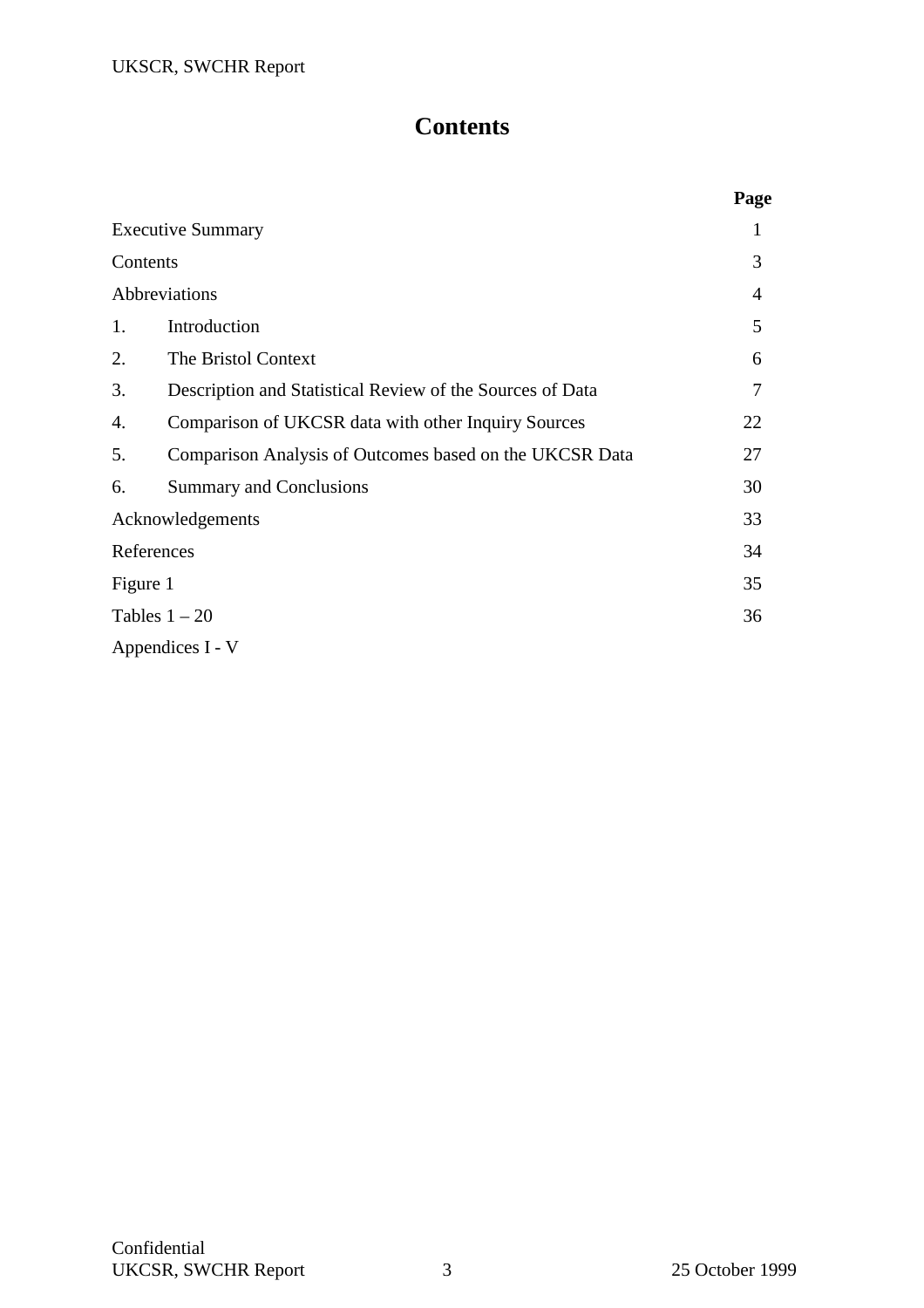## **Contents**

|          |                                                           | Page |
|----------|-----------------------------------------------------------|------|
|          | <b>Executive Summary</b>                                  | 1    |
| Contents |                                                           | 3    |
|          | Abbreviations                                             | 4    |
| 1.       | Introduction                                              | 5    |
| 2.       | The Bristol Context                                       | 6    |
| 3.       | Description and Statistical Review of the Sources of Data | 7    |
| 4.       | Comparison of UKCSR data with other Inquiry Sources       | 22   |
| 5.       | Comparison Analysis of Outcomes based on the UKCSR Data   | 27   |
| 6.       | <b>Summary and Conclusions</b>                            | 30   |
|          | Acknowledgements                                          | 33   |
|          | References                                                | 34   |
| Figure 1 |                                                           | 35   |
|          | Tables $1 - 20$                                           | 36   |
|          | Appendices I - V                                          |      |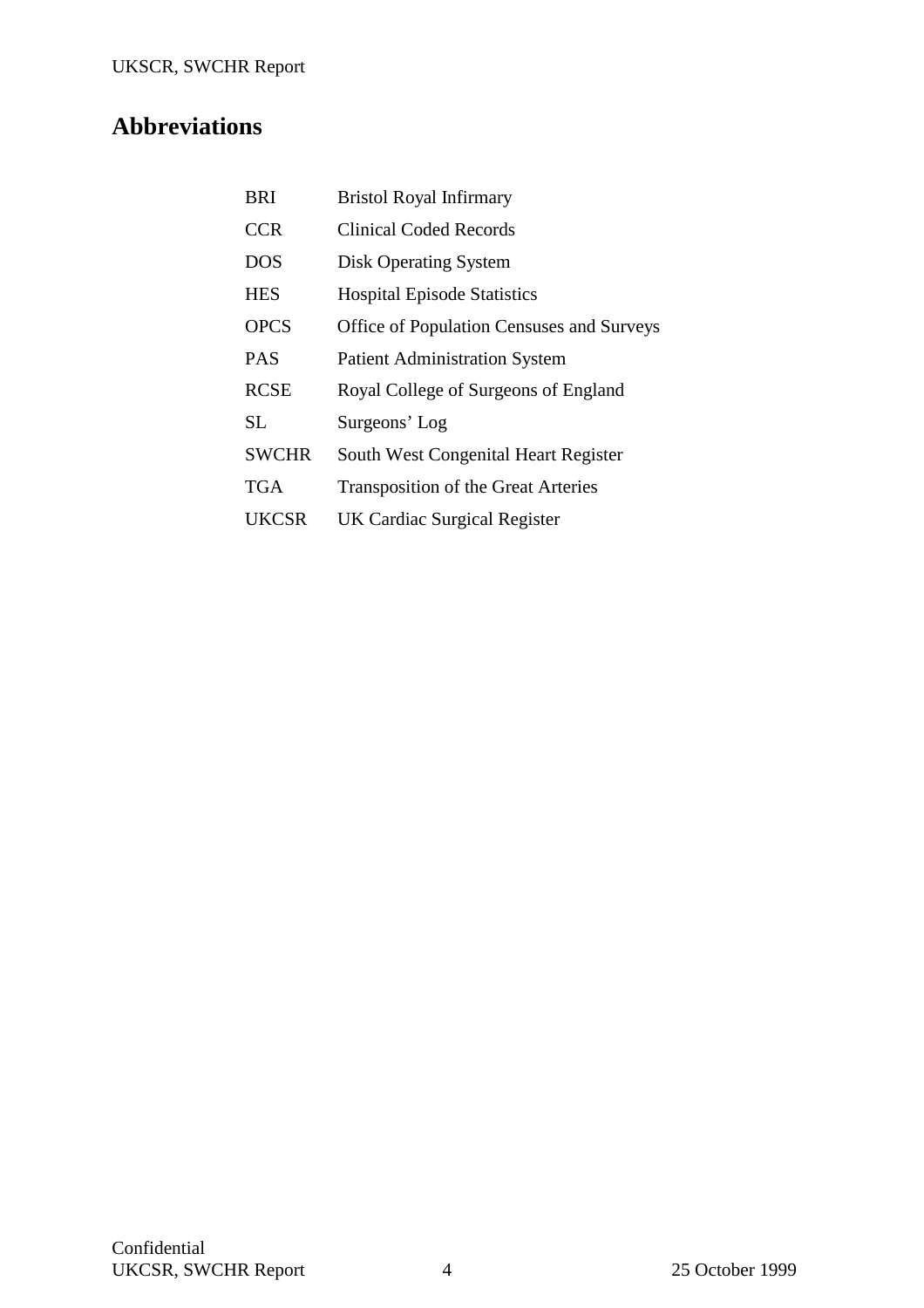## **Abbreviations**

| <b>BRI</b>   | <b>Bristol Royal Infirmary</b>                   |
|--------------|--------------------------------------------------|
| <b>CCR</b>   | Clinical Coded Records                           |
| <b>DOS</b>   | <b>Disk Operating System</b>                     |
| <b>HES</b>   | <b>Hospital Episode Statistics</b>               |
| <b>OPCS</b>  | <b>Office of Population Censuses and Surveys</b> |
| <b>PAS</b>   | <b>Patient Administration System</b>             |
| <b>RCSE</b>  | Royal College of Surgeons of England             |
| SL.          | Surgeons' Log                                    |
| <b>SWCHR</b> | South West Congenital Heart Register             |
| <b>TGA</b>   | <b>Transposition of the Great Arteries</b>       |
| <b>UKCSR</b> | <b>UK Cardiac Surgical Register</b>              |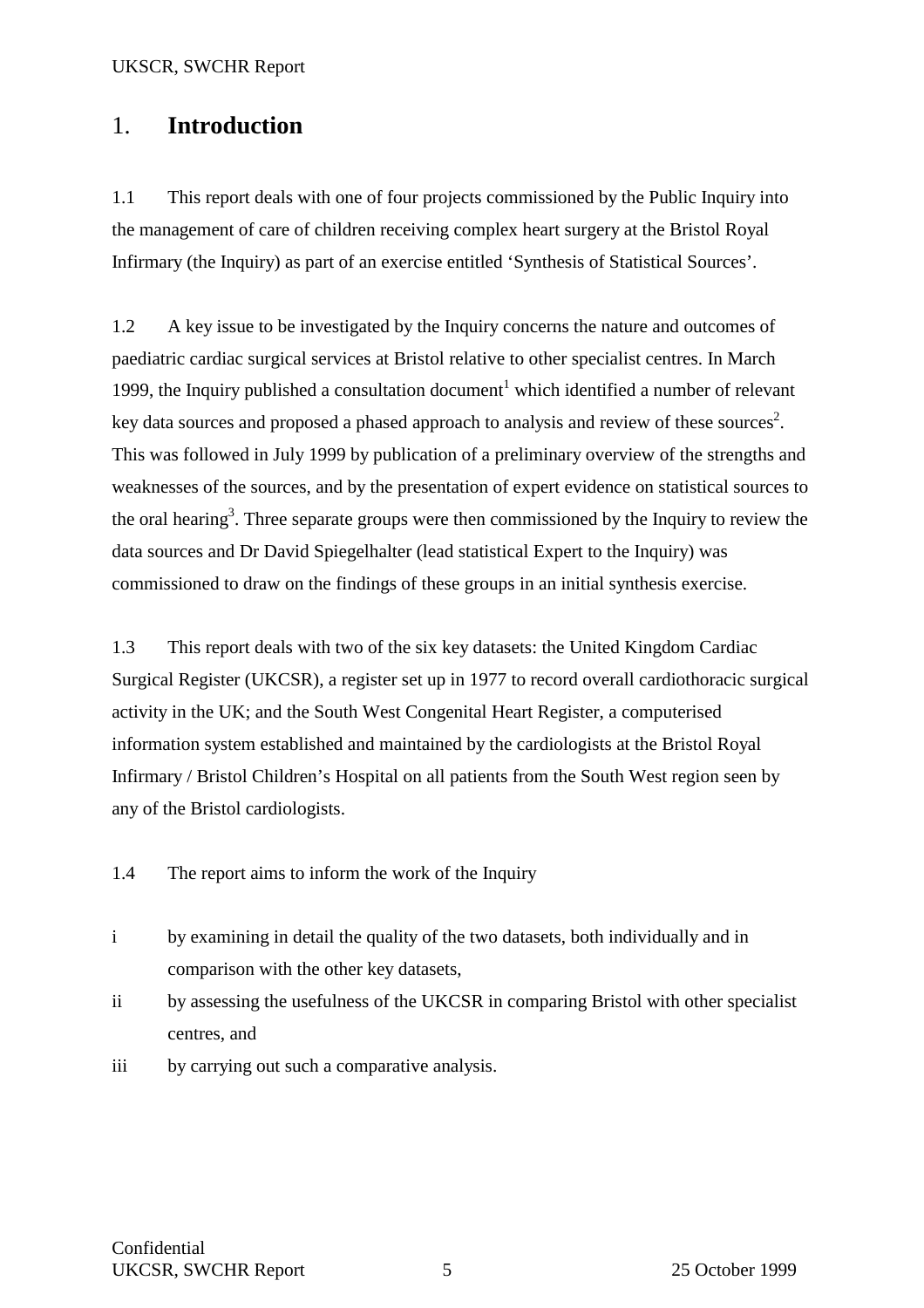## 1. **Introduction**

1.1 This report deals with one of four projects commissioned by the Public Inquiry into the management of care of children receiving complex heart surgery at the Bristol Royal Infirmary (the Inquiry) as part of an exercise entitled 'Synthesis of Statistical Sources'.

1.2 A key issue to be investigated by the Inquiry concerns the nature and outcomes of paediatric cardiac surgical services at Bristol relative to other specialist centres. In March 1999, the Inquiry published a consultation document<sup>1</sup> which identified a number of relevant key data sources and proposed a phased approach to analysis and review of these sources<sup>2</sup>. This was followed in July 1999 by publication of a preliminary overview of the strengths and weaknesses of the sources, and by the presentation of expert evidence on statistical sources to the oral hearing<sup>3</sup>. Three separate groups were then commissioned by the Inquiry to review the data sources and Dr David Spiegelhalter (lead statistical Expert to the Inquiry) was commissioned to draw on the findings of these groups in an initial synthesis exercise.

1.3 This report deals with two of the six key datasets: the United Kingdom Cardiac Surgical Register (UKCSR), a register set up in 1977 to record overall cardiothoracic surgical activity in the UK; and the South West Congenital Heart Register, a computerised information system established and maintained by the cardiologists at the Bristol Royal Infirmary / Bristol Children's Hospital on all patients from the South West region seen by any of the Bristol cardiologists.

1.4 The report aims to inform the work of the Inquiry

- i by examining in detail the quality of the two datasets, both individually and in comparison with the other key datasets,
- ii by assessing the usefulness of the UKCSR in comparing Bristol with other specialist centres, and
- iii by carrying out such a comparative analysis.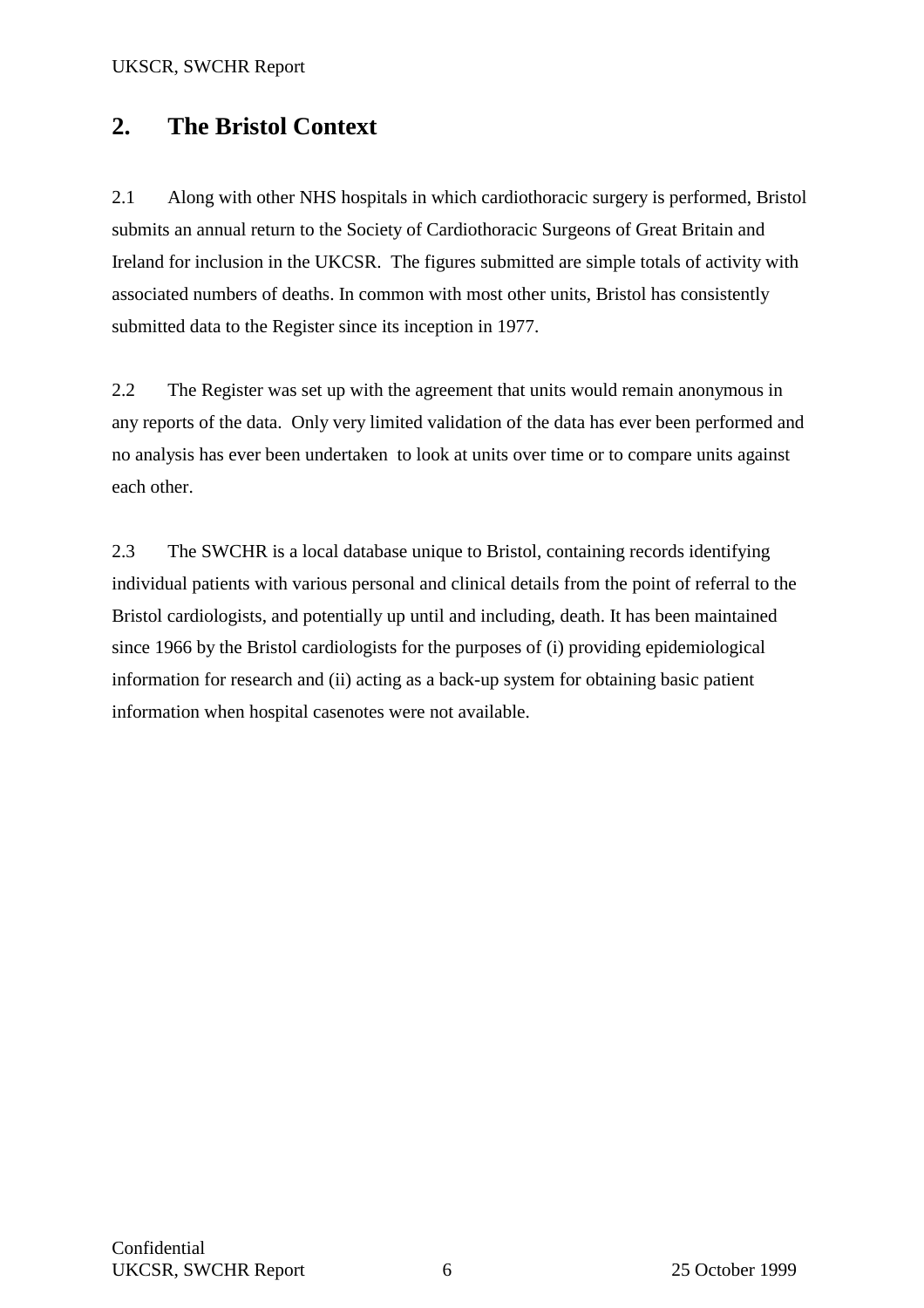## **2. The Bristol Context**

2.1 Along with other NHS hospitals in which cardiothoracic surgery is performed, Bristol submits an annual return to the Society of Cardiothoracic Surgeons of Great Britain and Ireland for inclusion in the UKCSR. The figures submitted are simple totals of activity with associated numbers of deaths. In common with most other units, Bristol has consistently submitted data to the Register since its inception in 1977.

2.2 The Register was set up with the agreement that units would remain anonymous in any reports of the data. Only very limited validation of the data has ever been performed and no analysis has ever been undertaken to look at units over time or to compare units against each other.

2.3 The SWCHR is a local database unique to Bristol, containing records identifying individual patients with various personal and clinical details from the point of referral to the Bristol cardiologists, and potentially up until and including, death. It has been maintained since 1966 by the Bristol cardiologists for the purposes of (i) providing epidemiological information for research and (ii) acting as a back-up system for obtaining basic patient information when hospital casenotes were not available.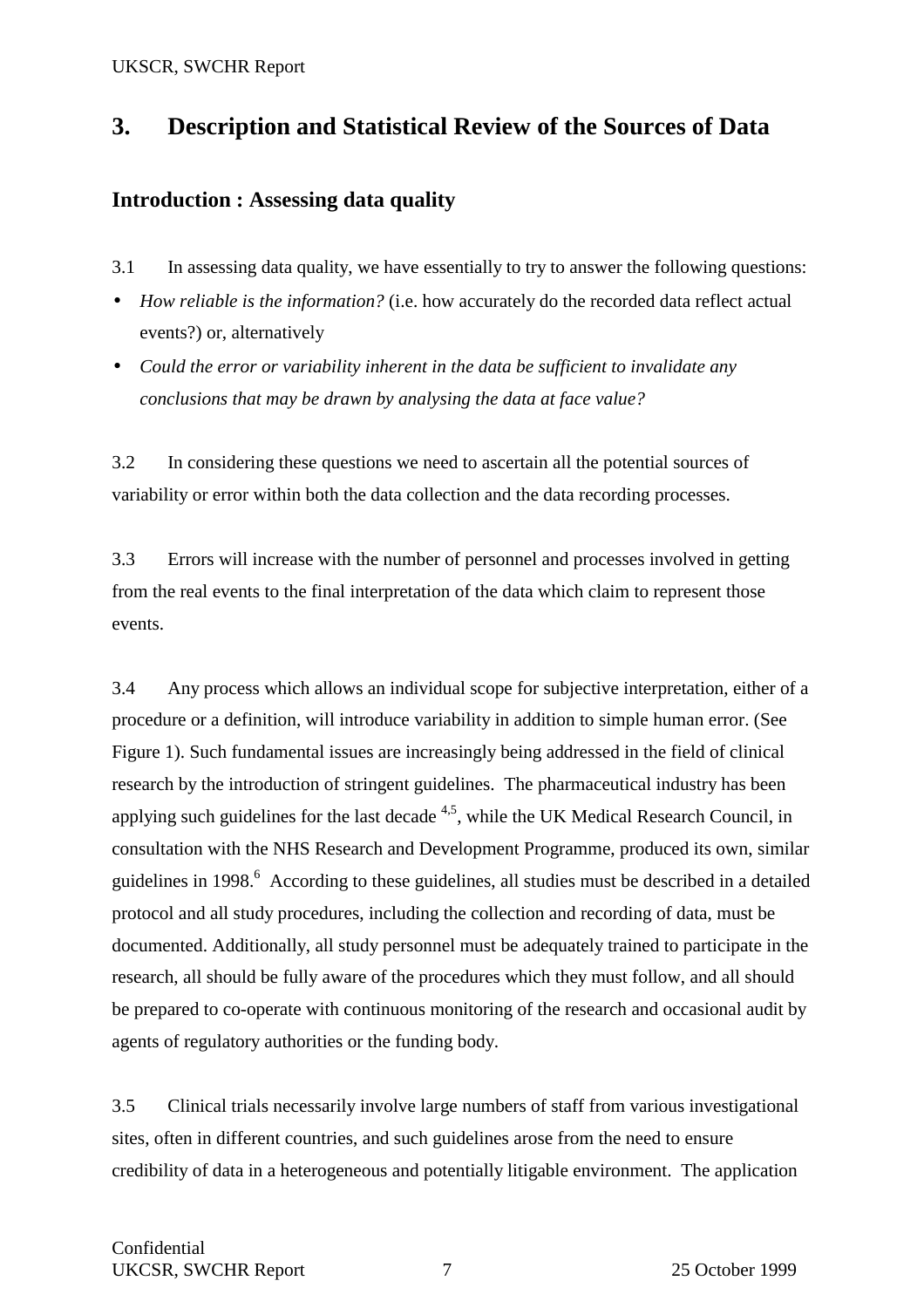## **3. Description and Statistical Review of the Sources of Data**

## **Introduction : Assessing data quality**

- 3.1 In assessing data quality, we have essentially to try to answer the following questions:
- *How reliable is the information?* (i.e. how accurately do the recorded data reflect actual events?) or, alternatively
- *Could the error or variability inherent in the data be sufficient to invalidate any conclusions that may be drawn by analysing the data at face value?*

3.2 In considering these questions we need to ascertain all the potential sources of variability or error within both the data collection and the data recording processes.

3.3 Errors will increase with the number of personnel and processes involved in getting from the real events to the final interpretation of the data which claim to represent those events.

3.4 Any process which allows an individual scope for subjective interpretation, either of a procedure or a definition, will introduce variability in addition to simple human error. (See Figure 1). Such fundamental issues are increasingly being addressed in the field of clinical research by the introduction of stringent guidelines. The pharmaceutical industry has been applying such guidelines for the last decade  $4.5$ , while the UK Medical Research Council, in consultation with the NHS Research and Development Programme, produced its own, similar guidelines in 1998.<sup>6</sup> According to these guidelines, all studies must be described in a detailed protocol and all study procedures, including the collection and recording of data, must be documented. Additionally, all study personnel must be adequately trained to participate in the research, all should be fully aware of the procedures which they must follow, and all should be prepared to co-operate with continuous monitoring of the research and occasional audit by agents of regulatory authorities or the funding body.

3.5 Clinical trials necessarily involve large numbers of staff from various investigational sites, often in different countries, and such guidelines arose from the need to ensure credibility of data in a heterogeneous and potentially litigable environment. The application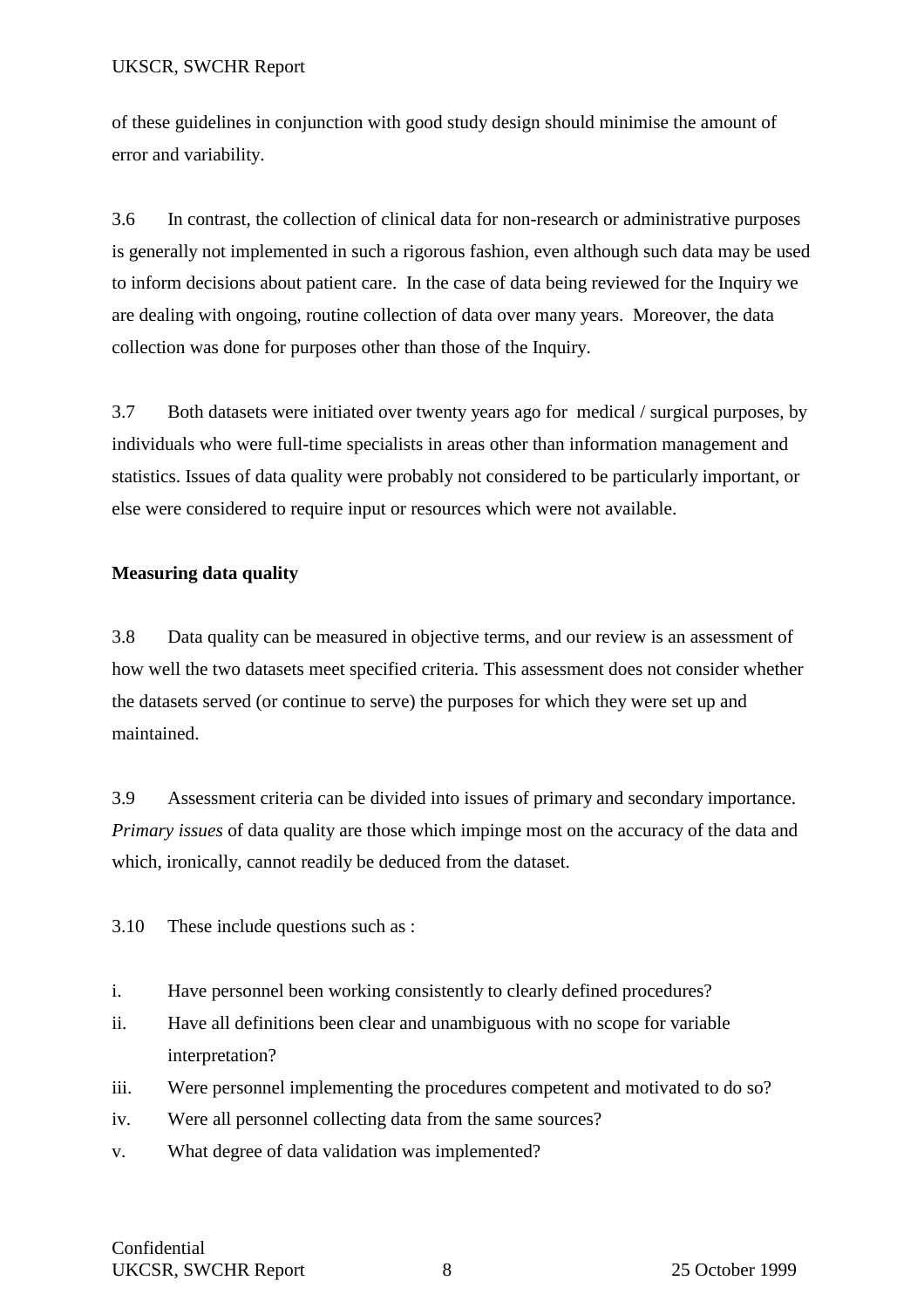of these guidelines in conjunction with good study design should minimise the amount of error and variability.

3.6 In contrast, the collection of clinical data for non-research or administrative purposes is generally not implemented in such a rigorous fashion, even although such data may be used to inform decisions about patient care. In the case of data being reviewed for the Inquiry we are dealing with ongoing, routine collection of data over many years. Moreover, the data collection was done for purposes other than those of the Inquiry.

3.7 Both datasets were initiated over twenty years ago for medical / surgical purposes, by individuals who were full-time specialists in areas other than information management and statistics. Issues of data quality were probably not considered to be particularly important, or else were considered to require input or resources which were not available.

## **Measuring data quality**

3.8 Data quality can be measured in objective terms, and our review is an assessment of how well the two datasets meet specified criteria. This assessment does not consider whether the datasets served (or continue to serve) the purposes for which they were set up and maintained.

3.9 Assessment criteria can be divided into issues of primary and secondary importance. *Primary issues* of data quality are those which impinge most on the accuracy of the data and which, ironically, cannot readily be deduced from the dataset.

3.10 These include questions such as :

- i. Have personnel been working consistently to clearly defined procedures?
- ii. Have all definitions been clear and unambiguous with no scope for variable interpretation?
- iii. Were personnel implementing the procedures competent and motivated to do so?
- iv. Were all personnel collecting data from the same sources?
- v. What degree of data validation was implemented?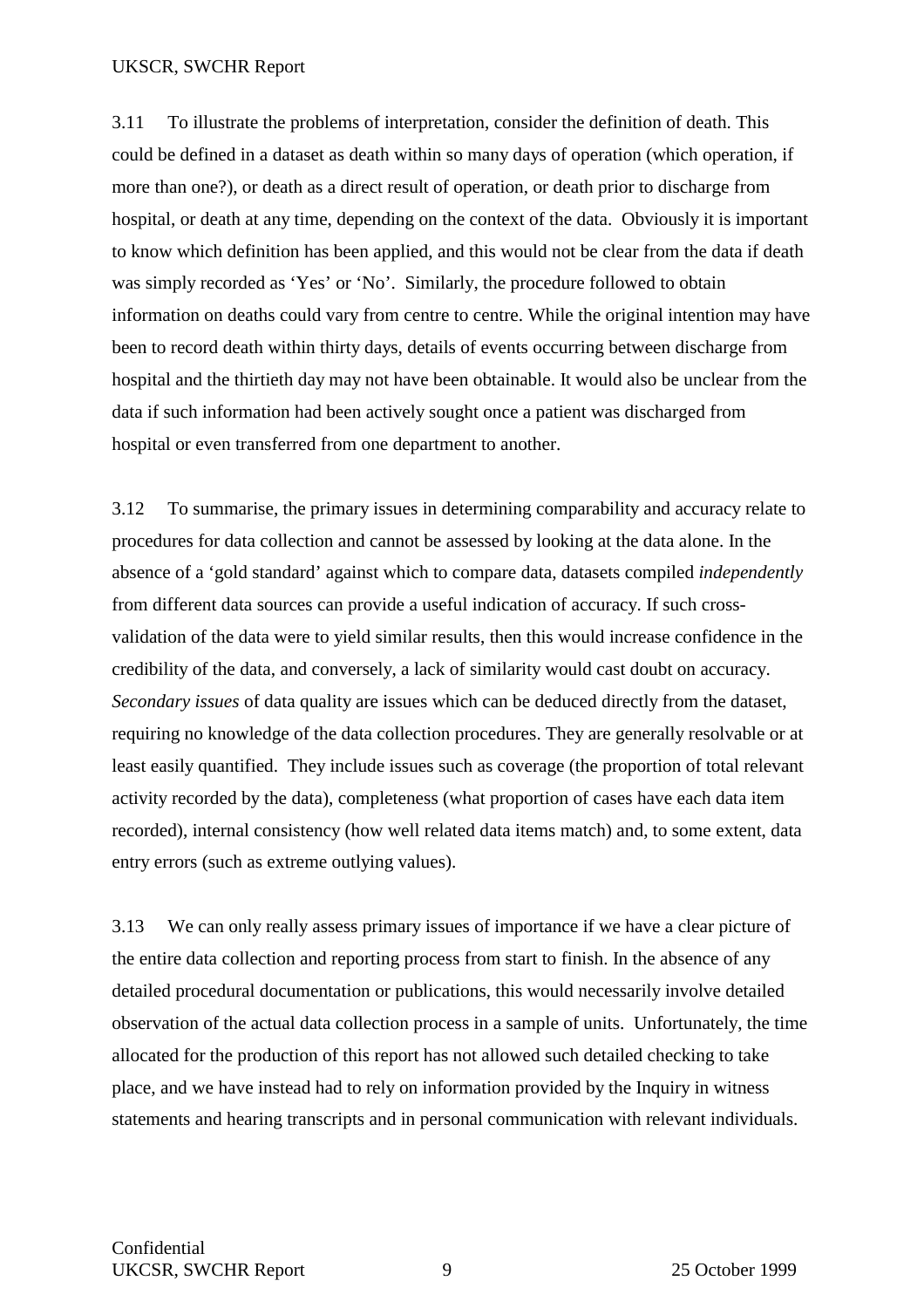3.11 To illustrate the problems of interpretation, consider the definition of death. This could be defined in a dataset as death within so many days of operation (which operation, if more than one?), or death as a direct result of operation, or death prior to discharge from hospital, or death at any time, depending on the context of the data. Obviously it is important to know which definition has been applied, and this would not be clear from the data if death was simply recorded as 'Yes' or 'No'. Similarly, the procedure followed to obtain information on deaths could vary from centre to centre. While the original intention may have been to record death within thirty days, details of events occurring between discharge from hospital and the thirtieth day may not have been obtainable. It would also be unclear from the data if such information had been actively sought once a patient was discharged from hospital or even transferred from one department to another.

3.12 To summarise, the primary issues in determining comparability and accuracy relate to procedures for data collection and cannot be assessed by looking at the data alone. In the absence of a 'gold standard' against which to compare data, datasets compiled *independently* from different data sources can provide a useful indication of accuracy. If such crossvalidation of the data were to yield similar results, then this would increase confidence in the credibility of the data, and conversely, a lack of similarity would cast doubt on accuracy. *Secondary issues* of data quality are issues which can be deduced directly from the dataset, requiring no knowledge of the data collection procedures. They are generally resolvable or at least easily quantified. They include issues such as coverage (the proportion of total relevant activity recorded by the data), completeness (what proportion of cases have each data item recorded), internal consistency (how well related data items match) and, to some extent, data entry errors (such as extreme outlying values).

3.13 We can only really assess primary issues of importance if we have a clear picture of the entire data collection and reporting process from start to finish. In the absence of any detailed procedural documentation or publications, this would necessarily involve detailed observation of the actual data collection process in a sample of units. Unfortunately, the time allocated for the production of this report has not allowed such detailed checking to take place, and we have instead had to rely on information provided by the Inquiry in witness statements and hearing transcripts and in personal communication with relevant individuals.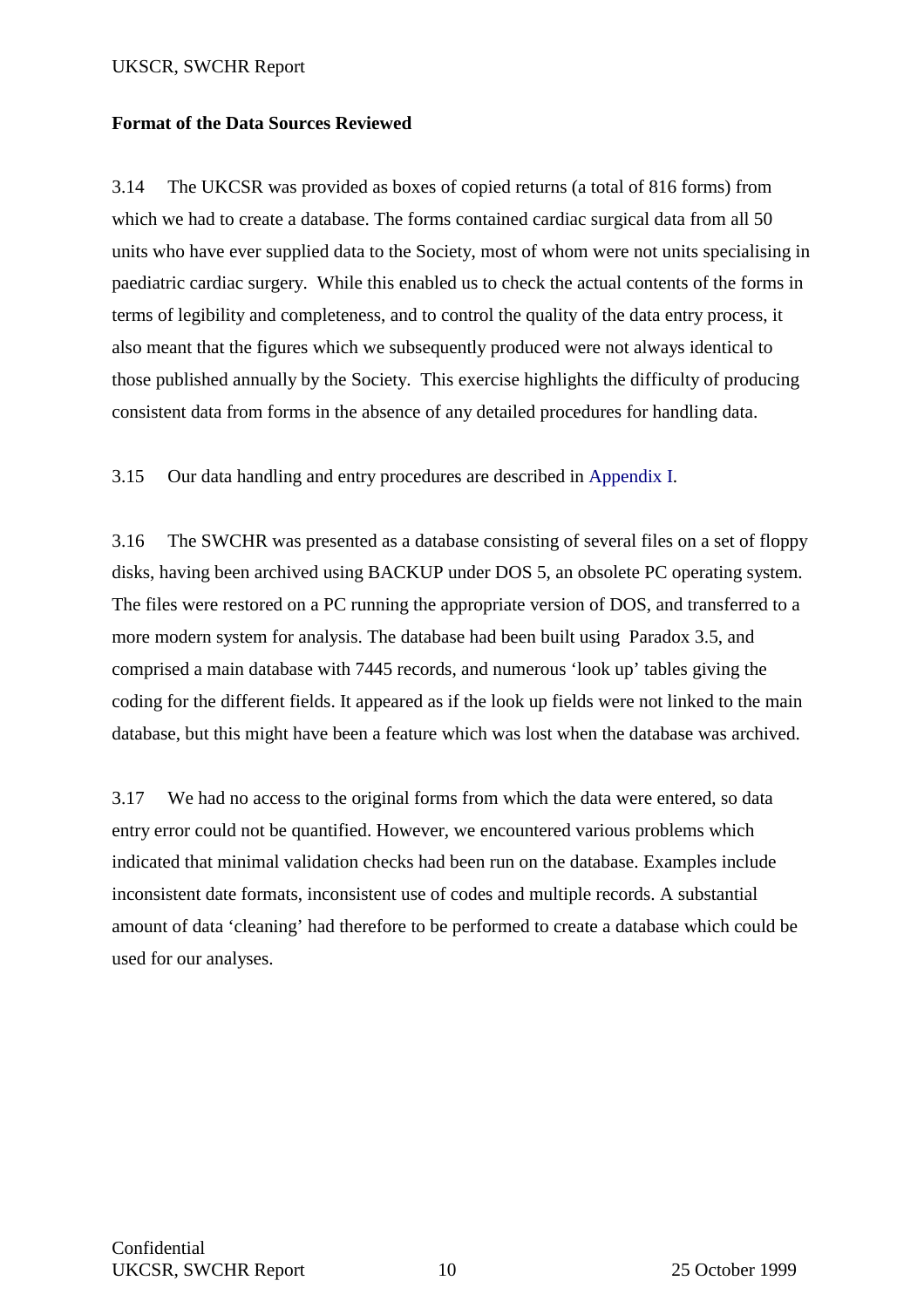### **Format of the Data Sources Reviewed**

3.14 The UKCSR was provided as boxes of copied returns (a total of 816 forms) from which we had to create a database. The forms contained cardiac surgical data from all 50 units who have ever supplied data to the Society, most of whom were not units specialising in paediatric cardiac surgery. While this enabled us to check the actual contents of the forms in terms of legibility and completeness, and to control the quality of the data entry process, it also meant that the figures which we subsequently produced were not always identical to those published annually by the Society. This exercise highlights the difficulty of producing consistent data from forms in the absence of any detailed procedures for handling data.

3.15 Our data handling and entry procedures are described in Appendix I.

3.16 The SWCHR was presented as a database consisting of several files on a set of floppy disks, having been archived using BACKUP under DOS 5, an obsolete PC operating system. The files were restored on a PC running the appropriate version of DOS, and transferred to a more modern system for analysis. The database had been built using Paradox 3.5, and comprised a main database with 7445 records, and numerous 'look up' tables giving the coding for the different fields. It appeared as if the look up fields were not linked to the main database, but this might have been a feature which was lost when the database was archived.

3.17 We had no access to the original forms from which the data were entered, so data entry error could not be quantified. However, we encountered various problems which indicated that minimal validation checks had been run on the database. Examples include inconsistent date formats, inconsistent use of codes and multiple records. A substantial amount of data 'cleaning' had therefore to be performed to create a database which could be used for our analyses.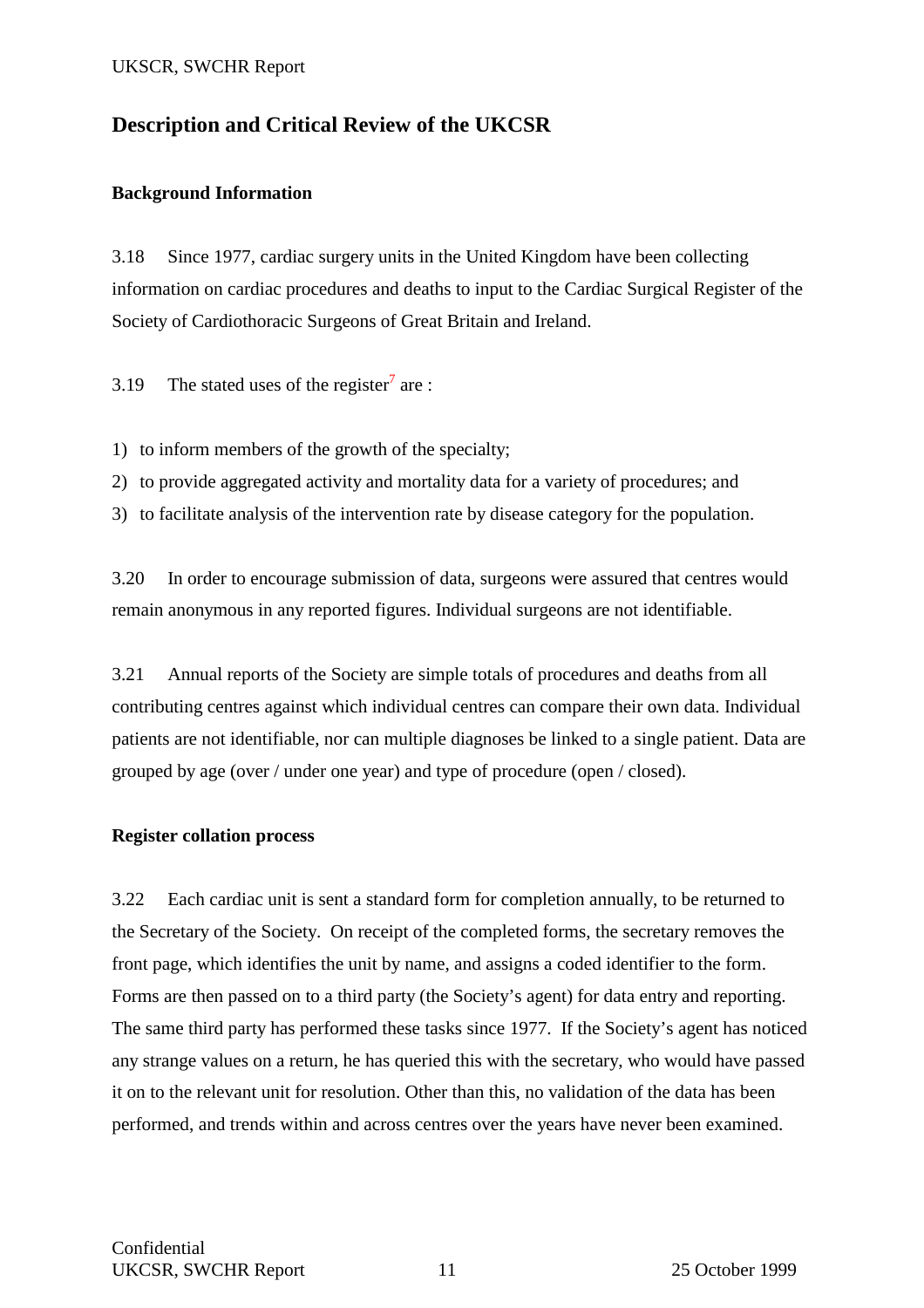## **Description and Critical Review of the UKCSR**

#### **Background Information**

3.18 Since 1977, cardiac surgery units in the United Kingdom have been collecting information on cardiac procedures and deaths to input to the Cardiac Surgical Register of the Society of Cardiothoracic Surgeons of Great Britain and Ireland.

3.19 The stated uses of the register<sup>7</sup> are :

1) to inform members of the growth of the specialty;

2) to provide aggregated activity and mortality data for a variety of procedures; and

3) to facilitate analysis of the intervention rate by disease category for the population.

3.20 In order to encourage submission of data, surgeons were assured that centres would remain anonymous in any reported figures. Individual surgeons are not identifiable.

3.21 Annual reports of the Society are simple totals of procedures and deaths from all contributing centres against which individual centres can compare their own data. Individual patients are not identifiable, nor can multiple diagnoses be linked to a single patient. Data are grouped by age (over / under one year) and type of procedure (open / closed).

#### **Register collation process**

3.22 Each cardiac unit is sent a standard form for completion annually, to be returned to the Secretary of the Society. On receipt of the completed forms, the secretary removes the front page, which identifies the unit by name, and assigns a coded identifier to the form. Forms are then passed on to a third party (the Society's agent) for data entry and reporting. The same third party has performed these tasks since 1977. If the Society's agent has noticed any strange values on a return, he has queried this with the secretary, who would have passed it on to the relevant unit for resolution. Other than this, no validation of the data has been performed, and trends within and across centres over the years have never been examined.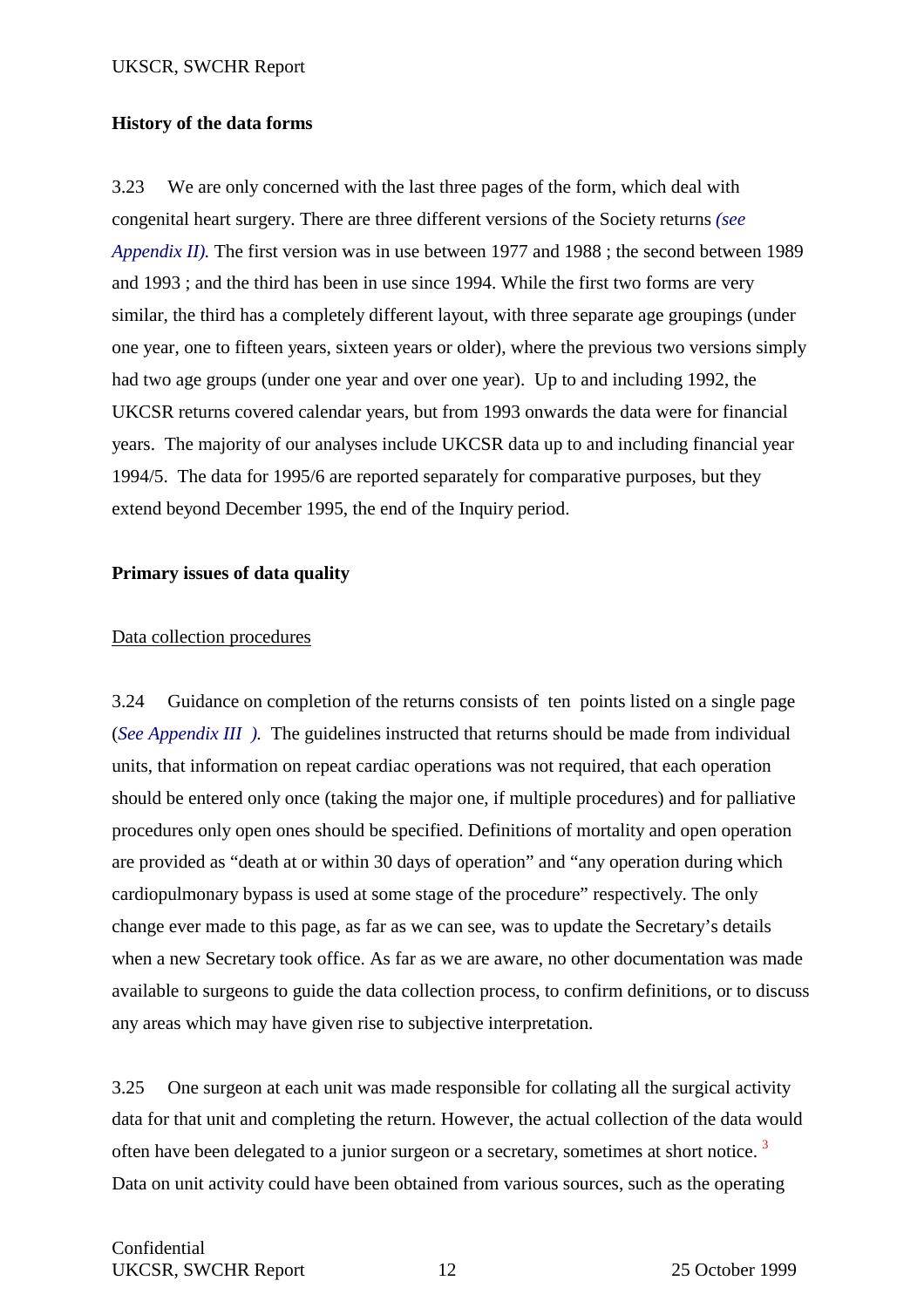### **History of the data forms**

3.23 We are only concerned with the last three pages of the form, which deal with congenital heart surgery. There are three different versions of the Society returns *(see Appendix II).* The first version was in use between 1977 and 1988 ; the second between 1989 and 1993 ; and the third has been in use since 1994. While the first two forms are very similar, the third has a completely different layout, with three separate age groupings (under one year, one to fifteen years, sixteen years or older), where the previous two versions simply had two age groups (under one year and over one year). Up to and including 1992, the UKCSR returns covered calendar years, but from 1993 onwards the data were for financial years. The majority of our analyses include UKCSR data up to and including financial year 1994/5. The data for 1995/6 are reported separately for comparative purposes, but they extend beyond December 1995, the end of the Inquiry period.

### **Primary issues of data quality**

### Data collection procedures

3.24 Guidance on completion of the returns consists of ten points listed on a single page (*See Appendix III ).* The guidelines instructed that returns should be made from individual units, that information on repeat cardiac operations was not required, that each operation should be entered only once (taking the major one, if multiple procedures) and for palliative procedures only open ones should be specified. Definitions of mortality and open operation are provided as "death at or within 30 days of operation" and "any operation during which cardiopulmonary bypass is used at some stage of the procedure" respectively. The only change ever made to this page, as far as we can see, was to update the Secretary's details when a new Secretary took office. As far as we are aware, no other documentation was made available to surgeons to guide the data collection process, to confirm definitions, or to discuss any areas which may have given rise to subjective interpretation.

3.25 One surgeon at each unit was made responsible for collating all the surgical activity data for that unit and completing the return. However, the actual collection of the data would often have been delegated to a junior surgeon or a secretary, sometimes at short notice.  $3$ Data on unit activity could have been obtained from various sources, such as the operating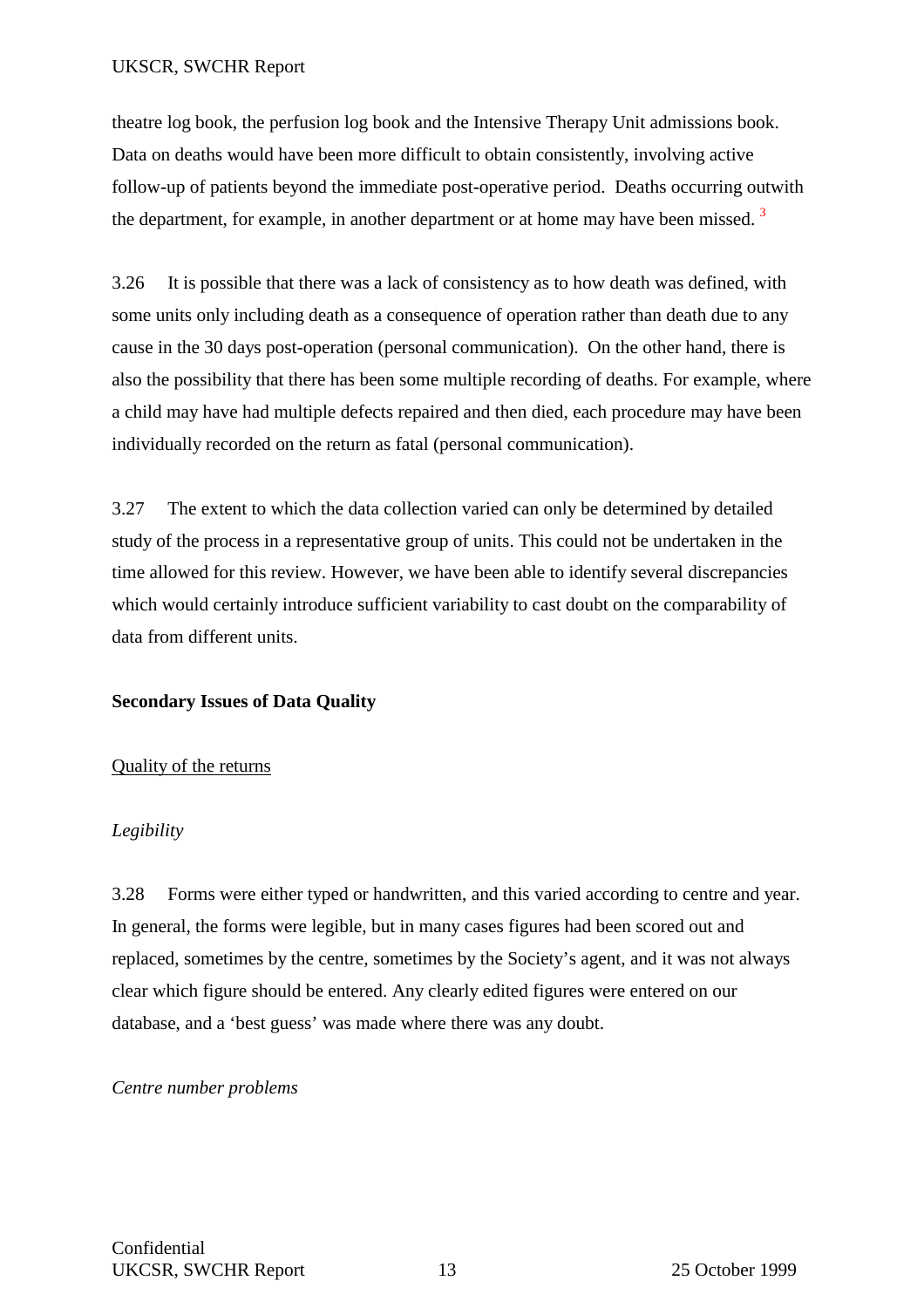theatre log book, the perfusion log book and the Intensive Therapy Unit admissions book. Data on deaths would have been more difficult to obtain consistently, involving active follow-up of patients beyond the immediate post-operative period. Deaths occurring outwith the department, for example, in another department or at home may have been missed.<sup>3</sup>

3.26 It is possible that there was a lack of consistency as to how death was defined, with some units only including death as a consequence of operation rather than death due to any cause in the 30 days post-operation (personal communication). On the other hand, there is also the possibility that there has been some multiple recording of deaths. For example, where a child may have had multiple defects repaired and then died, each procedure may have been individually recorded on the return as fatal (personal communication).

3.27 The extent to which the data collection varied can only be determined by detailed study of the process in a representative group of units. This could not be undertaken in the time allowed for this review. However, we have been able to identify several discrepancies which would certainly introduce sufficient variability to cast doubt on the comparability of data from different units.

#### **Secondary Issues of Data Quality**

#### Quality of the returns

#### *Legibility*

3.28 Forms were either typed or handwritten, and this varied according to centre and year. In general, the forms were legible, but in many cases figures had been scored out and replaced, sometimes by the centre, sometimes by the Society's agent, and it was not always clear which figure should be entered. Any clearly edited figures were entered on our database, and a 'best guess' was made where there was any doubt.

#### *Centre number problems*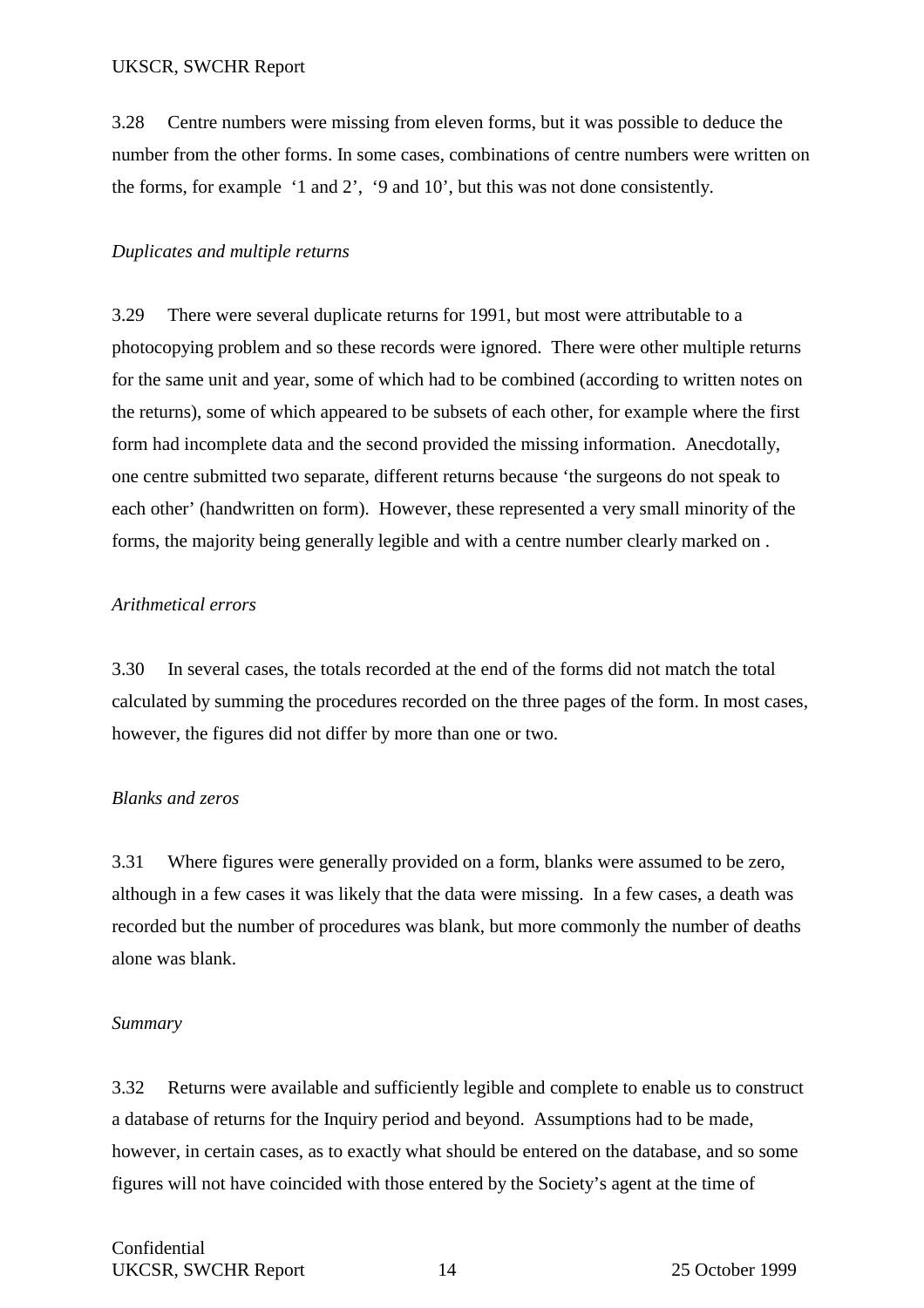3.28 Centre numbers were missing from eleven forms, but it was possible to deduce the number from the other forms. In some cases, combinations of centre numbers were written on the forms, for example '1 and 2', '9 and 10', but this was not done consistently.

### *Duplicates and multiple returns*

3.29 There were several duplicate returns for 1991, but most were attributable to a photocopying problem and so these records were ignored. There were other multiple returns for the same unit and year, some of which had to be combined (according to written notes on the returns), some of which appeared to be subsets of each other, for example where the first form had incomplete data and the second provided the missing information. Anecdotally, one centre submitted two separate, different returns because 'the surgeons do not speak to each other' (handwritten on form). However, these represented a very small minority of the forms, the majority being generally legible and with a centre number clearly marked on .

### *Arithmetical errors*

3.30 In several cases, the totals recorded at the end of the forms did not match the total calculated by summing the procedures recorded on the three pages of the form. In most cases, however, the figures did not differ by more than one or two.

#### *Blanks and zeros*

3.31 Where figures were generally provided on a form, blanks were assumed to be zero, although in a few cases it was likely that the data were missing. In a few cases, a death was recorded but the number of procedures was blank, but more commonly the number of deaths alone was blank.

## *Summary*

3.32 Returns were available and sufficiently legible and complete to enable us to construct a database of returns for the Inquiry period and beyond. Assumptions had to be made, however, in certain cases, as to exactly what should be entered on the database, and so some figures will not have coincided with those entered by the Society's agent at the time of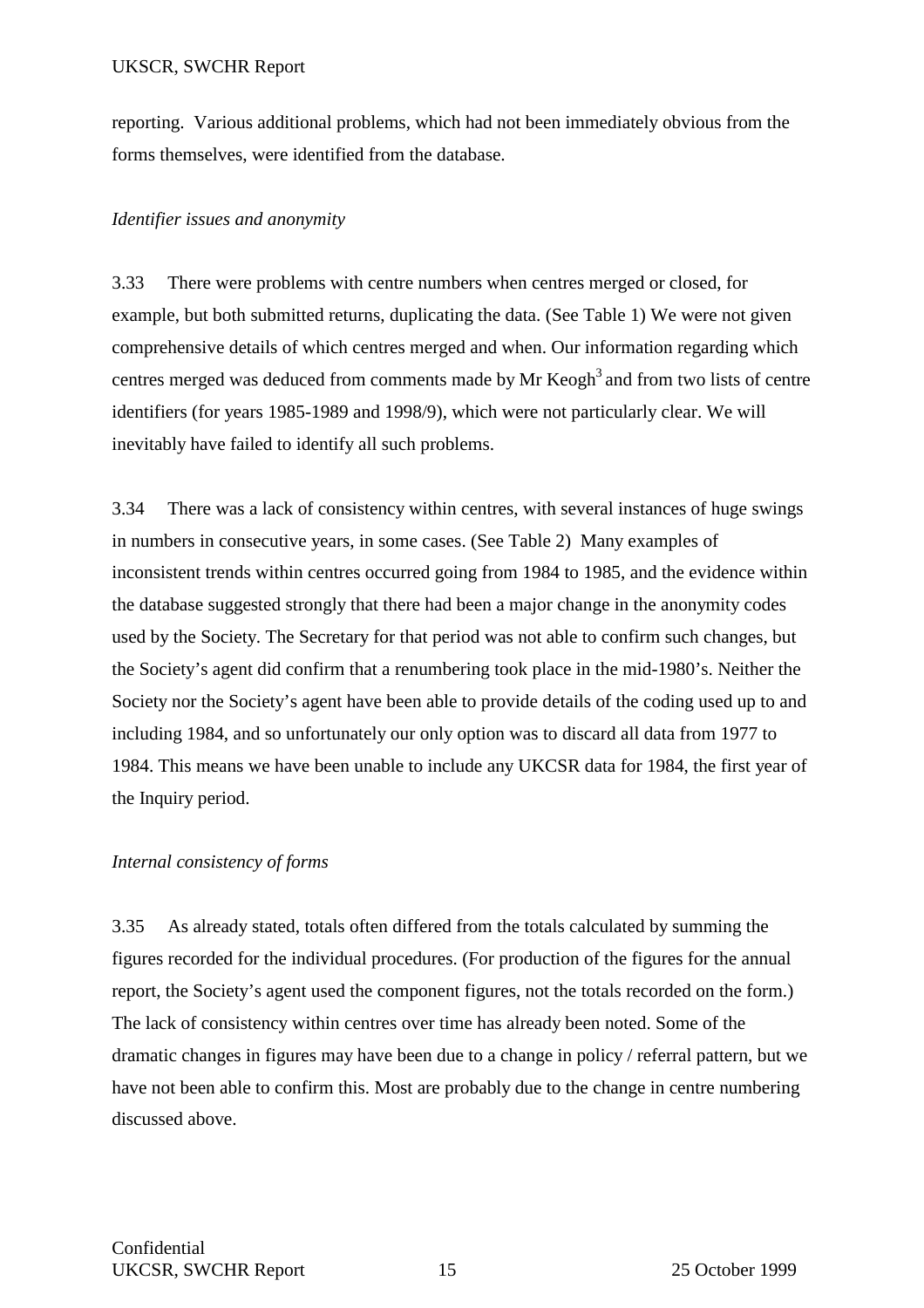reporting. Various additional problems, which had not been immediately obvious from the forms themselves, were identified from the database.

#### *Identifier issues and anonymity*

3.33 There were problems with centre numbers when centres merged or closed, for example, but both submitted returns, duplicating the data. (See Table 1) We were not given comprehensive details of which centres merged and when. Our information regarding which centres merged was deduced from comments made by Mr  $\text{Keogh}^3$  and from two lists of centre identifiers (for years 1985-1989 and 1998/9), which were not particularly clear. We will inevitably have failed to identify all such problems.

3.34 There was a lack of consistency within centres, with several instances of huge swings in numbers in consecutive years, in some cases. (See Table 2) Many examples of inconsistent trends within centres occurred going from 1984 to 1985, and the evidence within the database suggested strongly that there had been a major change in the anonymity codes used by the Society. The Secretary for that period was not able to confirm such changes, but the Society's agent did confirm that a renumbering took place in the mid-1980's. Neither the Society nor the Society's agent have been able to provide details of the coding used up to and including 1984, and so unfortunately our only option was to discard all data from 1977 to 1984. This means we have been unable to include any UKCSR data for 1984, the first year of the Inquiry period.

#### *Internal consistency of forms*

3.35 As already stated, totals often differed from the totals calculated by summing the figures recorded for the individual procedures. (For production of the figures for the annual report, the Society's agent used the component figures, not the totals recorded on the form.) The lack of consistency within centres over time has already been noted. Some of the dramatic changes in figures may have been due to a change in policy / referral pattern, but we have not been able to confirm this. Most are probably due to the change in centre numbering discussed above.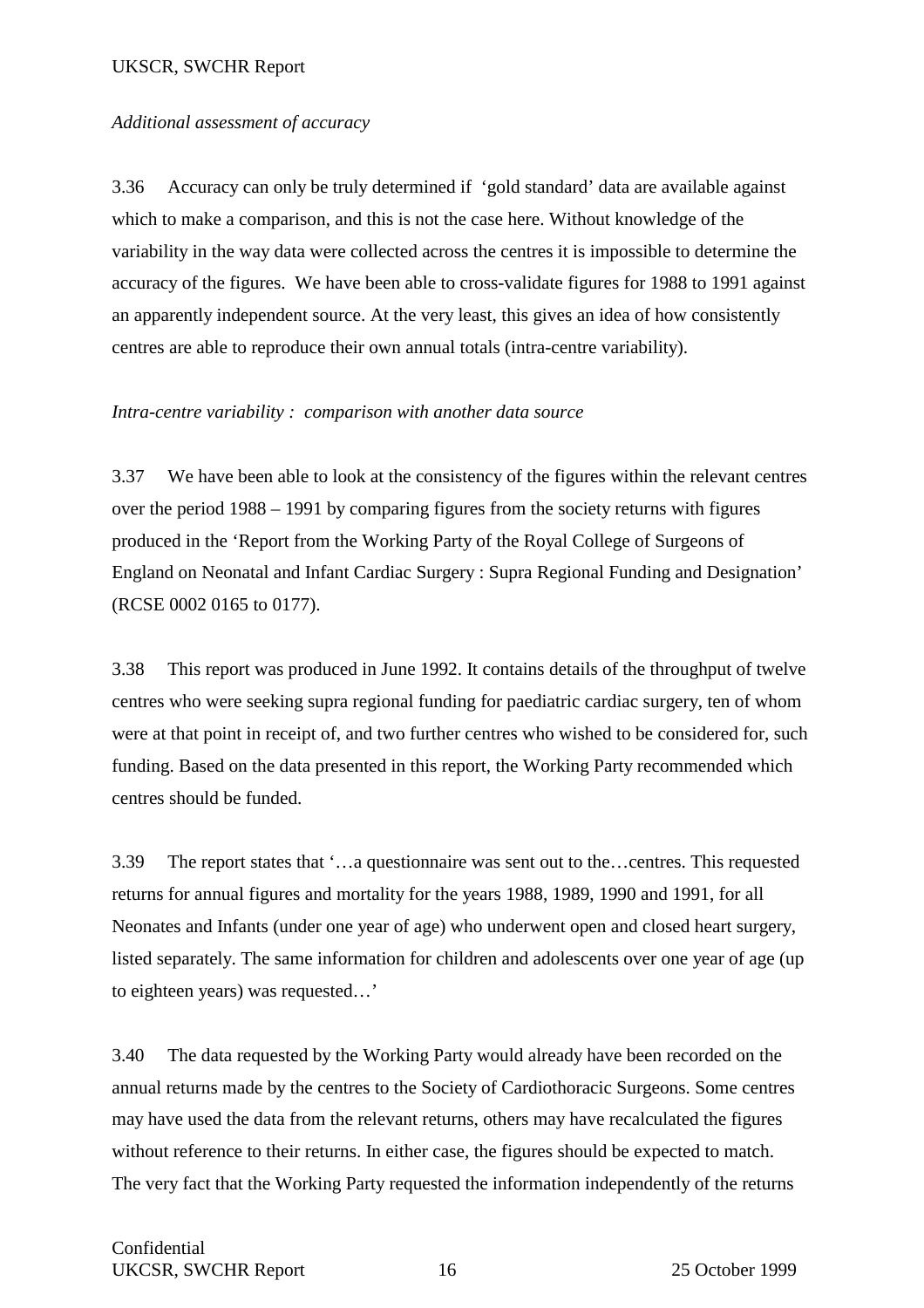#### *Additional assessment of accuracy*

3.36 Accuracy can only be truly determined if 'gold standard' data are available against which to make a comparison, and this is not the case here. Without knowledge of the variability in the way data were collected across the centres it is impossible to determine the accuracy of the figures. We have been able to cross-validate figures for 1988 to 1991 against an apparently independent source. At the very least, this gives an idea of how consistently centres are able to reproduce their own annual totals (intra-centre variability).

#### *Intra-centre variability : comparison with another data source*

3.37 We have been able to look at the consistency of the figures within the relevant centres over the period 1988 – 1991 by comparing figures from the society returns with figures produced in the 'Report from the Working Party of the Royal College of Surgeons of England on Neonatal and Infant Cardiac Surgery : Supra Regional Funding and Designation' (RCSE 0002 0165 to 0177).

3.38 This report was produced in June 1992. It contains details of the throughput of twelve centres who were seeking supra regional funding for paediatric cardiac surgery, ten of whom were at that point in receipt of, and two further centres who wished to be considered for, such funding. Based on the data presented in this report, the Working Party recommended which centres should be funded.

3.39 The report states that '…a questionnaire was sent out to the…centres. This requested returns for annual figures and mortality for the years 1988, 1989, 1990 and 1991, for all Neonates and Infants (under one year of age) who underwent open and closed heart surgery, listed separately. The same information for children and adolescents over one year of age (up to eighteen years) was requested…'

3.40 The data requested by the Working Party would already have been recorded on the annual returns made by the centres to the Society of Cardiothoracic Surgeons. Some centres may have used the data from the relevant returns, others may have recalculated the figures without reference to their returns. In either case, the figures should be expected to match. The very fact that the Working Party requested the information independently of the returns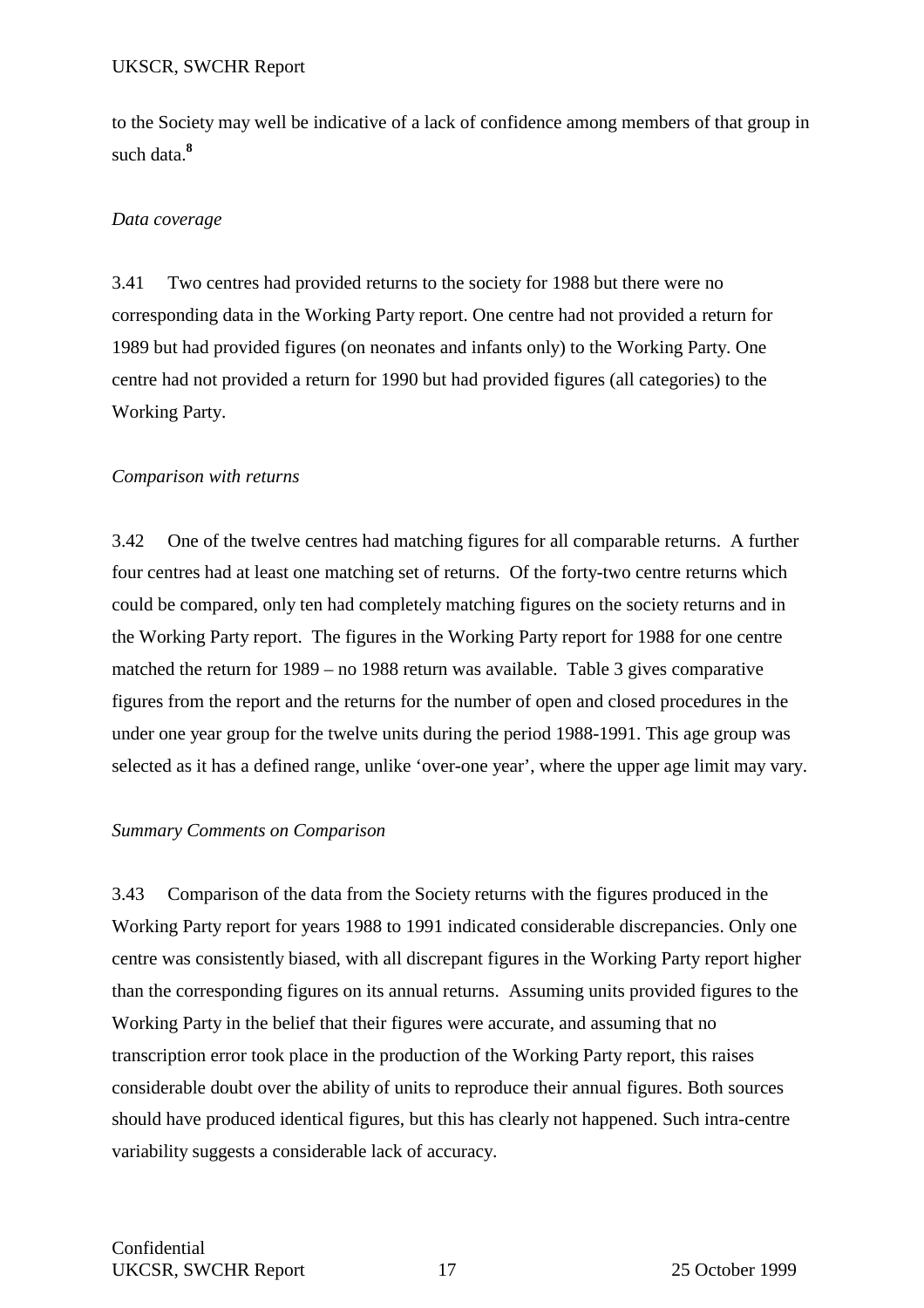to the Society may well be indicative of a lack of confidence among members of that group in such data.**<sup>8</sup>**

### *Data coverage*

3.41 Two centres had provided returns to the society for 1988 but there were no corresponding data in the Working Party report. One centre had not provided a return for 1989 but had provided figures (on neonates and infants only) to the Working Party. One centre had not provided a return for 1990 but had provided figures (all categories) to the Working Party.

#### *Comparison with returns*

3.42 One of the twelve centres had matching figures for all comparable returns. A further four centres had at least one matching set of returns. Of the forty-two centre returns which could be compared, only ten had completely matching figures on the society returns and in the Working Party report. The figures in the Working Party report for 1988 for one centre matched the return for 1989 – no 1988 return was available. Table 3 gives comparative figures from the report and the returns for the number of open and closed procedures in the under one year group for the twelve units during the period 1988-1991. This age group was selected as it has a defined range, unlike 'over-one year', where the upper age limit may vary.

#### *Summary Comments on Comparison*

3.43 Comparison of the data from the Society returns with the figures produced in the Working Party report for years 1988 to 1991 indicated considerable discrepancies. Only one centre was consistently biased, with all discrepant figures in the Working Party report higher than the corresponding figures on its annual returns. Assuming units provided figures to the Working Party in the belief that their figures were accurate, and assuming that no transcription error took place in the production of the Working Party report, this raises considerable doubt over the ability of units to reproduce their annual figures. Both sources should have produced identical figures, but this has clearly not happened. Such intra-centre variability suggests a considerable lack of accuracy.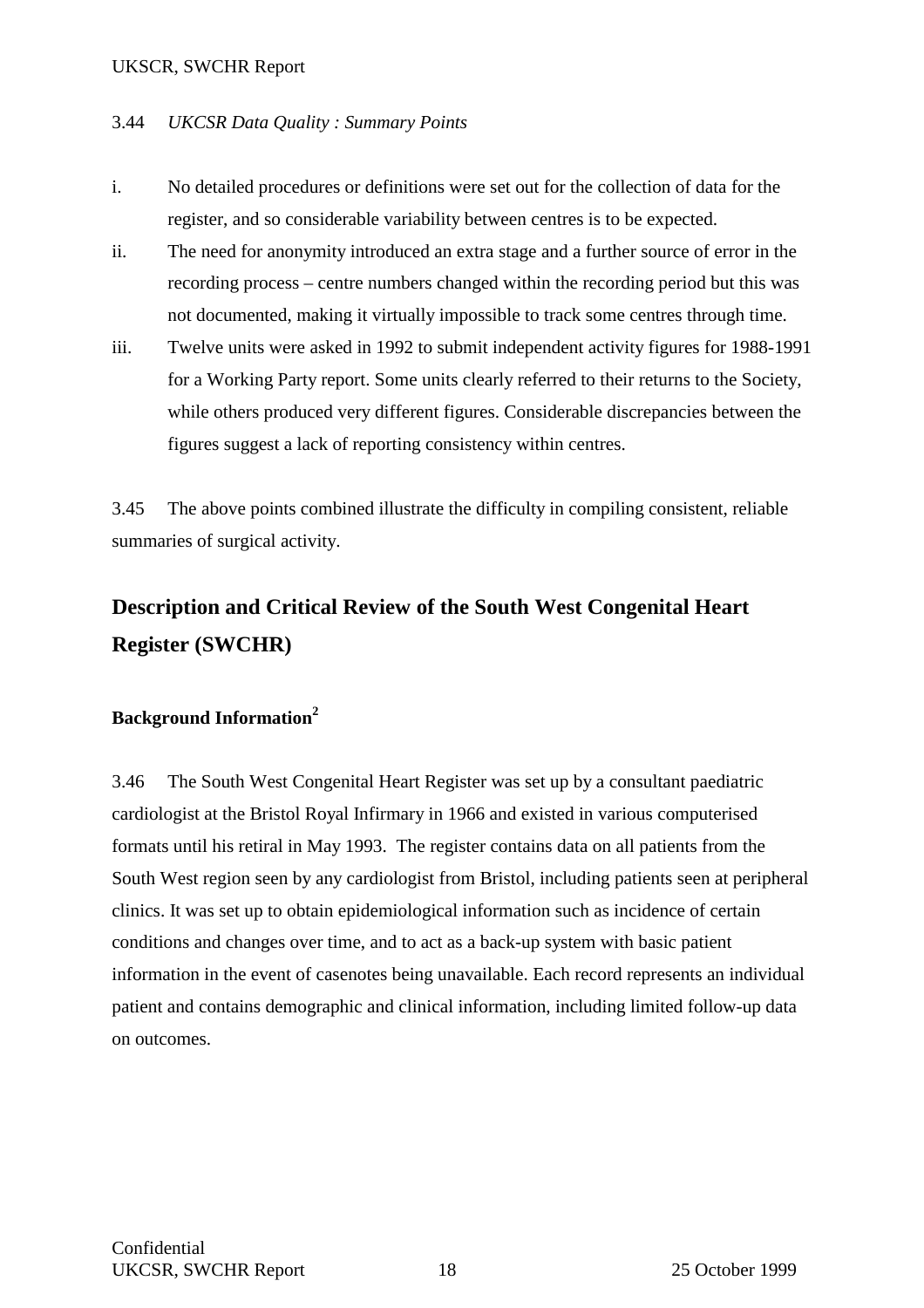### 3.44 *UKCSR Data Quality : Summary Points*

- i. No detailed procedures or definitions were set out for the collection of data for the register, and so considerable variability between centres is to be expected.
- ii. The need for anonymity introduced an extra stage and a further source of error in the recording process – centre numbers changed within the recording period but this was not documented, making it virtually impossible to track some centres through time.
- iii. Twelve units were asked in 1992 to submit independent activity figures for 1988-1991 for a Working Party report. Some units clearly referred to their returns to the Society, while others produced very different figures. Considerable discrepancies between the figures suggest a lack of reporting consistency within centres.

3.45 The above points combined illustrate the difficulty in compiling consistent, reliable summaries of surgical activity.

## **Description and Critical Review of the South West Congenital Heart Register (SWCHR)**

## **Background Information<sup>2</sup>**

3.46 The South West Congenital Heart Register was set up by a consultant paediatric cardiologist at the Bristol Royal Infirmary in 1966 and existed in various computerised formats until his retiral in May 1993. The register contains data on all patients from the South West region seen by any cardiologist from Bristol, including patients seen at peripheral clinics. It was set up to obtain epidemiological information such as incidence of certain conditions and changes over time, and to act as a back-up system with basic patient information in the event of casenotes being unavailable. Each record represents an individual patient and contains demographic and clinical information, including limited follow-up data on outcomes.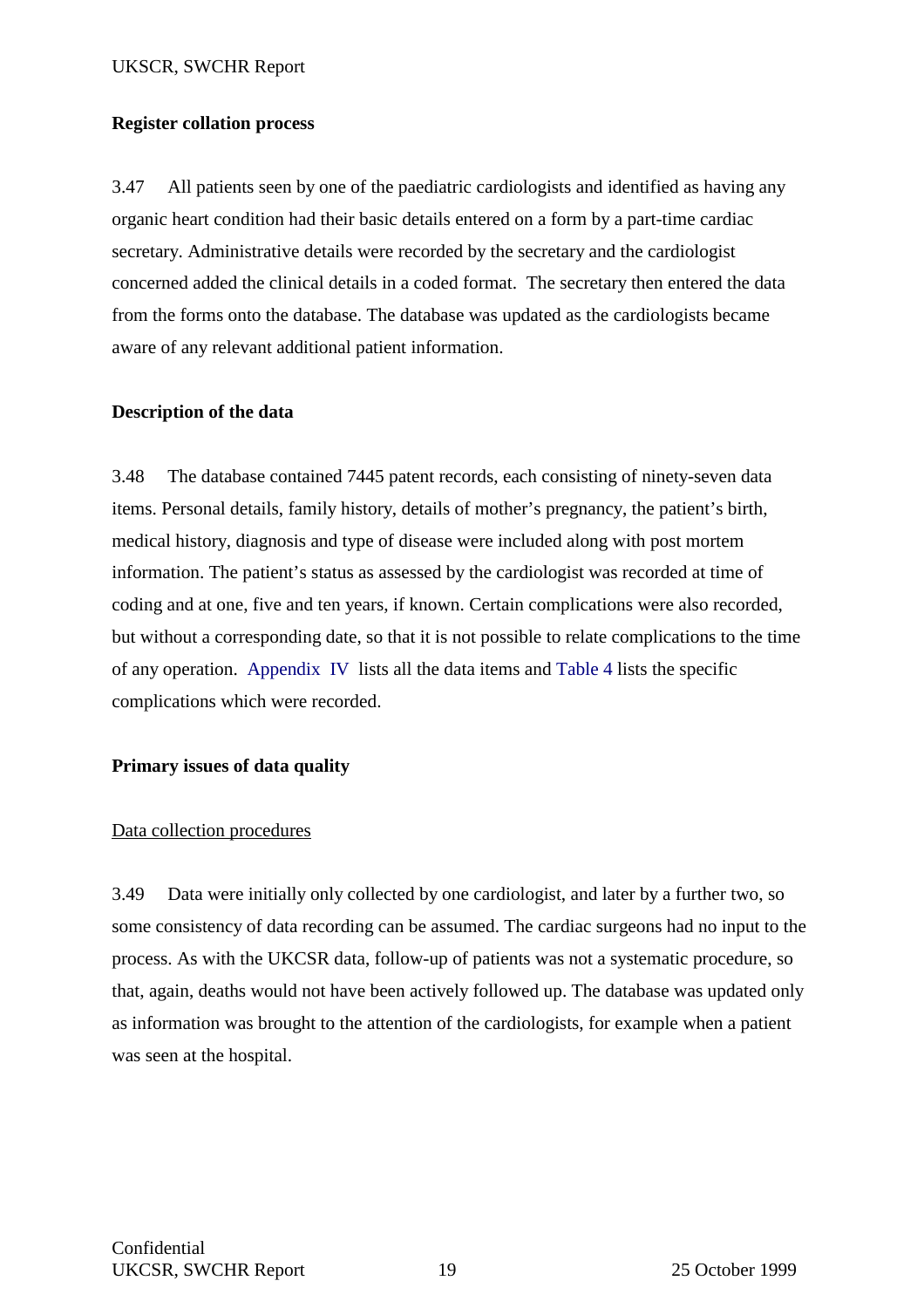#### **Register collation process**

3.47 All patients seen by one of the paediatric cardiologists and identified as having any organic heart condition had their basic details entered on a form by a part-time cardiac secretary. Administrative details were recorded by the secretary and the cardiologist concerned added the clinical details in a coded format. The secretary then entered the data from the forms onto the database. The database was updated as the cardiologists became aware of any relevant additional patient information.

### **Description of the data**

3.48 The database contained 7445 patent records, each consisting of ninety-seven data items. Personal details, family history, details of mother's pregnancy, the patient's birth, medical history, diagnosis and type of disease were included along with post mortem information. The patient's status as assessed by the cardiologist was recorded at time of coding and at one, five and ten years, if known. Certain complications were also recorded, but without a corresponding date, so that it is not possible to relate complications to the time of any operation. Appendix IV lists all the data items and Table 4 lists the specific complications which were recorded.

## **Primary issues of data quality**

## Data collection procedures

3.49 Data were initially only collected by one cardiologist, and later by a further two, so some consistency of data recording can be assumed. The cardiac surgeons had no input to the process. As with the UKCSR data, follow-up of patients was not a systematic procedure, so that, again, deaths would not have been actively followed up. The database was updated only as information was brought to the attention of the cardiologists, for example when a patient was seen at the hospital.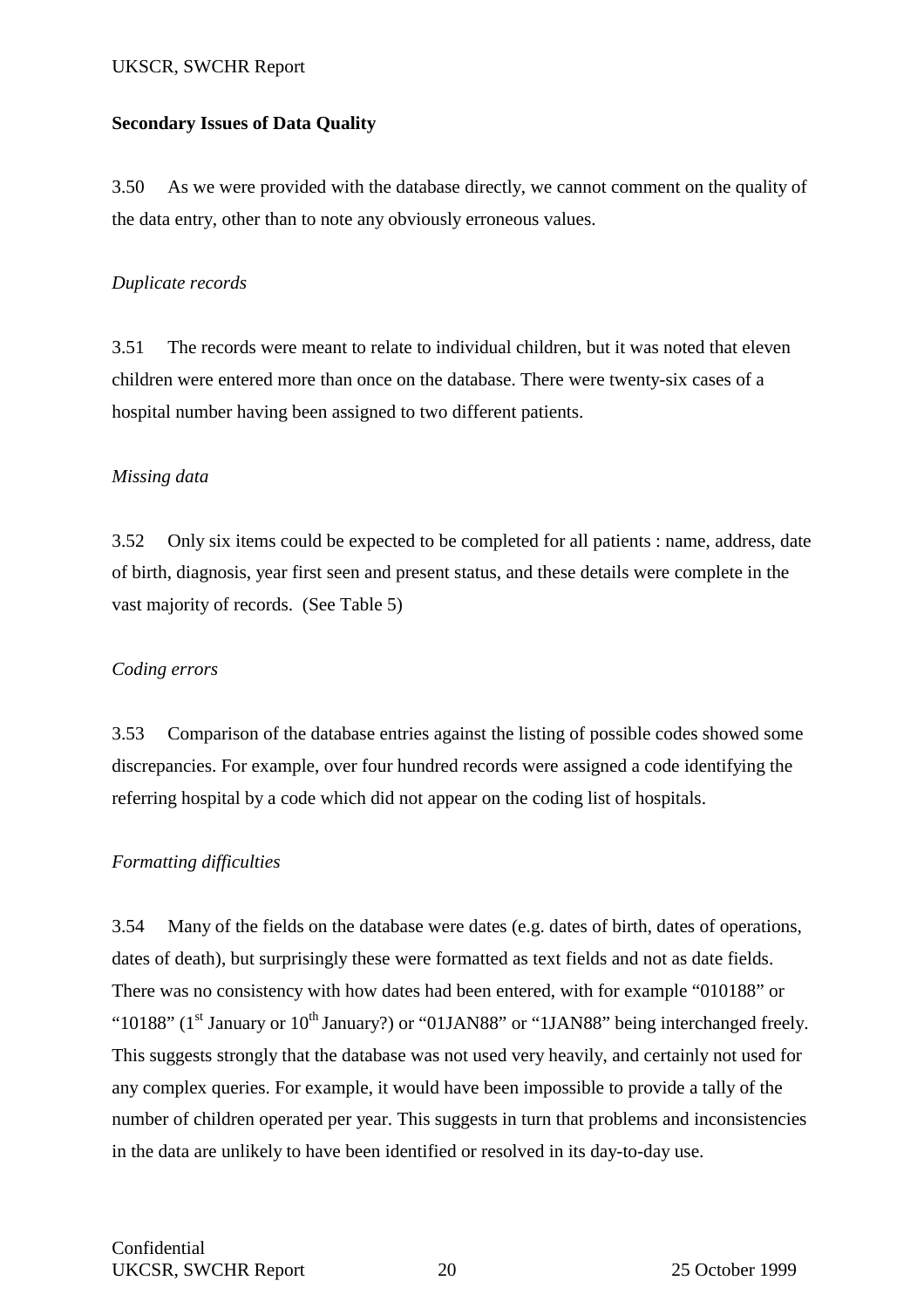### **Secondary Issues of Data Quality**

3.50 As we were provided with the database directly, we cannot comment on the quality of the data entry, other than to note any obviously erroneous values.

### *Duplicate records*

3.51 The records were meant to relate to individual children, but it was noted that eleven children were entered more than once on the database. There were twenty-six cases of a hospital number having been assigned to two different patients.

### *Missing data*

3.52 Only six items could be expected to be completed for all patients : name, address, date of birth, diagnosis, year first seen and present status, and these details were complete in the vast majority of records. (See Table 5)

## *Coding errors*

3.53 Comparison of the database entries against the listing of possible codes showed some discrepancies. For example, over four hundred records were assigned a code identifying the referring hospital by a code which did not appear on the coding list of hospitals.

## *Formatting difficulties*

3.54 Many of the fields on the database were dates (e.g. dates of birth, dates of operations, dates of death), but surprisingly these were formatted as text fields and not as date fields. There was no consistency with how dates had been entered, with for example "010188" or "10188" (1<sup>st</sup> January or 10<sup>th</sup> January?) or "01JAN88" or "1JAN88" being interchanged freely. This suggests strongly that the database was not used very heavily, and certainly not used for any complex queries. For example, it would have been impossible to provide a tally of the number of children operated per year. This suggests in turn that problems and inconsistencies in the data are unlikely to have been identified or resolved in its day-to-day use.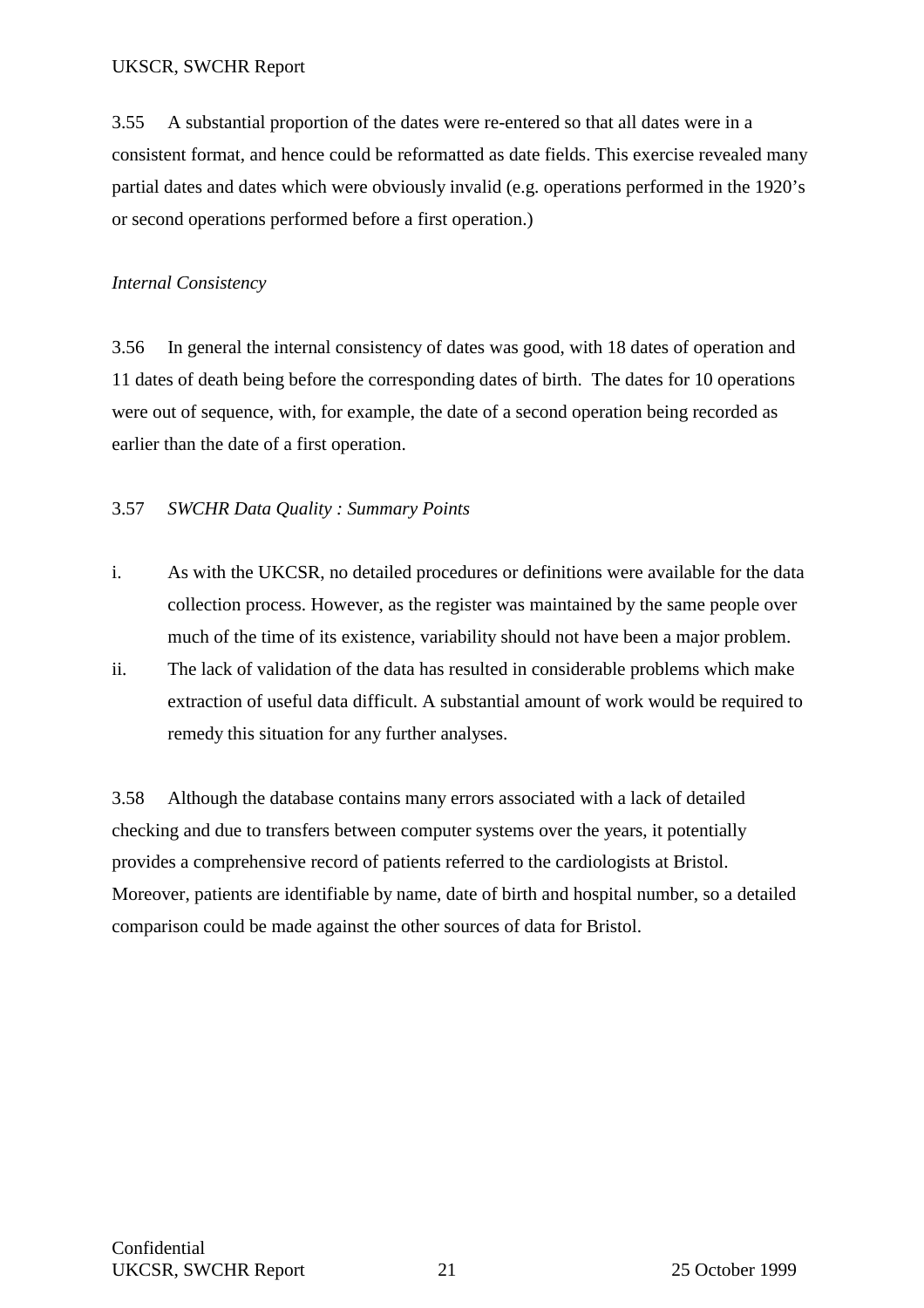3.55 A substantial proportion of the dates were re-entered so that all dates were in a consistent format, and hence could be reformatted as date fields. This exercise revealed many partial dates and dates which were obviously invalid (e.g. operations performed in the 1920's or second operations performed before a first operation.)

## *Internal Consistency*

3.56 In general the internal consistency of dates was good, with 18 dates of operation and 11 dates of death being before the corresponding dates of birth. The dates for 10 operations were out of sequence, with, for example, the date of a second operation being recorded as earlier than the date of a first operation.

## 3.57 *SWCHR Data Quality : Summary Points*

- i. As with the UKCSR, no detailed procedures or definitions were available for the data collection process. However, as the register was maintained by the same people over much of the time of its existence, variability should not have been a major problem.
- ii. The lack of validation of the data has resulted in considerable problems which make extraction of useful data difficult. A substantial amount of work would be required to remedy this situation for any further analyses.

3.58 Although the database contains many errors associated with a lack of detailed checking and due to transfers between computer systems over the years, it potentially provides a comprehensive record of patients referred to the cardiologists at Bristol. Moreover, patients are identifiable by name, date of birth and hospital number, so a detailed comparison could be made against the other sources of data for Bristol.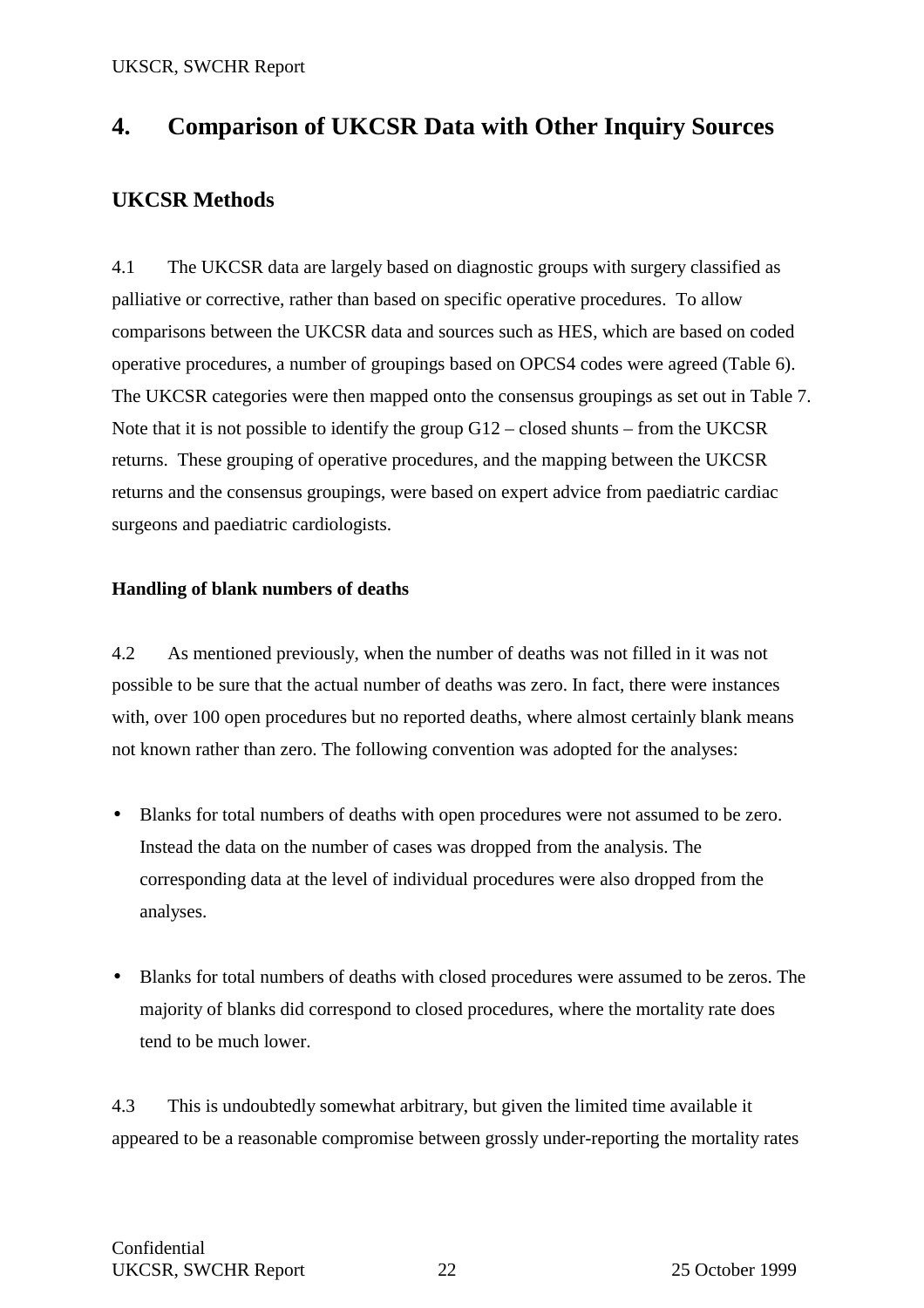## **4. Comparison of UKCSR Data with Other Inquiry Sources**

## **UKCSR Methods**

4.1 The UKCSR data are largely based on diagnostic groups with surgery classified as palliative or corrective, rather than based on specific operative procedures. To allow comparisons between the UKCSR data and sources such as HES, which are based on coded operative procedures, a number of groupings based on OPCS4 codes were agreed (Table 6). The UKCSR categories were then mapped onto the consensus groupings as set out in Table 7. Note that it is not possible to identify the group G12 – closed shunts – from the UKCSR returns. These grouping of operative procedures, and the mapping between the UKCSR returns and the consensus groupings, were based on expert advice from paediatric cardiac surgeons and paediatric cardiologists.

## **Handling of blank numbers of deaths**

4.2 As mentioned previously, when the number of deaths was not filled in it was not possible to be sure that the actual number of deaths was zero. In fact, there were instances with, over 100 open procedures but no reported deaths, where almost certainly blank means not known rather than zero. The following convention was adopted for the analyses:

- Blanks for total numbers of deaths with open procedures were not assumed to be zero. Instead the data on the number of cases was dropped from the analysis. The corresponding data at the level of individual procedures were also dropped from the analyses.
- Blanks for total numbers of deaths with closed procedures were assumed to be zeros. The majority of blanks did correspond to closed procedures, where the mortality rate does tend to be much lower.

4.3 This is undoubtedly somewhat arbitrary, but given the limited time available it appeared to be a reasonable compromise between grossly under-reporting the mortality rates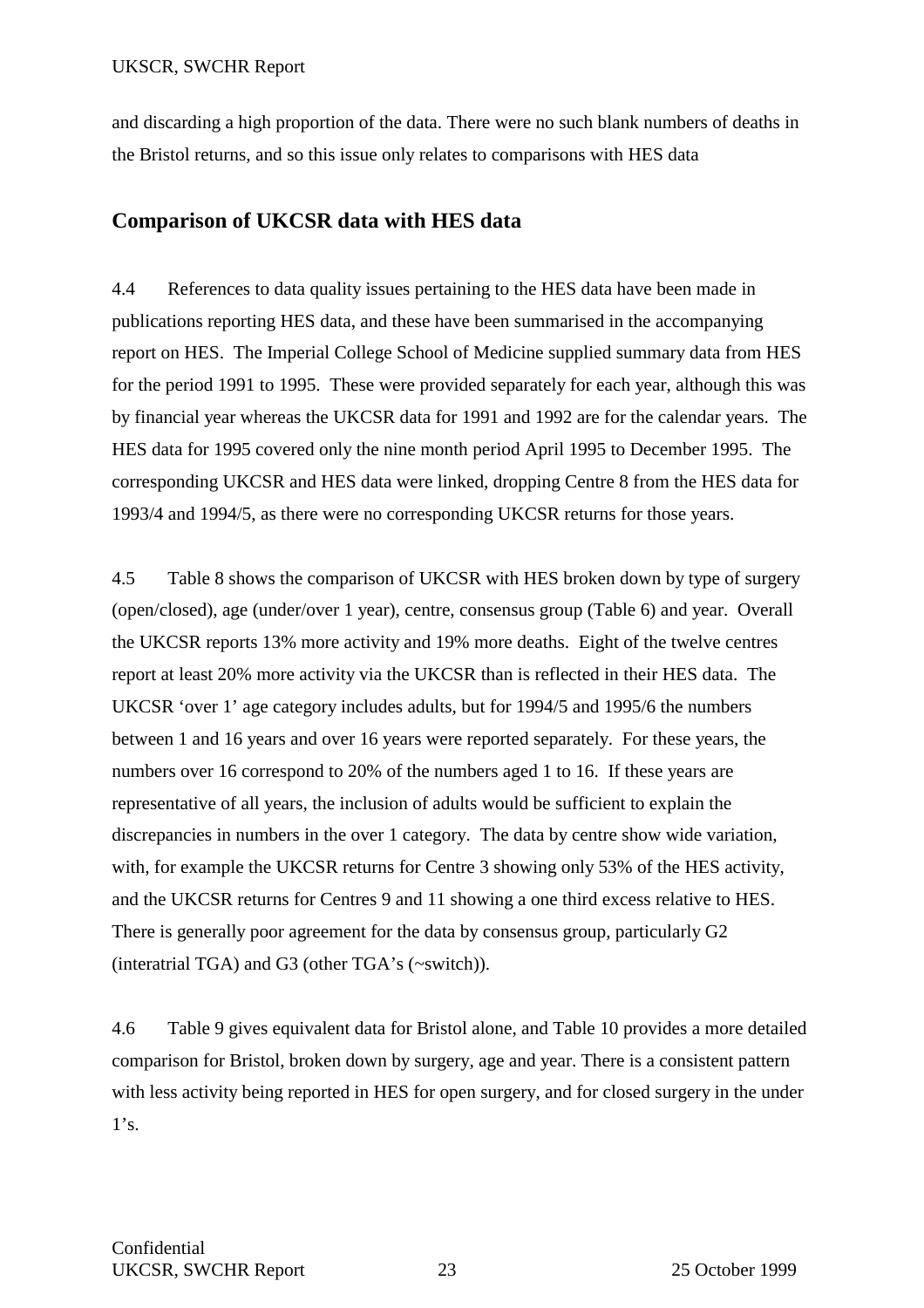and discarding a high proportion of the data. There were no such blank numbers of deaths in the Bristol returns, and so this issue only relates to comparisons with HES data

## **Comparison of UKCSR data with HES data**

4.4 References to data quality issues pertaining to the HES data have been made in publications reporting HES data, and these have been summarised in the accompanying report on HES. The Imperial College School of Medicine supplied summary data from HES for the period 1991 to 1995. These were provided separately for each year, although this was by financial year whereas the UKCSR data for 1991 and 1992 are for the calendar years. The HES data for 1995 covered only the nine month period April 1995 to December 1995. The corresponding UKCSR and HES data were linked, dropping Centre 8 from the HES data for 1993/4 and 1994/5, as there were no corresponding UKCSR returns for those years.

4.5 Table 8 shows the comparison of UKCSR with HES broken down by type of surgery (open/closed), age (under/over 1 year), centre, consensus group (Table 6) and year. Overall the UKCSR reports 13% more activity and 19% more deaths. Eight of the twelve centres report at least 20% more activity via the UKCSR than is reflected in their HES data. The UKCSR 'over 1' age category includes adults, but for 1994/5 and 1995/6 the numbers between 1 and 16 years and over 16 years were reported separately. For these years, the numbers over 16 correspond to 20% of the numbers aged 1 to 16. If these years are representative of all years, the inclusion of adults would be sufficient to explain the discrepancies in numbers in the over 1 category. The data by centre show wide variation, with, for example the UKCSR returns for Centre 3 showing only 53% of the HES activity, and the UKCSR returns for Centres 9 and 11 showing a one third excess relative to HES. There is generally poor agreement for the data by consensus group, particularly G2 (interatrial TGA) and G3 (other TGA's (~switch)).

4.6 Table 9 gives equivalent data for Bristol alone, and Table 10 provides a more detailed comparison for Bristol, broken down by surgery, age and year. There is a consistent pattern with less activity being reported in HES for open surgery, and for closed surgery in the under  $1's.$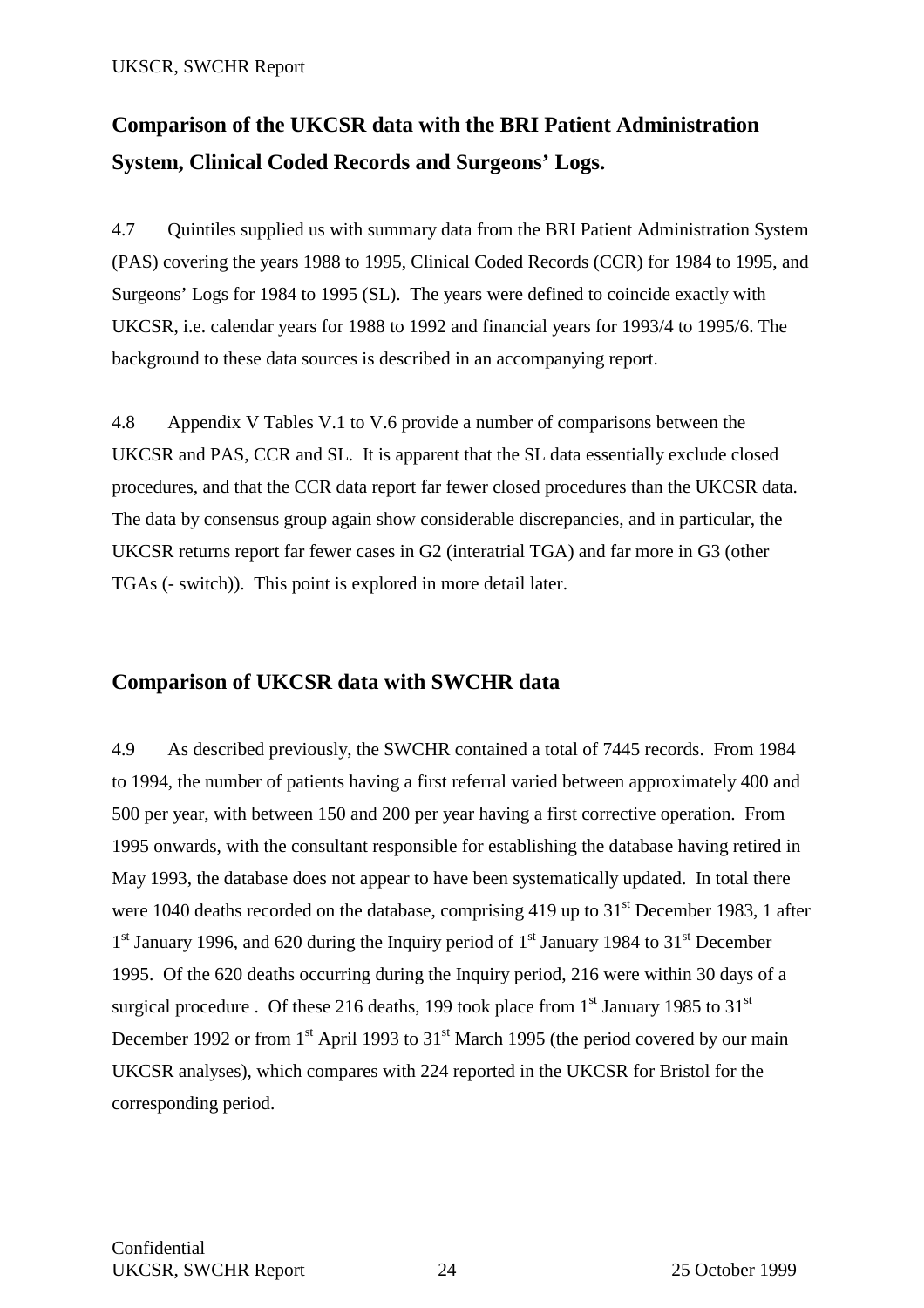## **Comparison of the UKCSR data with the BRI Patient Administration System, Clinical Coded Records and Surgeons' Logs.**

4.7 Quintiles supplied us with summary data from the BRI Patient Administration System (PAS) covering the years 1988 to 1995, Clinical Coded Records (CCR) for 1984 to 1995, and Surgeons' Logs for 1984 to 1995 (SL). The years were defined to coincide exactly with UKCSR, i.e. calendar years for 1988 to 1992 and financial years for 1993/4 to 1995/6. The background to these data sources is described in an accompanying report.

4.8 Appendix V Tables V.1 to V.6 provide a number of comparisons between the UKCSR and PAS, CCR and SL. It is apparent that the SL data essentially exclude closed procedures, and that the CCR data report far fewer closed procedures than the UKCSR data. The data by consensus group again show considerable discrepancies, and in particular, the UKCSR returns report far fewer cases in G2 (interatrial TGA) and far more in G3 (other TGAs (- switch)). This point is explored in more detail later.

## **Comparison of UKCSR data with SWCHR data**

4.9 As described previously, the SWCHR contained a total of 7445 records. From 1984 to 1994, the number of patients having a first referral varied between approximately 400 and 500 per year, with between 150 and 200 per year having a first corrective operation. From 1995 onwards, with the consultant responsible for establishing the database having retired in May 1993, the database does not appear to have been systematically updated. In total there were 1040 deaths recorded on the database, comprising 419 up to  $31<sup>st</sup>$  December 1983, 1 after  $1<sup>st</sup>$  January 1996, and 620 during the Inquiry period of  $1<sup>st</sup>$  January 1984 to 31<sup>st</sup> December 1995. Of the 620 deaths occurring during the Inquiry period, 216 were within 30 days of a surgical procedure . Of these 216 deaths, 199 took place from  $1<sup>st</sup>$  January 1985 to 31 $<sup>st</sup>$ </sup> December 1992 or from  $1<sup>st</sup>$  April 1993 to  $31<sup>st</sup>$  March 1995 (the period covered by our main UKCSR analyses), which compares with 224 reported in the UKCSR for Bristol for the corresponding period.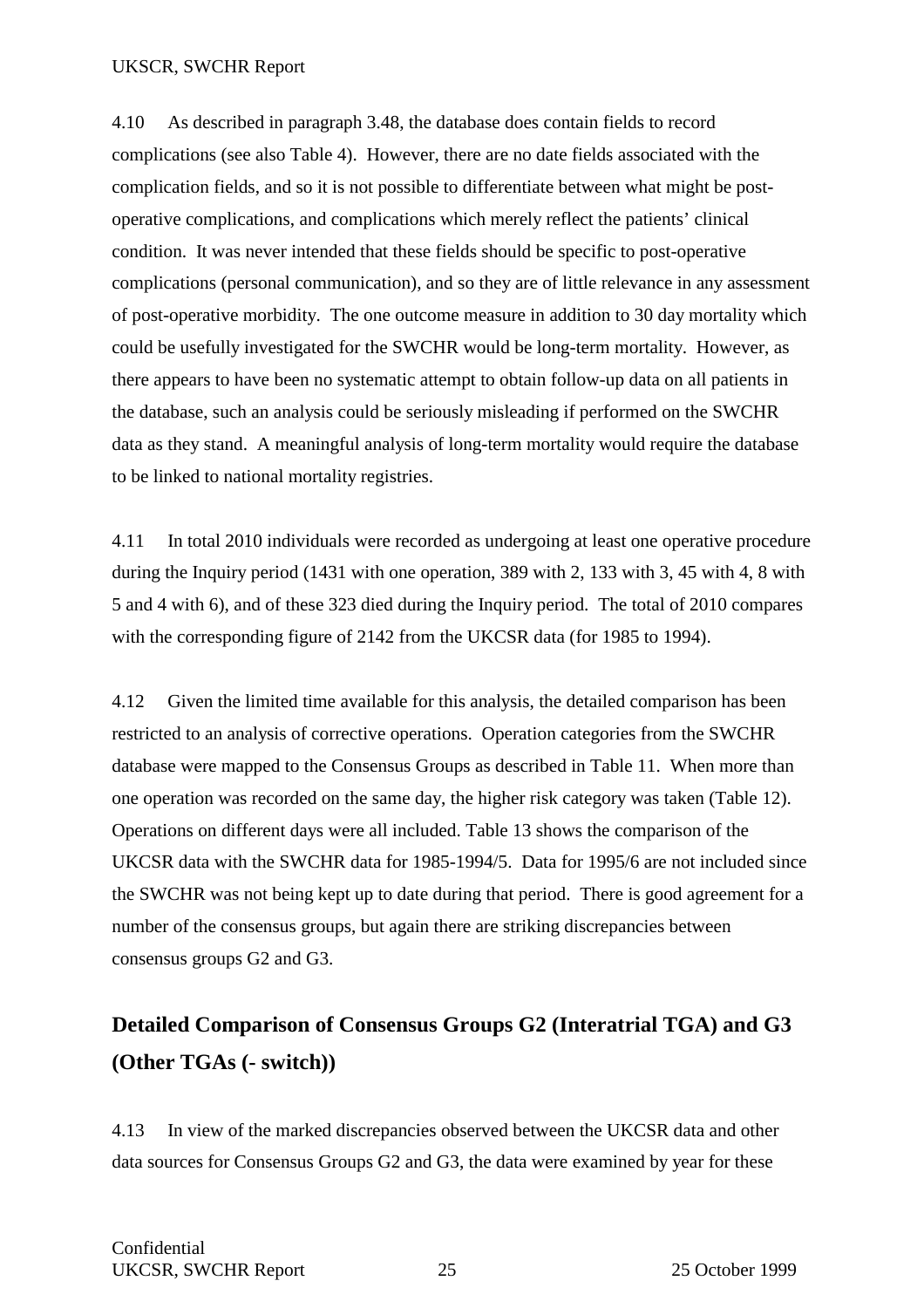4.10 As described in paragraph 3.48, the database does contain fields to record complications (see also Table 4). However, there are no date fields associated with the complication fields, and so it is not possible to differentiate between what might be postoperative complications, and complications which merely reflect the patients' clinical condition. It was never intended that these fields should be specific to post-operative complications (personal communication), and so they are of little relevance in any assessment of post-operative morbidity. The one outcome measure in addition to 30 day mortality which could be usefully investigated for the SWCHR would be long-term mortality. However, as there appears to have been no systematic attempt to obtain follow-up data on all patients in the database, such an analysis could be seriously misleading if performed on the SWCHR data as they stand. A meaningful analysis of long-term mortality would require the database to be linked to national mortality registries.

4.11 In total 2010 individuals were recorded as undergoing at least one operative procedure during the Inquiry period (1431 with one operation, 389 with 2, 133 with 3, 45 with 4, 8 with 5 and 4 with 6), and of these 323 died during the Inquiry period. The total of 2010 compares with the corresponding figure of 2142 from the UKCSR data (for 1985 to 1994).

4.12 Given the limited time available for this analysis, the detailed comparison has been restricted to an analysis of corrective operations. Operation categories from the SWCHR database were mapped to the Consensus Groups as described in Table 11. When more than one operation was recorded on the same day, the higher risk category was taken (Table 12). Operations on different days were all included. Table 13 shows the comparison of the UKCSR data with the SWCHR data for 1985-1994/5. Data for 1995/6 are not included since the SWCHR was not being kept up to date during that period. There is good agreement for a number of the consensus groups, but again there are striking discrepancies between consensus groups G2 and G3.

## **Detailed Comparison of Consensus Groups G2 (Interatrial TGA) and G3 (Other TGAs (- switch))**

4.13 In view of the marked discrepancies observed between the UKCSR data and other data sources for Consensus Groups G2 and G3, the data were examined by year for these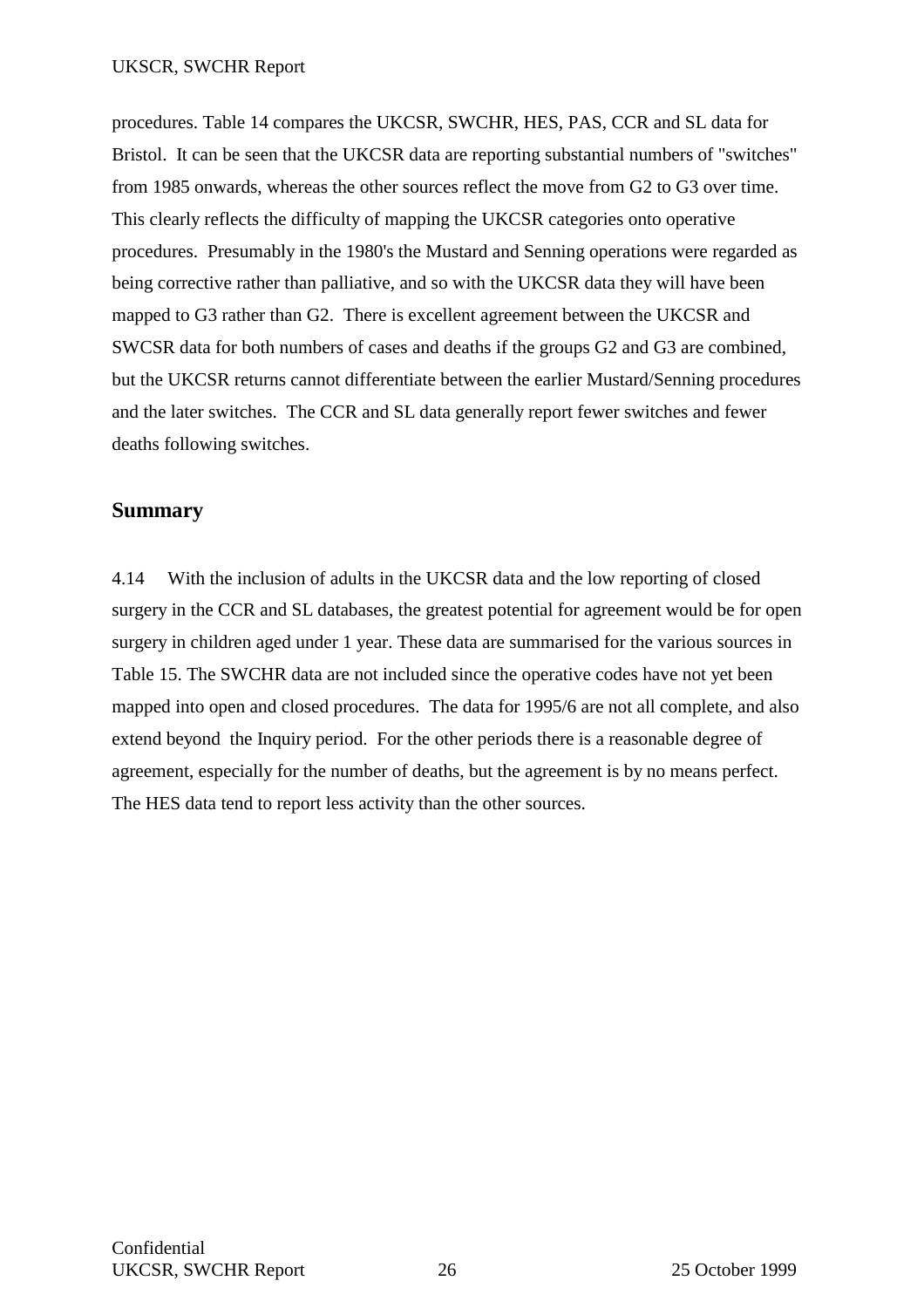procedures. Table 14 compares the UKCSR, SWCHR, HES, PAS, CCR and SL data for Bristol. It can be seen that the UKCSR data are reporting substantial numbers of "switches" from 1985 onwards, whereas the other sources reflect the move from G2 to G3 over time. This clearly reflects the difficulty of mapping the UKCSR categories onto operative procedures. Presumably in the 1980's the Mustard and Senning operations were regarded as being corrective rather than palliative, and so with the UKCSR data they will have been mapped to G3 rather than G2. There is excellent agreement between the UKCSR and SWCSR data for both numbers of cases and deaths if the groups G2 and G3 are combined, but the UKCSR returns cannot differentiate between the earlier Mustard/Senning procedures and the later switches. The CCR and SL data generally report fewer switches and fewer deaths following switches.

## **Summary**

4.14 With the inclusion of adults in the UKCSR data and the low reporting of closed surgery in the CCR and SL databases, the greatest potential for agreement would be for open surgery in children aged under 1 year. These data are summarised for the various sources in Table 15. The SWCHR data are not included since the operative codes have not yet been mapped into open and closed procedures. The data for 1995/6 are not all complete, and also extend beyond the Inquiry period. For the other periods there is a reasonable degree of agreement, especially for the number of deaths, but the agreement is by no means perfect. The HES data tend to report less activity than the other sources.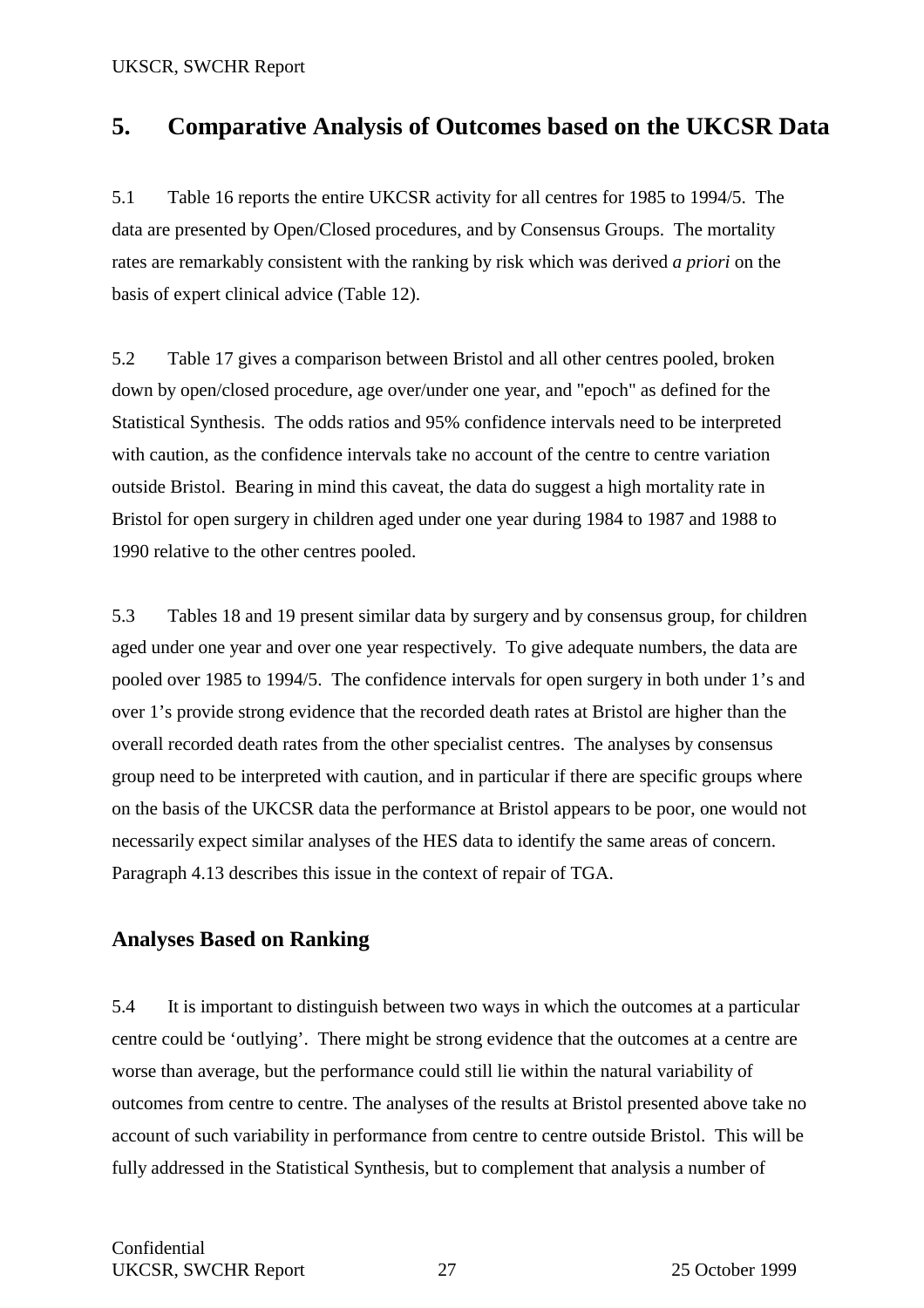## **5. Comparative Analysis of Outcomes based on the UKCSR Data**

5.1 Table 16 reports the entire UKCSR activity for all centres for 1985 to 1994/5. The data are presented by Open/Closed procedures, and by Consensus Groups. The mortality rates are remarkably consistent with the ranking by risk which was derived *a priori* on the basis of expert clinical advice (Table 12).

5.2 Table 17 gives a comparison between Bristol and all other centres pooled, broken down by open/closed procedure, age over/under one year, and "epoch" as defined for the Statistical Synthesis. The odds ratios and 95% confidence intervals need to be interpreted with caution, as the confidence intervals take no account of the centre to centre variation outside Bristol. Bearing in mind this caveat, the data do suggest a high mortality rate in Bristol for open surgery in children aged under one year during 1984 to 1987 and 1988 to 1990 relative to the other centres pooled.

5.3 Tables 18 and 19 present similar data by surgery and by consensus group, for children aged under one year and over one year respectively. To give adequate numbers, the data are pooled over 1985 to 1994/5. The confidence intervals for open surgery in both under 1's and over 1's provide strong evidence that the recorded death rates at Bristol are higher than the overall recorded death rates from the other specialist centres. The analyses by consensus group need to be interpreted with caution, and in particular if there are specific groups where on the basis of the UKCSR data the performance at Bristol appears to be poor, one would not necessarily expect similar analyses of the HES data to identify the same areas of concern. Paragraph 4.13 describes this issue in the context of repair of TGA.

## **Analyses Based on Ranking**

5.4 It is important to distinguish between two ways in which the outcomes at a particular centre could be 'outlying'. There might be strong evidence that the outcomes at a centre are worse than average, but the performance could still lie within the natural variability of outcomes from centre to centre. The analyses of the results at Bristol presented above take no account of such variability in performance from centre to centre outside Bristol. This will be fully addressed in the Statistical Synthesis, but to complement that analysis a number of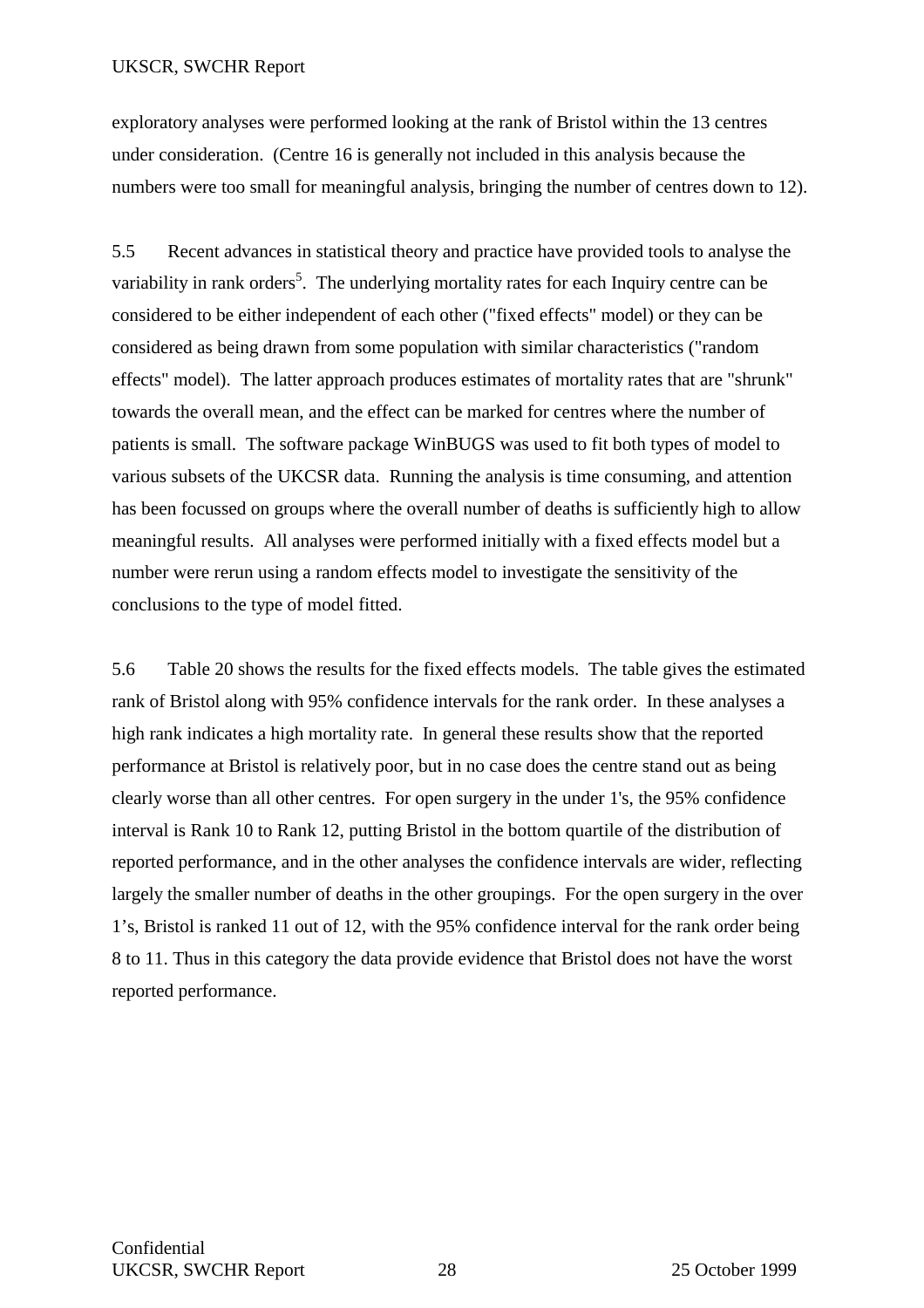exploratory analyses were performed looking at the rank of Bristol within the 13 centres under consideration. (Centre 16 is generally not included in this analysis because the numbers were too small for meaningful analysis, bringing the number of centres down to 12).

5.5 Recent advances in statistical theory and practice have provided tools to analyse the variability in rank orders<sup>5</sup>. The underlying mortality rates for each Inquiry centre can be considered to be either independent of each other ("fixed effects" model) or they can be considered as being drawn from some population with similar characteristics ("random effects" model). The latter approach produces estimates of mortality rates that are "shrunk" towards the overall mean, and the effect can be marked for centres where the number of patients is small. The software package WinBUGS was used to fit both types of model to various subsets of the UKCSR data. Running the analysis is time consuming, and attention has been focussed on groups where the overall number of deaths is sufficiently high to allow meaningful results. All analyses were performed initially with a fixed effects model but a number were rerun using a random effects model to investigate the sensitivity of the conclusions to the type of model fitted.

5.6 Table 20 shows the results for the fixed effects models. The table gives the estimated rank of Bristol along with 95% confidence intervals for the rank order. In these analyses a high rank indicates a high mortality rate. In general these results show that the reported performance at Bristol is relatively poor, but in no case does the centre stand out as being clearly worse than all other centres. For open surgery in the under 1's, the 95% confidence interval is Rank 10 to Rank 12, putting Bristol in the bottom quartile of the distribution of reported performance, and in the other analyses the confidence intervals are wider, reflecting largely the smaller number of deaths in the other groupings. For the open surgery in the over 1's, Bristol is ranked 11 out of 12, with the 95% confidence interval for the rank order being 8 to 11. Thus in this category the data provide evidence that Bristol does not have the worst reported performance.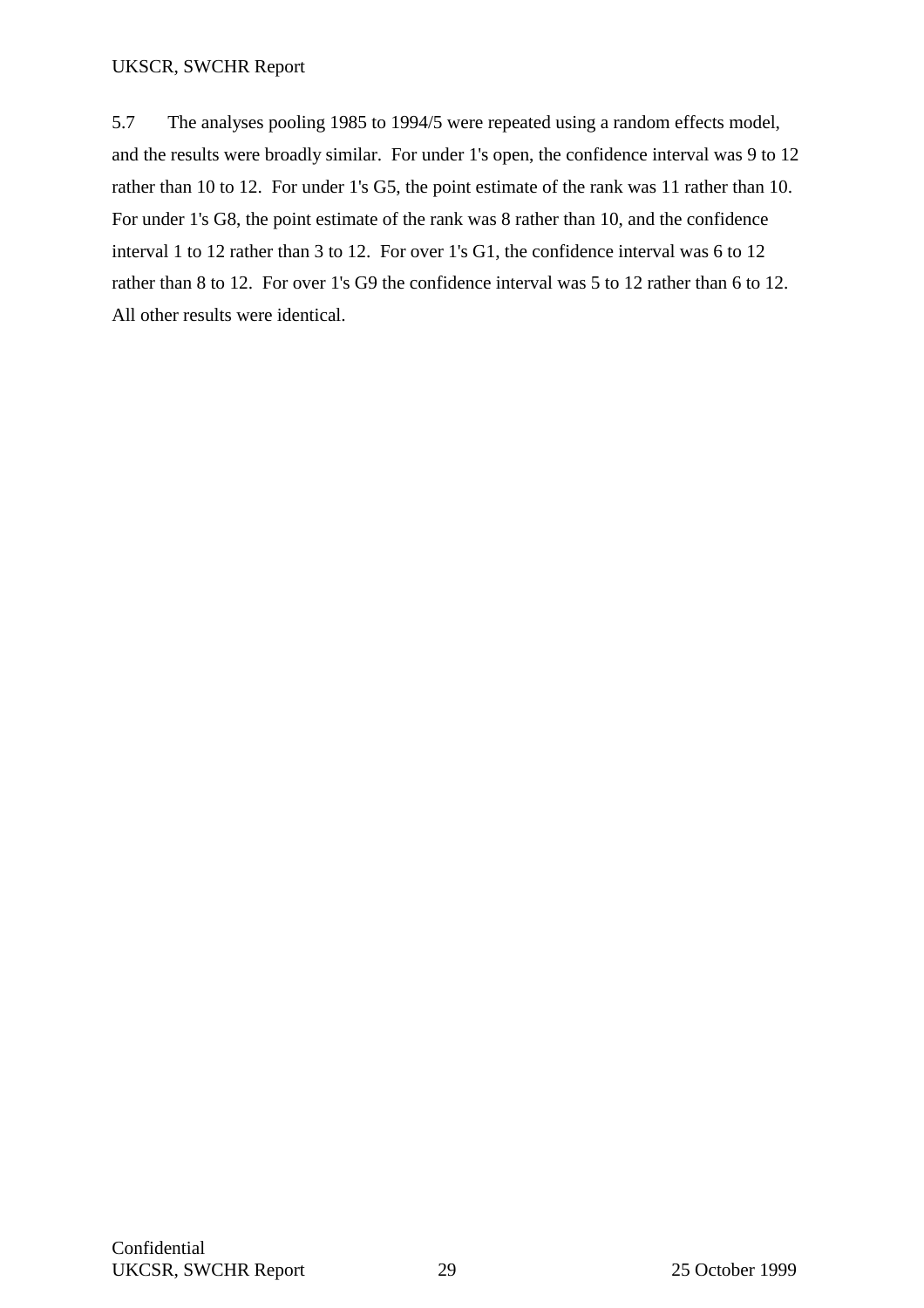5.7 The analyses pooling 1985 to 1994/5 were repeated using a random effects model, and the results were broadly similar. For under 1's open, the confidence interval was 9 to 12 rather than 10 to 12. For under 1's G5, the point estimate of the rank was 11 rather than 10. For under 1's G8, the point estimate of the rank was 8 rather than 10, and the confidence interval 1 to 12 rather than 3 to 12. For over 1's G1, the confidence interval was 6 to 12 rather than 8 to 12. For over 1's G9 the confidence interval was 5 to 12 rather than 6 to 12. All other results were identical.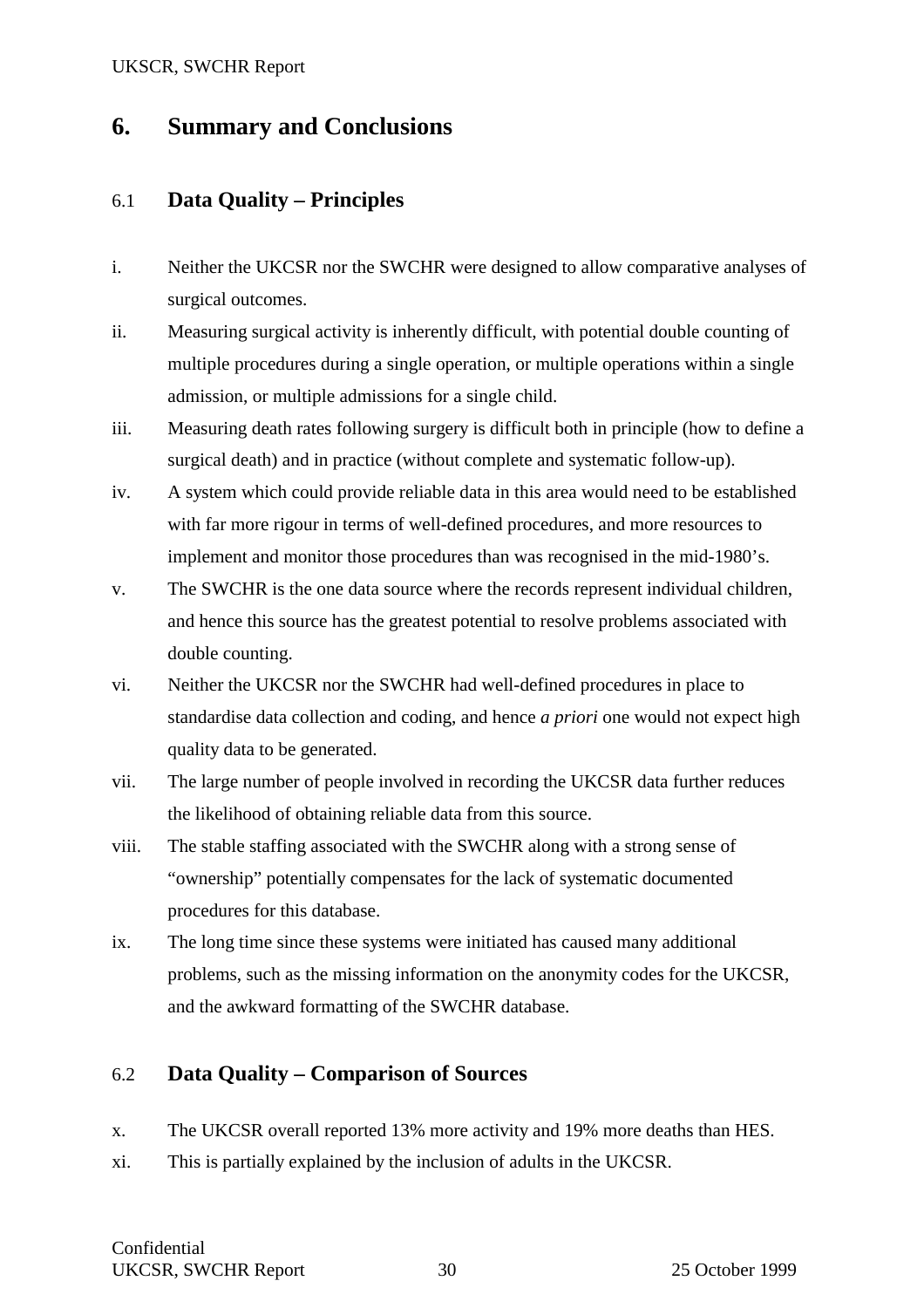## **6. Summary and Conclusions**

## 6.1 **Data Quality – Principles**

- i. Neither the UKCSR nor the SWCHR were designed to allow comparative analyses of surgical outcomes.
- ii. Measuring surgical activity is inherently difficult, with potential double counting of multiple procedures during a single operation, or multiple operations within a single admission, or multiple admissions for a single child.
- iii. Measuring death rates following surgery is difficult both in principle (how to define a surgical death) and in practice (without complete and systematic follow-up).
- iv. A system which could provide reliable data in this area would need to be established with far more rigour in terms of well-defined procedures, and more resources to implement and monitor those procedures than was recognised in the mid-1980's.
- v. The SWCHR is the one data source where the records represent individual children, and hence this source has the greatest potential to resolve problems associated with double counting.
- vi. Neither the UKCSR nor the SWCHR had well-defined procedures in place to standardise data collection and coding, and hence *a priori* one would not expect high quality data to be generated.
- vii. The large number of people involved in recording the UKCSR data further reduces the likelihood of obtaining reliable data from this source.
- viii. The stable staffing associated with the SWCHR along with a strong sense of "ownership" potentially compensates for the lack of systematic documented procedures for this database.
- ix. The long time since these systems were initiated has caused many additional problems, such as the missing information on the anonymity codes for the UKCSR, and the awkward formatting of the SWCHR database.

## 6.2 **Data Quality – Comparison of Sources**

- x. The UKCSR overall reported 13% more activity and 19% more deaths than HES.
- xi. This is partially explained by the inclusion of adults in the UKCSR.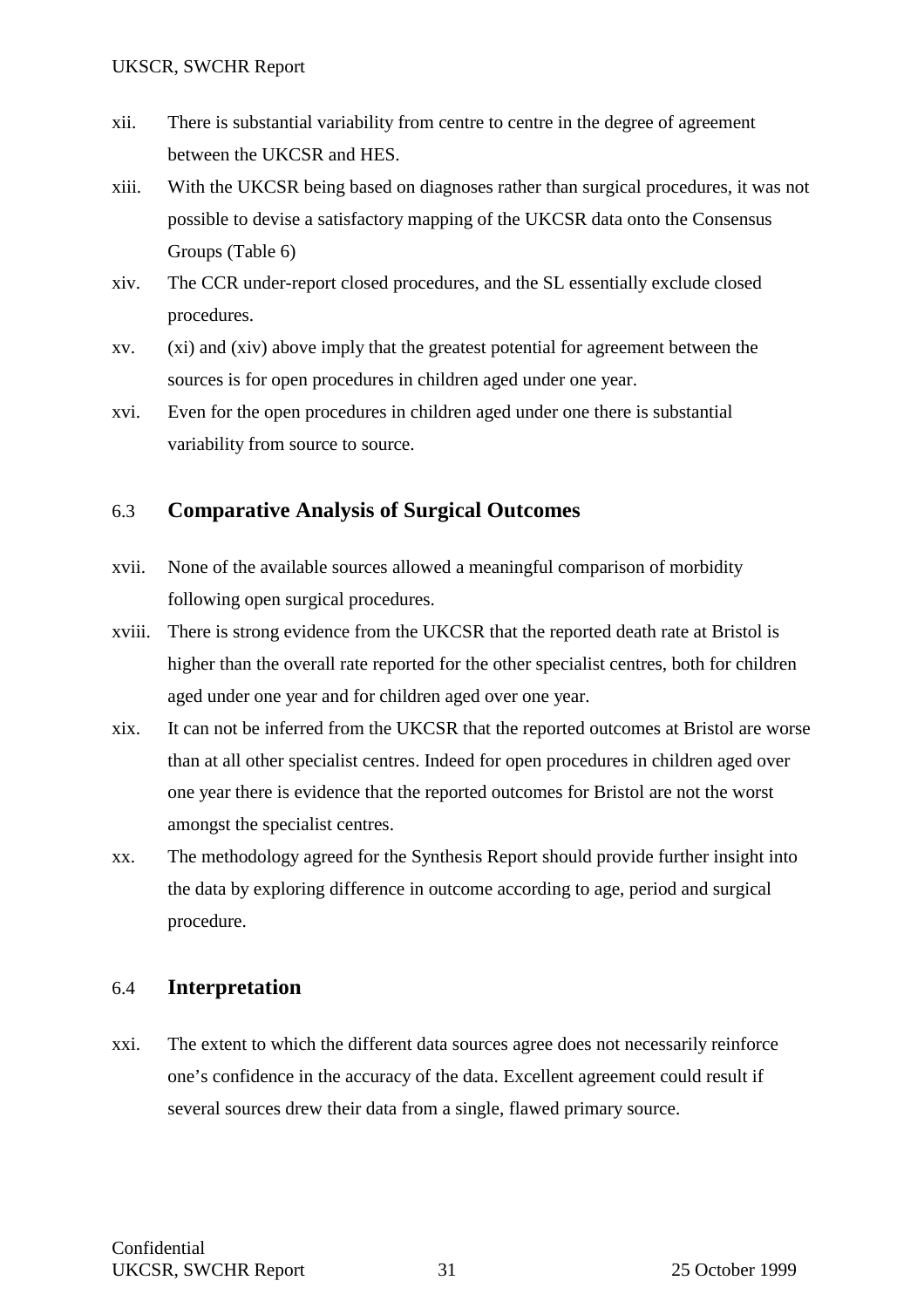- xii. There is substantial variability from centre to centre in the degree of agreement between the UKCSR and HES.
- xiii. With the UKCSR being based on diagnoses rather than surgical procedures, it was not possible to devise a satisfactory mapping of the UKCSR data onto the Consensus Groups (Table 6)
- xiv. The CCR under-report closed procedures, and the SL essentially exclude closed procedures.
- xv. (xi) and (xiv) above imply that the greatest potential for agreement between the sources is for open procedures in children aged under one year.
- xvi. Even for the open procedures in children aged under one there is substantial variability from source to source.

## 6.3 **Comparative Analysis of Surgical Outcomes**

- xvii. None of the available sources allowed a meaningful comparison of morbidity following open surgical procedures.
- xviii. There is strong evidence from the UKCSR that the reported death rate at Bristol is higher than the overall rate reported for the other specialist centres, both for children aged under one year and for children aged over one year.
- xix. It can not be inferred from the UKCSR that the reported outcomes at Bristol are worse than at all other specialist centres. Indeed for open procedures in children aged over one year there is evidence that the reported outcomes for Bristol are not the worst amongst the specialist centres.
- xx. The methodology agreed for the Synthesis Report should provide further insight into the data by exploring difference in outcome according to age, period and surgical procedure.

## 6.4 **Interpretation**

xxi. The extent to which the different data sources agree does not necessarily reinforce one's confidence in the accuracy of the data. Excellent agreement could result if several sources drew their data from a single, flawed primary source.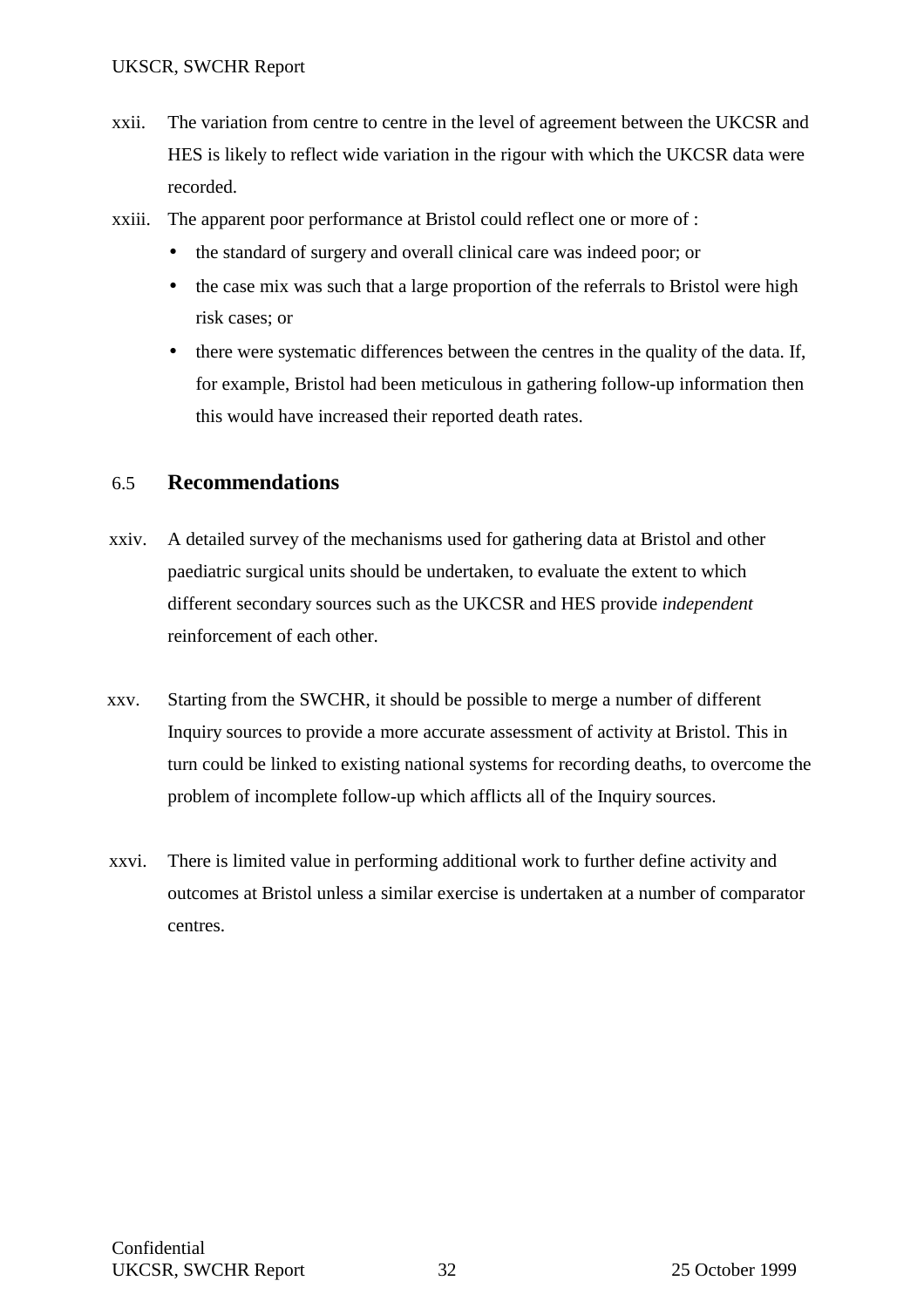- xxii. The variation from centre to centre in the level of agreement between the UKCSR and HES is likely to reflect wide variation in the rigour with which the UKCSR data were recorded.
- xxiii. The apparent poor performance at Bristol could reflect one or more of :
	- the standard of surgery and overall clinical care was indeed poor; or
	- the case mix was such that a large proportion of the referrals to Bristol were high risk cases; or
	- there were systematic differences between the centres in the quality of the data. If, for example, Bristol had been meticulous in gathering follow-up information then this would have increased their reported death rates.

## 6.5 **Recommendations**

- xxiv. A detailed survey of the mechanisms used for gathering data at Bristol and other paediatric surgical units should be undertaken, to evaluate the extent to which different secondary sources such as the UKCSR and HES provide *independent* reinforcement of each other.
- xxv. Starting from the SWCHR, it should be possible to merge a number of different Inquiry sources to provide a more accurate assessment of activity at Bristol. This in turn could be linked to existing national systems for recording deaths, to overcome the problem of incomplete follow-up which afflicts all of the Inquiry sources.
- xxvi. There is limited value in performing additional work to further define activity and outcomes at Bristol unless a similar exercise is undertaken at a number of comparator centres.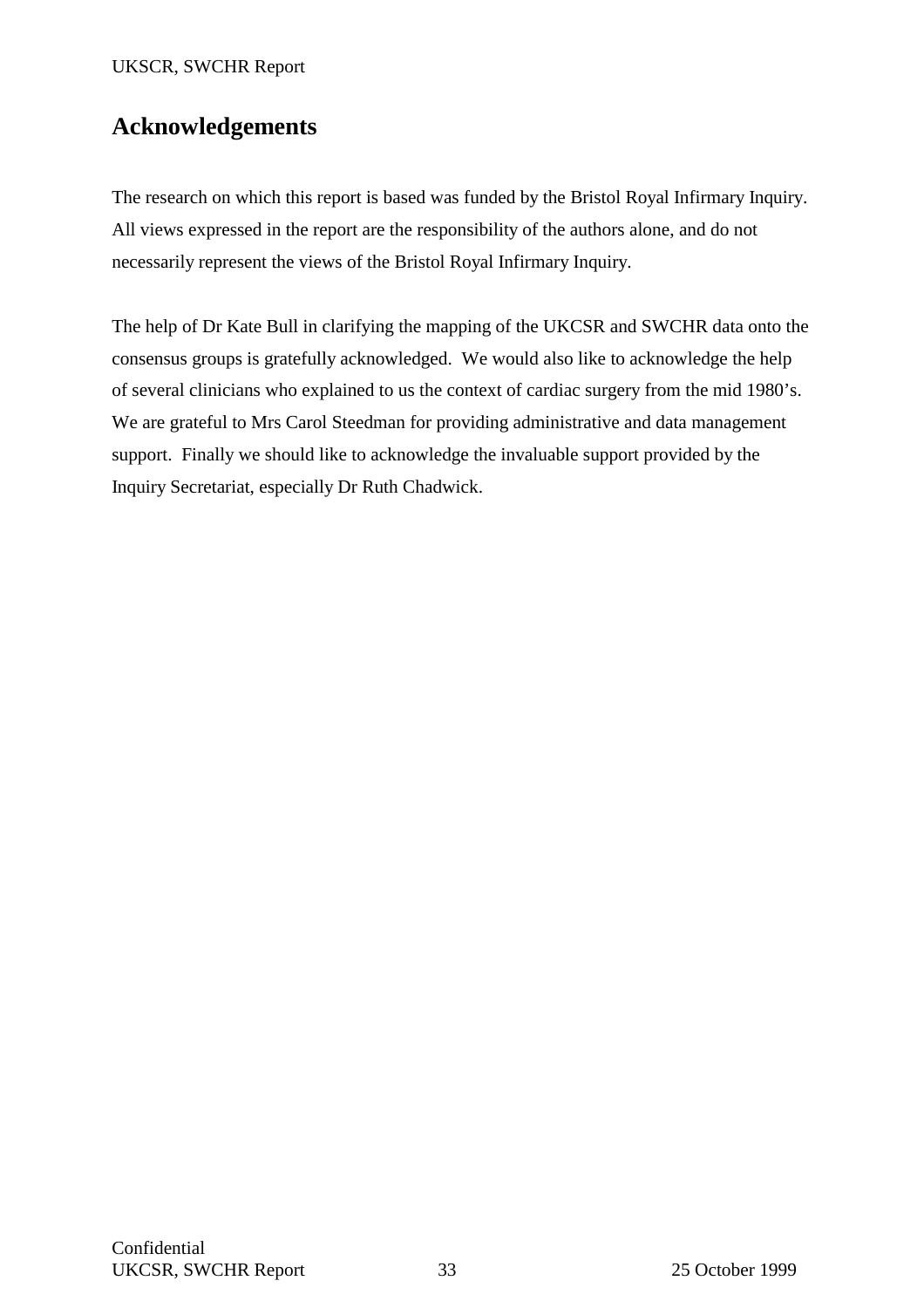## **Acknowledgements**

The research on which this report is based was funded by the Bristol Royal Infirmary Inquiry. All views expressed in the report are the responsibility of the authors alone, and do not necessarily represent the views of the Bristol Royal Infirmary Inquiry.

The help of Dr Kate Bull in clarifying the mapping of the UKCSR and SWCHR data onto the consensus groups is gratefully acknowledged. We would also like to acknowledge the help of several clinicians who explained to us the context of cardiac surgery from the mid 1980's. We are grateful to Mrs Carol Steedman for providing administrative and data management support. Finally we should like to acknowledge the invaluable support provided by the Inquiry Secretariat, especially Dr Ruth Chadwick.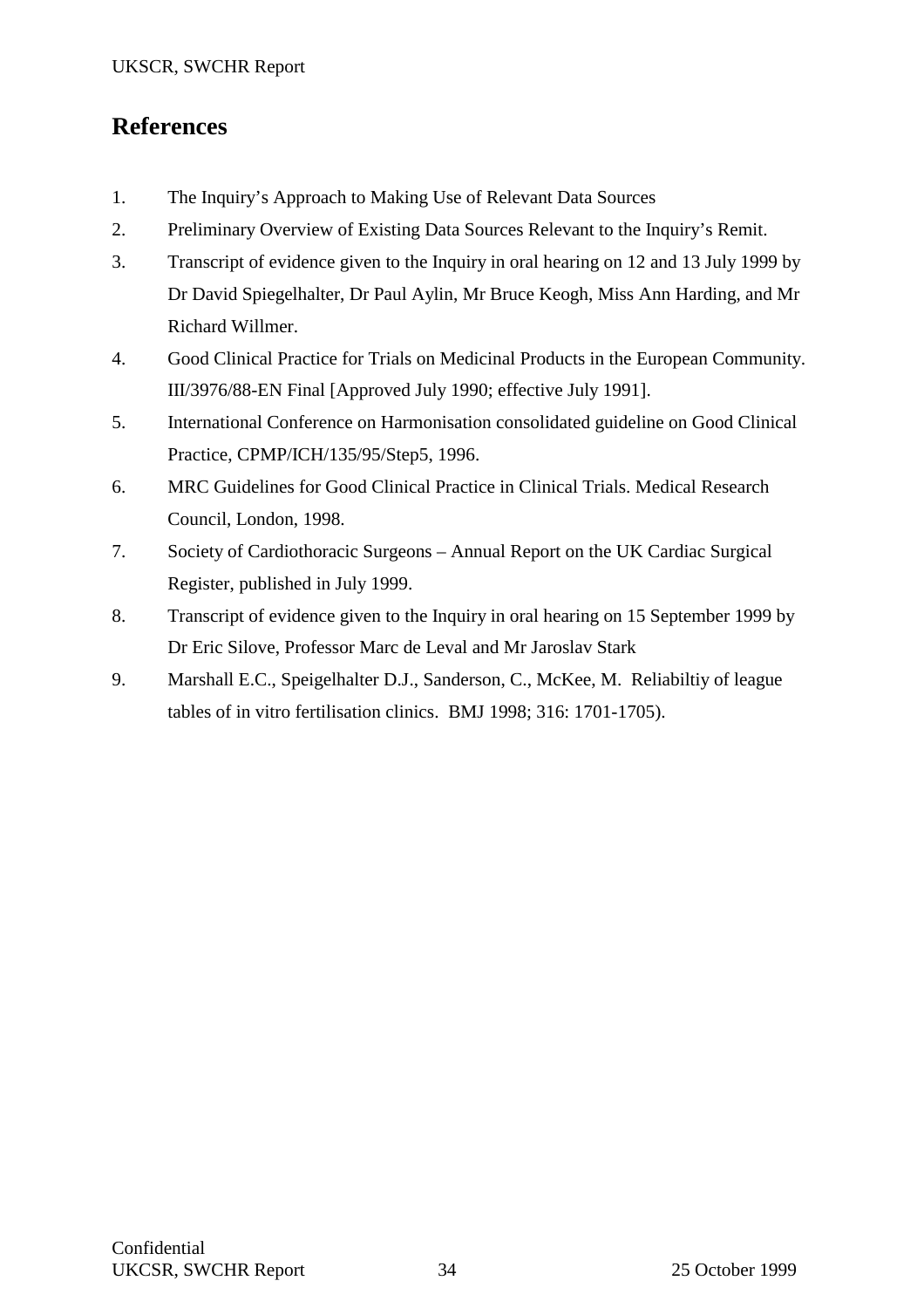## **References**

- 1. The Inquiry's Approach to Making Use of Relevant Data Sources
- 2. Preliminary Overview of Existing Data Sources Relevant to the Inquiry's Remit.
- 3. Transcript of evidence given to the Inquiry in oral hearing on 12 and 13 July 1999 by Dr David Spiegelhalter, Dr Paul Aylin, Mr Bruce Keogh, Miss Ann Harding, and Mr Richard Willmer.
- 4. Good Clinical Practice for Trials on Medicinal Products in the European Community. III/3976/88-EN Final [Approved July 1990; effective July 1991].
- 5. International Conference on Harmonisation consolidated guideline on Good Clinical Practice, CPMP/ICH/135/95/Step5, 1996.
- 6. MRC Guidelines for Good Clinical Practice in Clinical Trials. Medical Research Council, London, 1998.
- 7. Society of Cardiothoracic Surgeons Annual Report on the UK Cardiac Surgical Register, published in July 1999.
- 8. Transcript of evidence given to the Inquiry in oral hearing on 15 September 1999 by Dr Eric Silove, Professor Marc de Leval and Mr Jaroslav Stark
- 9. Marshall E.C., Speigelhalter D.J., Sanderson, C., McKee, M. Reliabiltiy of league tables of in vitro fertilisation clinics. BMJ 1998; 316: 1701-1705).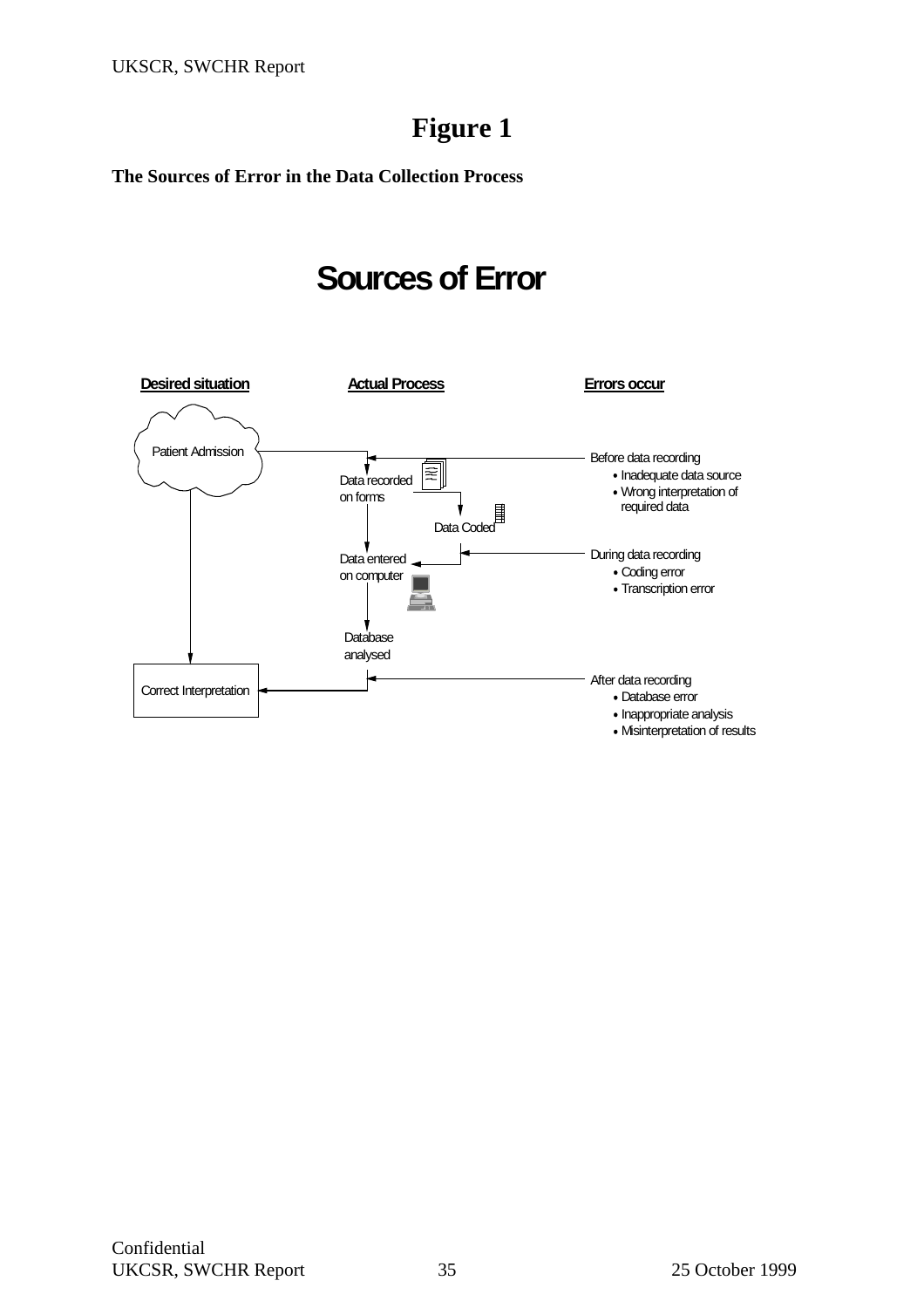## **Figure 1**

**The Sources of Error in the Data Collection Process** 

# **Sources of Error**

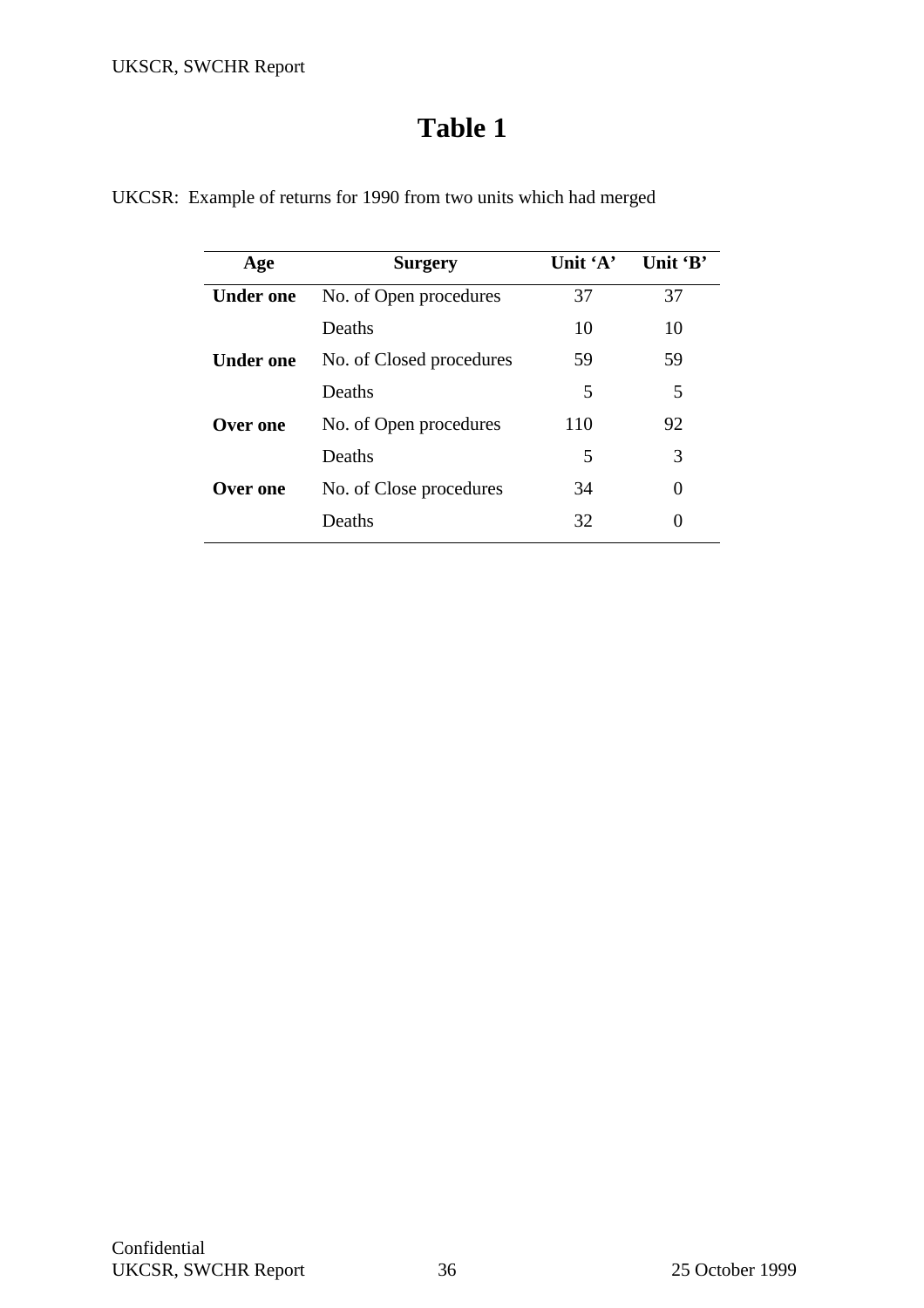| Age              | <b>Surgery</b>           | Unit $A$ | Unit 'B'          |
|------------------|--------------------------|----------|-------------------|
| <b>Under one</b> | No. of Open procedures   | 37       | 37                |
|                  | Deaths                   | 10       | 10                |
| <b>Under one</b> | No. of Closed procedures | 59       | 59                |
|                  | Deaths                   | 5        | 5                 |
| Over one         | No. of Open procedures   | 110      | 92                |
|                  | Deaths                   | 5        | 3                 |
| Over one         | No. of Close procedures  | 34       | $\mathbf{\Omega}$ |
|                  | Deaths                   | 32       | 0                 |

UKCSR: Example of returns for 1990 from two units which had merged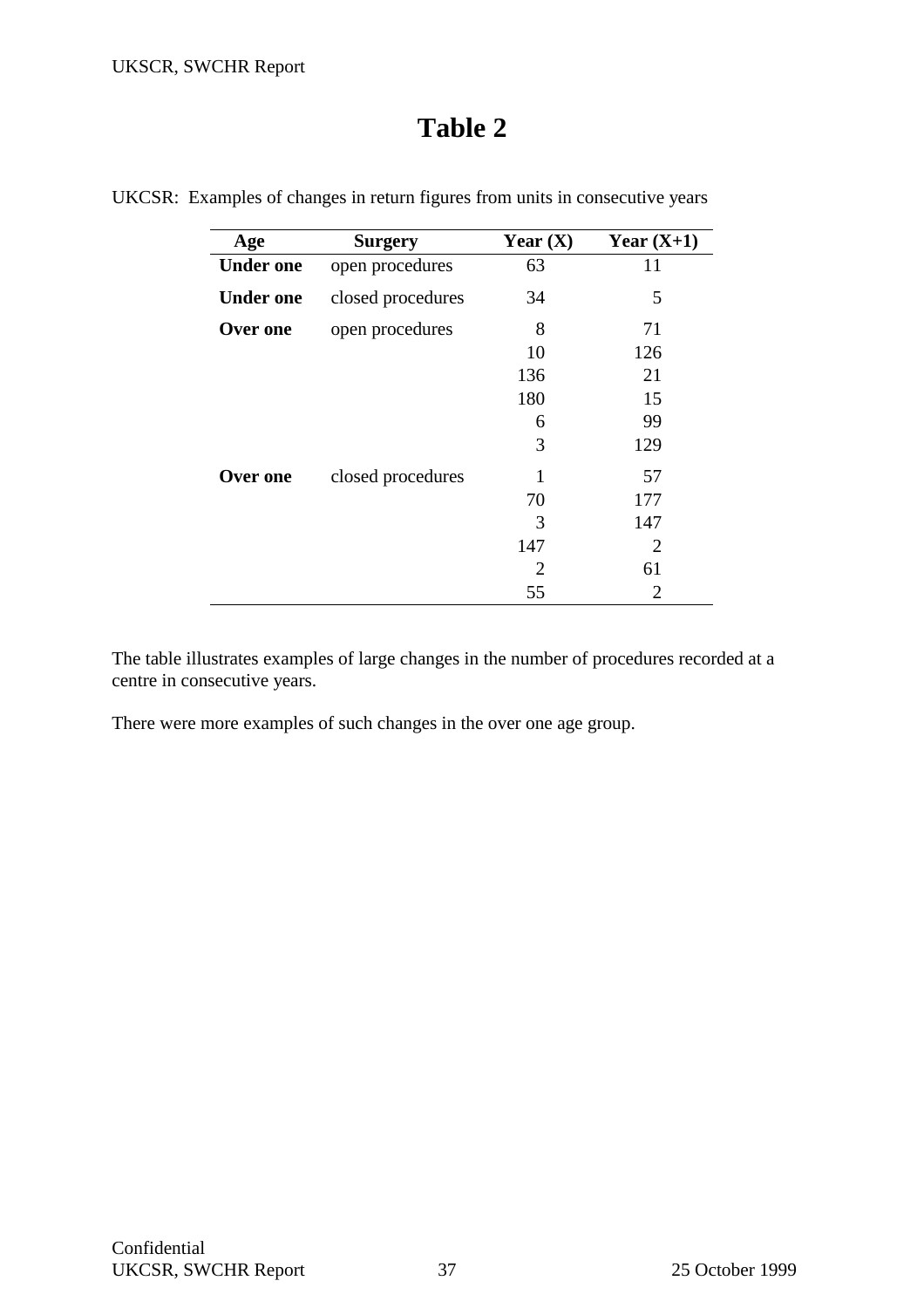| Age              | <b>Surgery</b>    | Year $(X)$            | Year $(X+1)$ |
|------------------|-------------------|-----------------------|--------------|
| <b>Under one</b> | open procedures   | 63                    | 11           |
| <b>Under one</b> | closed procedures | 34                    | 5            |
| Over one         | open procedures   | 8                     | 71           |
|                  |                   | 10                    | 126          |
|                  |                   | 136                   | 21           |
|                  |                   | 180                   | 15           |
|                  |                   | 6                     | 99           |
|                  |                   | 3                     | 129          |
| Over one         | closed procedures |                       | 57           |
|                  |                   | 70                    | 177          |
|                  |                   | 3                     | 147          |
|                  |                   | 147                   | 2            |
|                  |                   | $\mathcal{D}_{\cdot}$ | 61           |
|                  |                   | 55                    | 2            |

UKCSR: Examples of changes in return figures from units in consecutive years

The table illustrates examples of large changes in the number of procedures recorded at a centre in consecutive years.

There were more examples of such changes in the over one age group.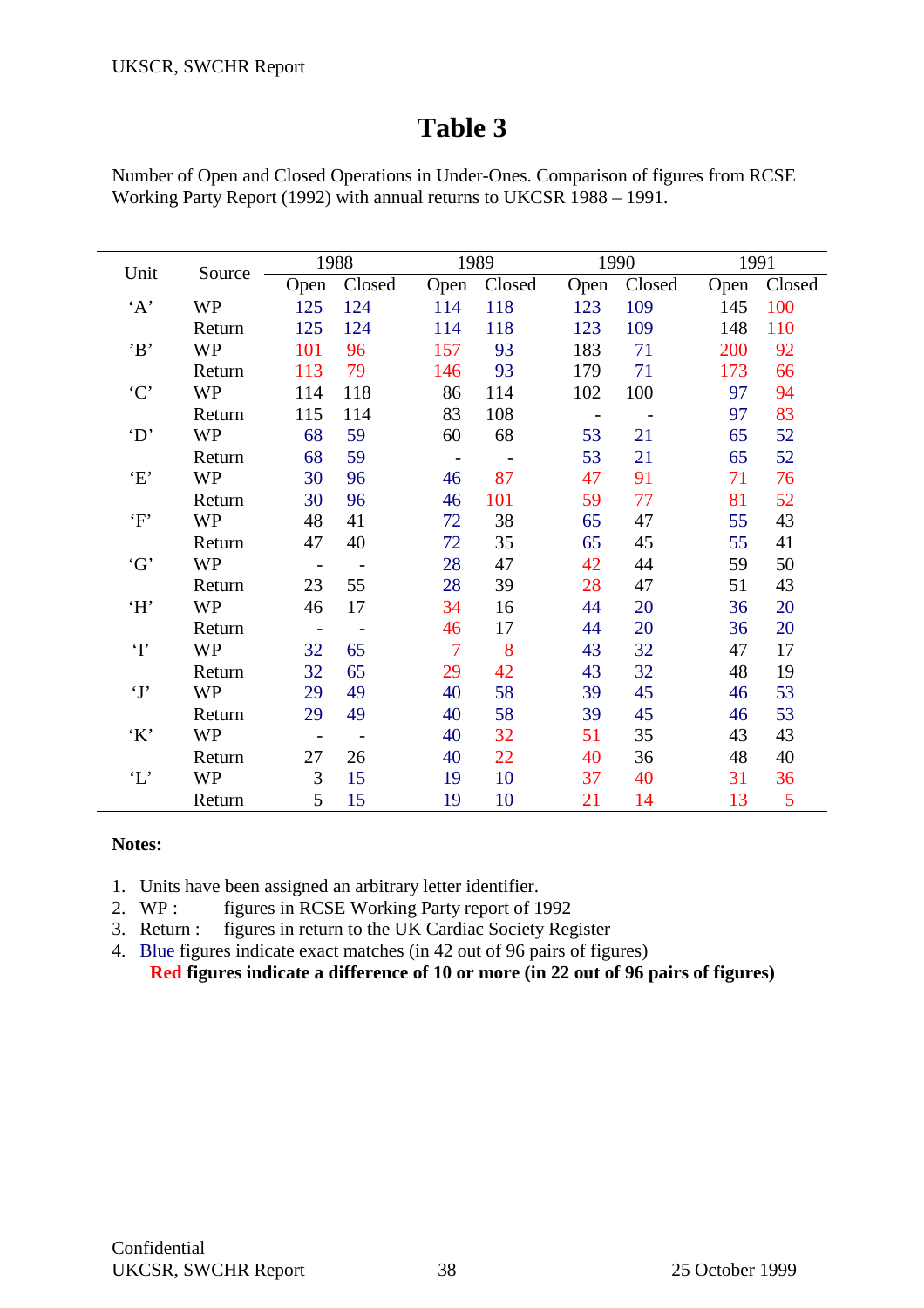Number of Open and Closed Operations in Under-Ones. Comparison of figures from RCSE Working Party Report (1992) with annual returns to UKCSR 1988 – 1991.

|                  |           |                          | 1988       |                | 1989   |            | 1990   | 1991 |        |
|------------------|-----------|--------------------------|------------|----------------|--------|------------|--------|------|--------|
| Unit             | Source    | Open                     | Closed     | Open           | Closed | Open       | Closed | Open | Closed |
| 'A'              | <b>WP</b> | 125                      | 124        | 114            | 118    | 123        | 109    | 145  | 100    |
|                  | Return    | 125                      | 124        | 114            | 118    | 123        | 109    | 148  | 110    |
| B                | <b>WP</b> | 101                      | 96         | 157            | 93     | 183        | 71     | 200  | 92     |
|                  | Return    | 113                      | 79         | 146            | 93     | 179        | 71     | 173  | 66     |
| $\cdot C$        | <b>WP</b> | 114                      | 118        | 86             | 114    | 102        | 100    | 97   | 94     |
|                  | Return    | 115                      | 114        | 83             | 108    | $\sim$ $-$ |        | 97   | 83     |
| $\Delta$         | WP        | 68                       | 59         | 60             | 68     | 53         | 21     | 65   | 52     |
|                  | Return    | 68                       | 59         | $\sim$         |        | 53         | 21     | 65   | 52     |
| E                | <b>WP</b> | 30                       | 96         | 46             | 87     | 47         | 91     | 71   | 76     |
|                  | Return    | 30                       | 96         | 46             | 101    | 59         | 77     | 81   | 52     |
| $\lq \mathbf{F}$ | <b>WP</b> | 48                       | 41         | 72             | 38     | 65         | 47     | 55   | 43     |
|                  | Return    | 47                       | 40         | 72             | 35     | 65         | 45     | 55   | 41     |
| G                | <b>WP</b> | $\overline{a}$           | $\sim$ $-$ | 28             | 47     | 42         | 44     | 59   | 50     |
|                  | Return    | 23                       | 55         | 28             | 39     | 28         | 47     | 51   | 43     |
| H                | <b>WP</b> | 46                       | 17         | 34             | 16     | 44         | 20     | 36   | 20     |
|                  | Return    | $\overline{\phantom{a}}$ | $\sim$     | 46             | 17     | 44         | 20     | 36   | 20     |
| $\mathbf{T}$     | <b>WP</b> | 32                       | 65         | $\overline{7}$ | 8      | 43         | 32     | 47   | 17     |
|                  | Return    | 32                       | 65         | 29             | 42     | 43         | 32     | 48   | 19     |
| $\mathbf{f}$     | WP        | 29                       | 49         | 40             | 58     | 39         | 45     | 46   | 53     |
|                  | Return    | 29                       | 49         | 40             | 58     | 39         | 45     | 46   | 53     |
| $\lq K$          | <b>WP</b> | $\overline{\phantom{a}}$ |            | 40             | 32     | 51         | 35     | 43   | 43     |
|                  | Return    | 27                       | 26         | 40             | 22     | 40         | 36     | 48   | 40     |
| $\mathbf{L}$     | <b>WP</b> | 3                        | 15         | 19             | 10     | 37         | 40     | 31   | 36     |
|                  | Return    | 5                        | 15         | 19             | 10     | 21         | 14     | 13   | 5      |

## **Notes:**

1. Units have been assigned an arbitrary letter identifier.

2. WP : figures in RCSE Working Party report of 1992

3. Return : figures in return to the UK Cardiac Society Register

4. Blue figures indicate exact matches (in 42 out of 96 pairs of figures)

**Red figures indicate a difference of 10 or more (in 22 out of 96 pairs of figures)**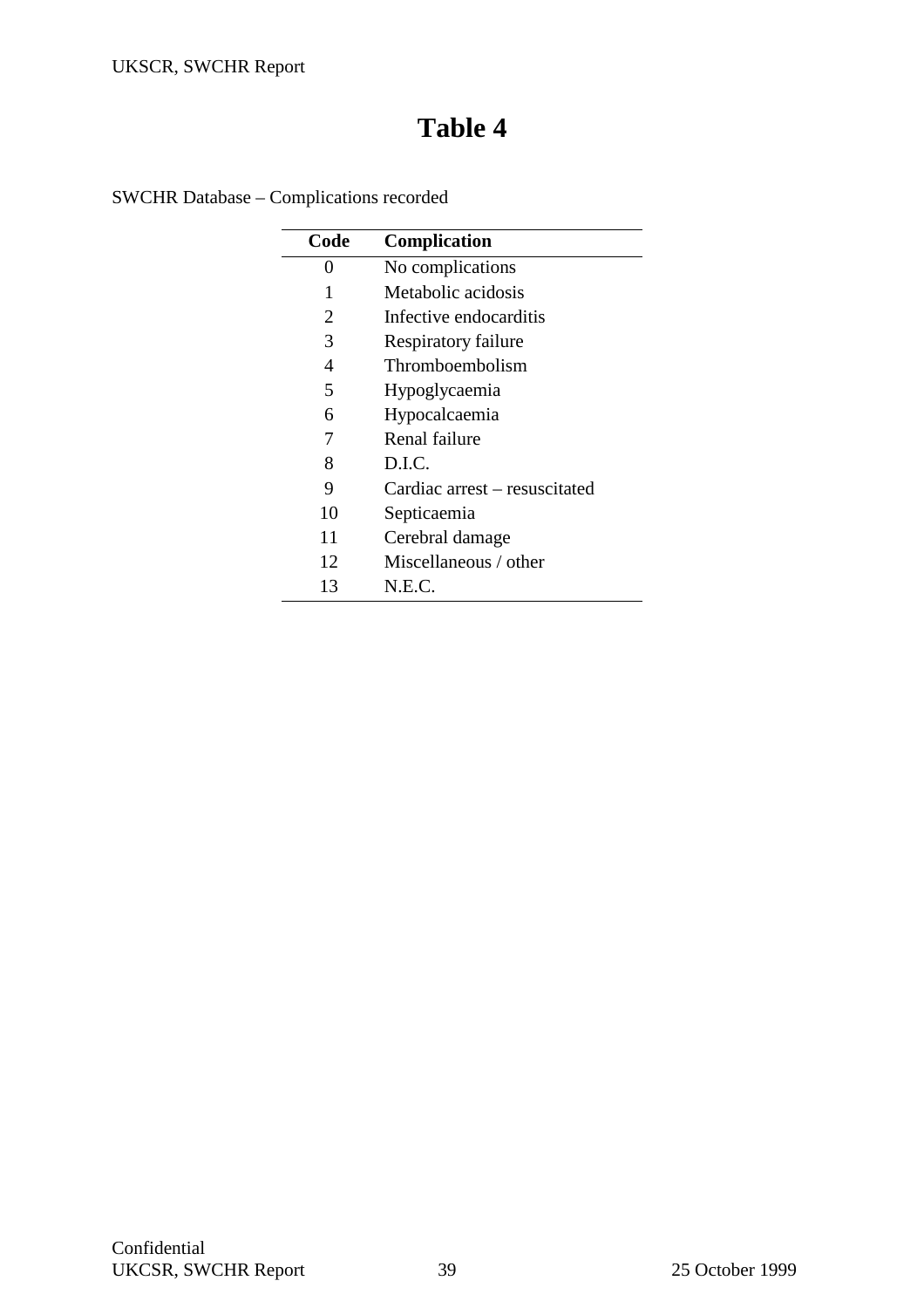SWCHR Database – Complications recorded

| Code | Complication                  |
|------|-------------------------------|
| 0    | No complications              |
| 1    | Metabolic acidosis            |
| 2    | Infective endocarditis        |
| 3    | Respiratory failure           |
| 4    | Thromboembolism               |
| 5    | Hypoglycaemia                 |
| 6    | Hypocalcaemia                 |
| 7    | Renal failure                 |
| 8    | D.I.C.                        |
| 9    | Cardiac arrest – resuscitated |
| 10   | Septicaemia                   |
| 11   | Cerebral damage               |
| 12   | Miscellaneous / other         |
| 13   | N.E.C.                        |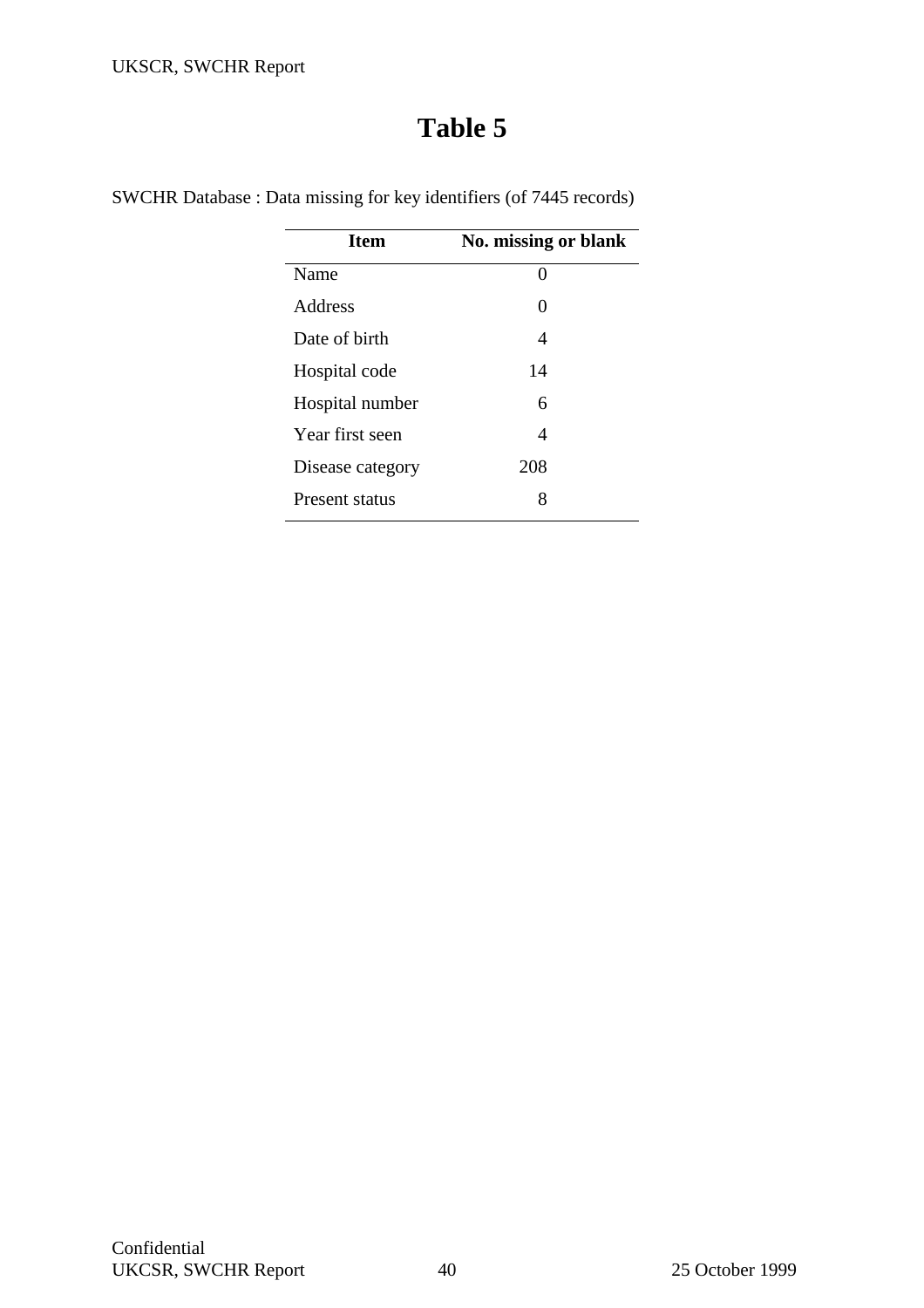| <b>Item</b>      | No. missing or blank |
|------------------|----------------------|
| Name             | 0                    |
| Address          | 0                    |
| Date of hirth    | 4                    |
| Hospital code    | 14                   |
| Hospital number  | 6                    |
| Year first seen  | 4                    |
| Disease category | 208                  |
| Present status   | 8                    |

SWCHR Database : Data missing for key identifiers (of 7445 records)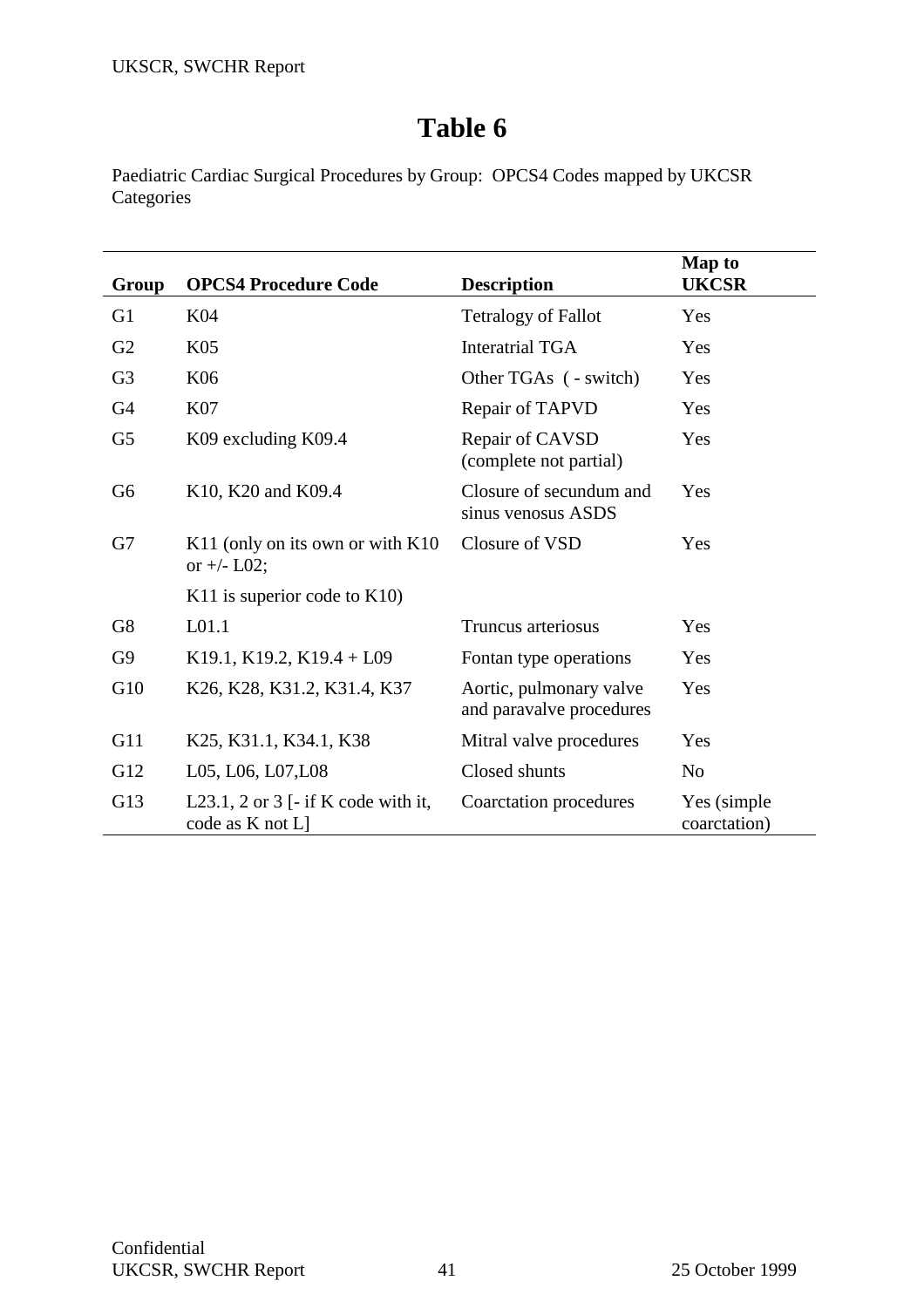Paediatric Cardiac Surgical Procedures by Group: OPCS4 Codes mapped by UKCSR **Categories** 

| Group          | <b>OPCS4 Procedure Code</b>                             | <b>Description</b>                                  | <b>Map to</b><br><b>UKCSR</b> |
|----------------|---------------------------------------------------------|-----------------------------------------------------|-------------------------------|
| G <sub>1</sub> | K04                                                     | <b>Tetralogy of Fallot</b>                          | Yes                           |
| G2             | K <sub>05</sub>                                         | <b>Interatrial TGA</b>                              | Yes                           |
| G <sub>3</sub> | K06                                                     | Other TGAs ( - switch)                              | Yes                           |
| G <sub>4</sub> | <b>K07</b>                                              | Repair of TAPVD                                     | Yes                           |
| G <sub>5</sub> | K09 excluding K09.4                                     | Repair of CAVSD<br>(complete not partial)           | Yes                           |
| G <sub>6</sub> | K10, K20 and K09.4                                      | Closure of secundum and<br>sinus venosus ASDS       | Yes                           |
| G7             | K11 (only on its own or with K10<br>or $+/-$ L02;       | Closure of VSD                                      | Yes                           |
|                | K11 is superior code to $K10$ )                         |                                                     |                               |
| G <sub>8</sub> | L <sub>01.1</sub>                                       | Truncus arteriosus                                  | Yes                           |
| G <sub>9</sub> | K19.1, K19.2, K19.4 + L09                               | Fontan type operations                              | Yes                           |
| G10            | K26, K28, K31.2, K31.4, K37                             | Aortic, pulmonary valve<br>and paravalve procedures | Yes                           |
| G11            | K25, K31.1, K34.1, K38                                  | Mitral valve procedures                             | Yes                           |
| G12            | L05, L06, L07, L08                                      | Closed shunts                                       | N <sub>0</sub>                |
| G13            | L23.1, 2 or 3 [- if K code with it,<br>code as K not L] | Coarctation procedures                              | Yes (simple)<br>coarctation)  |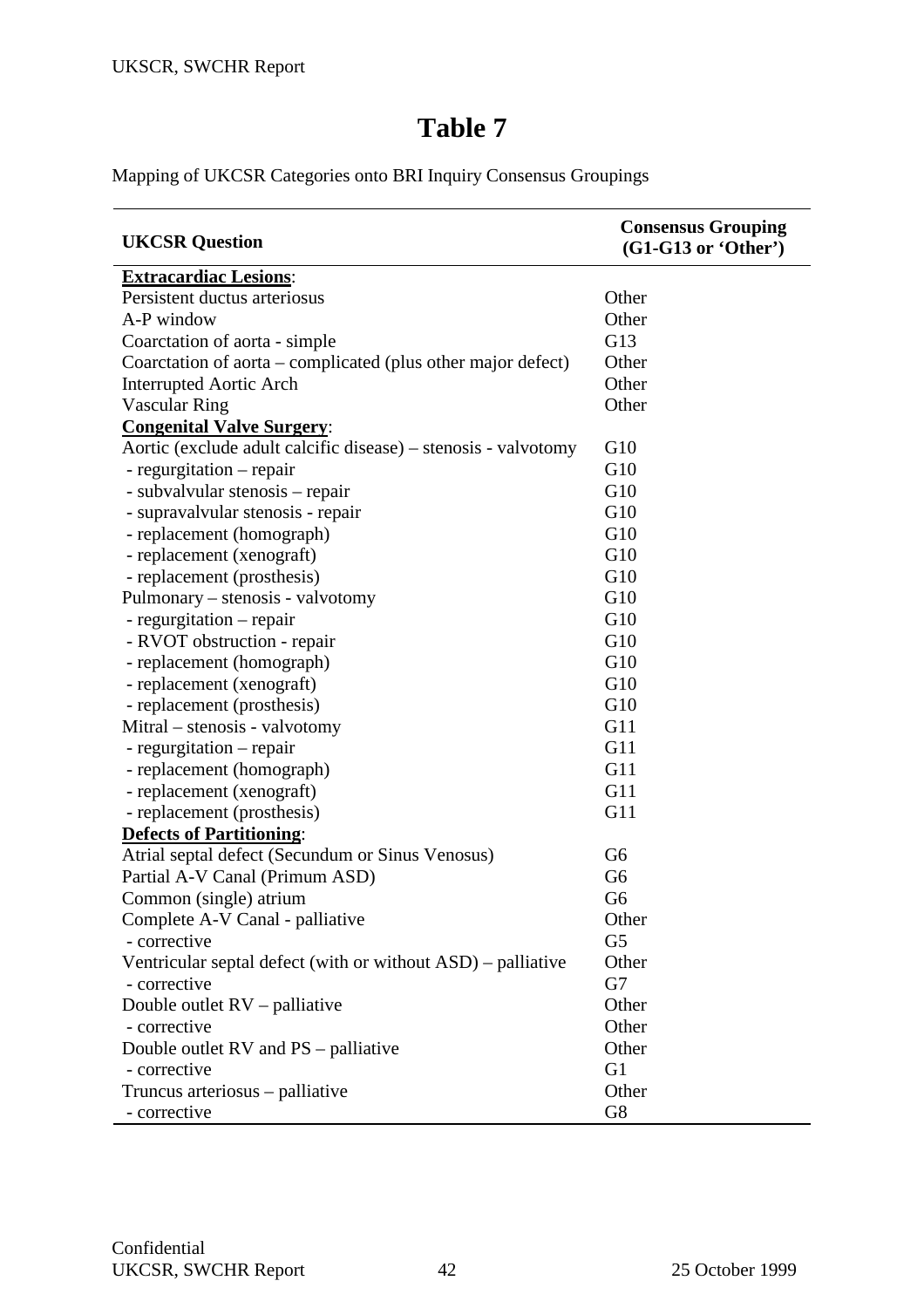Mapping of UKCSR Categories onto BRI Inquiry Consensus Groupings

| <b>UKCSR</b> Question                                          | <b>Consensus Grouping</b><br>$(G1-G13 or 'Other')$ |
|----------------------------------------------------------------|----------------------------------------------------|
| <b>Extracardiac Lesions:</b>                                   |                                                    |
| Persistent ductus arteriosus                                   | Other                                              |
| A-P window                                                     | Other                                              |
| Coarctation of aorta - simple                                  | G13                                                |
| Coarctation of aorta – complicated (plus other major defect)   | Other                                              |
| <b>Interrupted Aortic Arch</b>                                 | Other                                              |
| <b>Vascular Ring</b>                                           | Other                                              |
| <b>Congenital Valve Surgery:</b>                               |                                                    |
| Aortic (exclude adult calcific disease) – stenosis - valvotomy | G10                                                |
| - regurgitation – repair                                       | G10                                                |
| - subvalvular stenosis – repair                                | G10                                                |
| - supravalvular stenosis - repair                              | G10                                                |
| - replacement (homograph)                                      | G10                                                |
| - replacement (xenograft)                                      | G10                                                |
| - replacement (prosthesis)                                     | G10                                                |
| Pulmonary – stenosis - valvotomy                               | G10                                                |
| - regurgitation – repair                                       | G10                                                |
| - RVOT obstruction - repair                                    | G10                                                |
| - replacement (homograph)                                      | G10                                                |
| - replacement (xenograft)                                      | G10                                                |
| - replacement (prosthesis)                                     | G10                                                |
| Mitral – stenosis - valvotomy                                  | G11                                                |
| - regurgitation – repair                                       | G11                                                |
| - replacement (homograph)                                      | G11                                                |
| - replacement (xenograft)                                      | G11                                                |
| - replacement (prosthesis)                                     | G11                                                |
| <b>Defects of Partitioning:</b>                                |                                                    |
| Atrial septal defect (Secundum or Sinus Venosus)               | G <sub>6</sub>                                     |
| Partial A-V Canal (Primum ASD)                                 | G <sub>6</sub>                                     |
| Common (single) atrium                                         | G <sub>6</sub>                                     |
| Complete A-V Canal - palliative                                | Other                                              |
| - corrective                                                   | G <sub>5</sub>                                     |
| Ventricular septal defect (with or without ASD) – palliative   | Other                                              |
| - corrective                                                   | G7                                                 |
| Double outlet $RV$ – palliative                                | Other                                              |
| - corrective                                                   | Other                                              |
| Double outlet RV and PS – palliative                           | Other                                              |
| - corrective                                                   | G <sub>1</sub>                                     |
| Truncus arteriosus – palliative                                | Other                                              |
| - corrective                                                   | G8                                                 |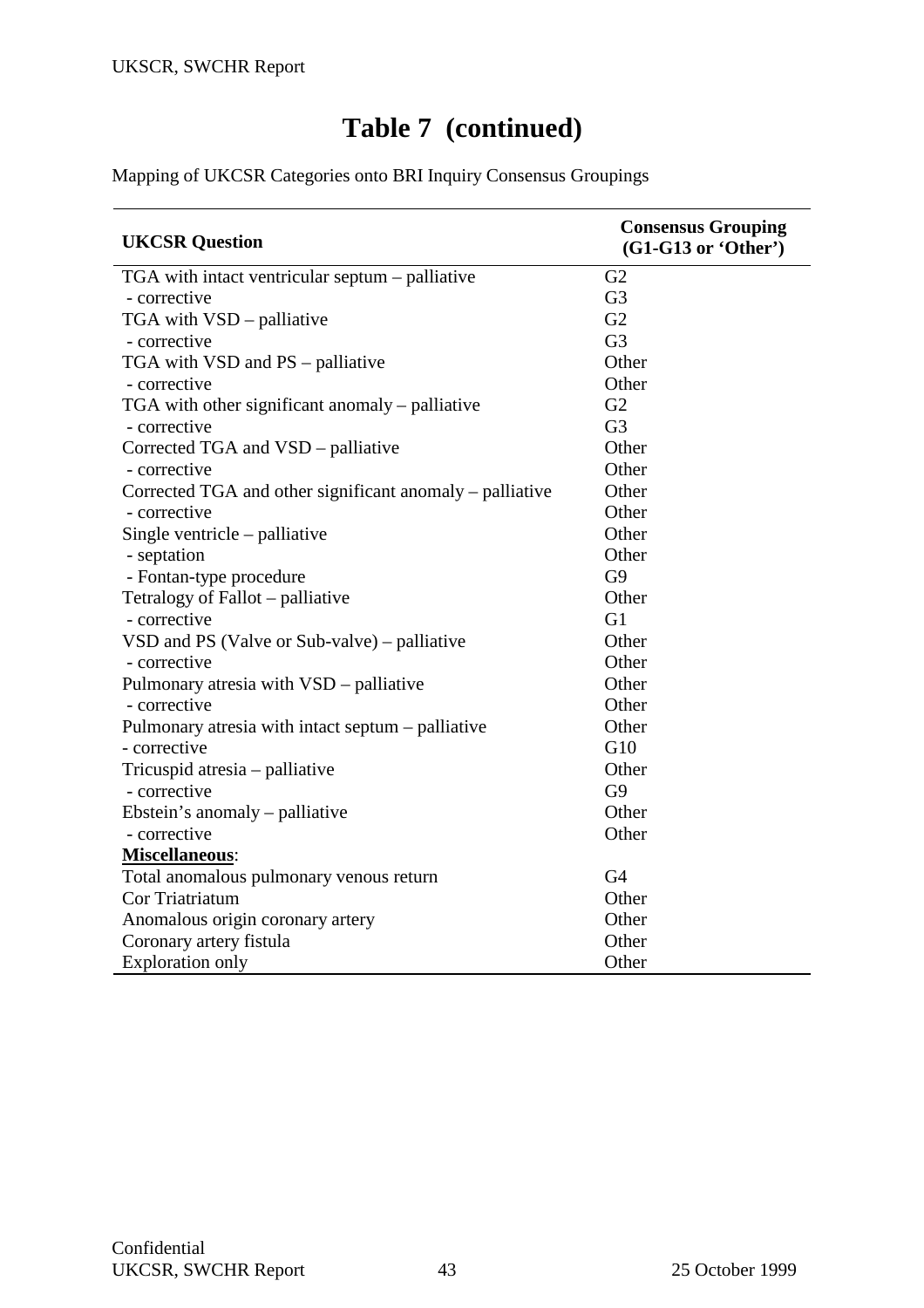# **Table 7 (continued)**

Mapping of UKCSR Categories onto BRI Inquiry Consensus Groupings

| <b>UKCSR</b> Question                                    | <b>Consensus Grouping</b><br>$(G1-G13 or 'Other')$ |
|----------------------------------------------------------|----------------------------------------------------|
| TGA with intact ventricular septum – palliative          | G2                                                 |
| - corrective                                             | G <sub>3</sub>                                     |
| TGA with VSD - palliative                                | G2                                                 |
| - corrective                                             | G <sub>3</sub>                                     |
| TGA with VSD and PS - palliative                         | Other                                              |
| - corrective                                             | Other                                              |
| TGA with other significant anomaly – palliative          | G2                                                 |
| - corrective                                             | G <sub>3</sub>                                     |
| Corrected TGA and VSD - palliative                       | Other                                              |
| - corrective                                             | Other                                              |
| Corrected TGA and other significant anomaly – palliative | Other                                              |
| - corrective                                             | Other                                              |
| Single ventricle $-$ palliative                          | Other                                              |
| - septation                                              | Other                                              |
| - Fontan-type procedure                                  | G <sub>9</sub>                                     |
| Tetralogy of Fallot – palliative                         | Other                                              |
| - corrective                                             | G1                                                 |
| VSD and PS (Valve or Sub-valve) – palliative             | Other                                              |
| - corrective                                             | Other                                              |
| Pulmonary atresia with VSD – palliative                  | Other                                              |
| - corrective                                             | Other                                              |
| Pulmonary atresia with intact septum – palliative        | Other                                              |
| - corrective                                             | G10                                                |
| Tricuspid atresia - palliative                           | Other                                              |
| - corrective                                             | G <sub>9</sub>                                     |
| Ebstein's anomaly – palliative                           | Other                                              |
| - corrective                                             | Other                                              |
| Miscellaneous:                                           |                                                    |
| Total anomalous pulmonary venous return                  | G <sub>4</sub>                                     |
| Cor Triatriatum                                          | Other                                              |
| Anomalous origin coronary artery                         | Other                                              |
| Coronary artery fistula                                  | Other                                              |
| <b>Exploration only</b>                                  | Other                                              |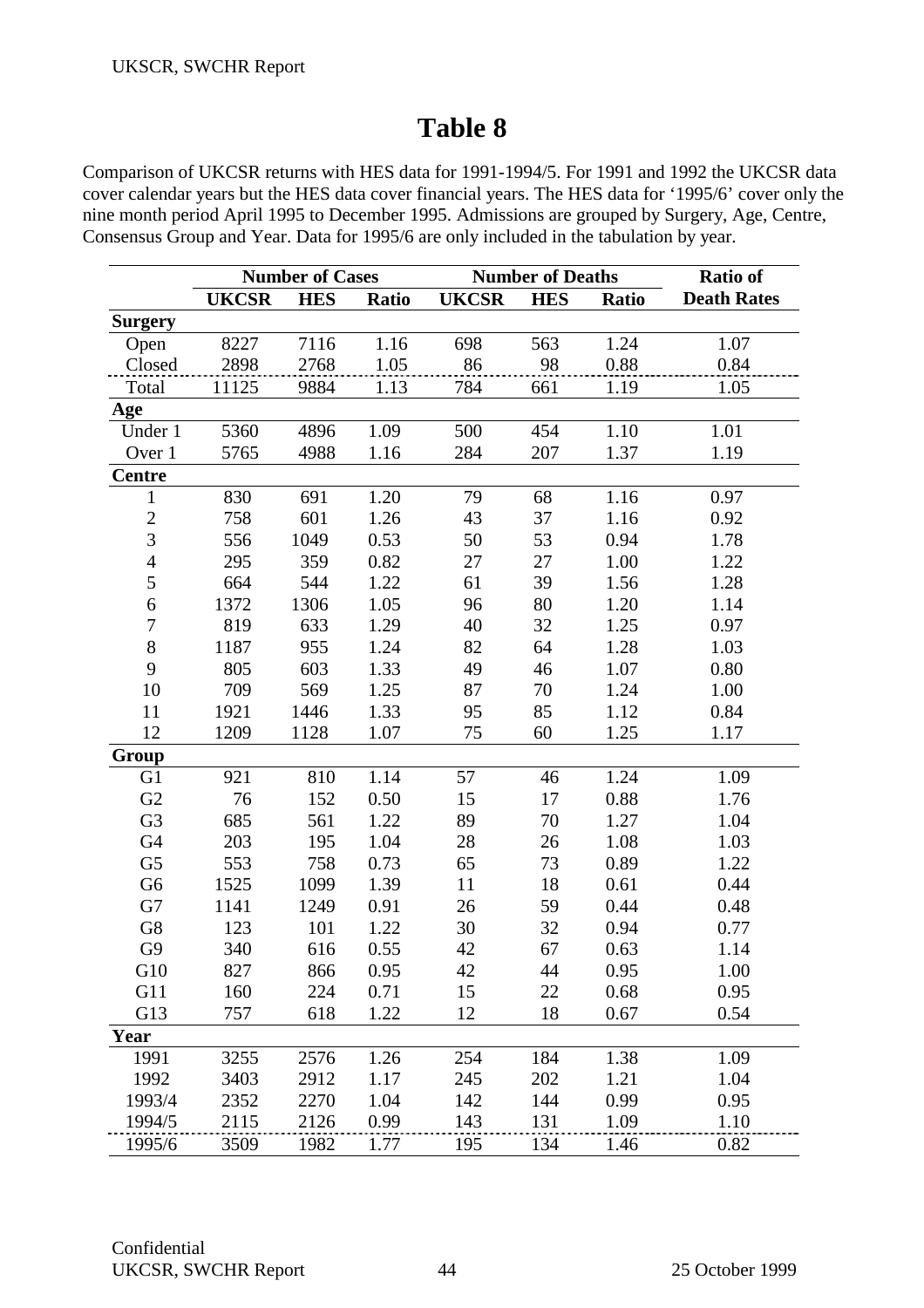Comparison of UKCSR returns with HES data for 1991-1994/5. For 1991 and 1992 the UKCSR data cover calendar years but the HES data cover financial years. The HES data for '1995/6' cover only the nine month period April 1995 to December 1995. Admissions are grouped by Surgery, Age, Centre, Consensus Group and Year. Data for 1995/6 are only included in the tabulation by year.

|                | <b>Number of Cases</b> |            |              | <b>Number of Deaths</b> |            |              | <b>Ratio of</b>    |
|----------------|------------------------|------------|--------------|-------------------------|------------|--------------|--------------------|
|                | <b>UKCSR</b>           | <b>HES</b> | <b>Ratio</b> | <b>UKCSR</b>            | <b>HES</b> | <b>Ratio</b> | <b>Death Rates</b> |
| <b>Surgery</b> |                        |            |              |                         |            |              |                    |
| Open           | 8227                   | 7116       | 1.16         | 698                     | 563        | 1.24         | 1.07               |
| Closed         | 2898                   | 2768       | 1.05         | 86                      | 98         | 0.88         | 0.84               |
| Total          | 11125                  | 9884       | 1.13         | 784                     | 661        | 1.19         | 1.05               |
| Age            |                        |            |              |                         |            |              |                    |
| Under 1        | 5360                   | 4896       | 1.09         | 500                     | 454        | 1.10         | 1.01               |
| Over 1         | 5765                   | 4988       | 1.16         | 284                     | 207        | 1.37         | 1.19               |
| <b>Centre</b>  |                        |            |              |                         |            |              |                    |
| $\mathbf{1}$   | 830                    | 691        | 1.20         | 79                      | 68         | 1.16         | 0.97               |
| $\overline{c}$ | 758                    | 601        | 1.26         | 43                      | 37         | 1.16         | 0.92               |
| $\overline{3}$ | 556                    | 1049       | 0.53         | 50                      | 53         | 0.94         | 1.78               |
| $\overline{4}$ | 295                    | 359        | 0.82         | 27                      | 27         | 1.00         | 1.22               |
| 5              | 664                    | 544        | 1.22         | 61                      | 39         | 1.56         | 1.28               |
| 6              | 1372                   | 1306       | 1.05         | 96                      | 80         | 1.20         | 1.14               |
| $\overline{7}$ | 819                    | 633        | 1.29         | 40                      | 32         | 1.25         | 0.97               |
| 8              | 1187                   | 955        | 1.24         | 82                      | 64         | 1.28         | 1.03               |
| 9              | 805                    | 603        | 1.33         | 49                      | 46         | 1.07         | 0.80               |
| 10             | 709                    | 569        | 1.25         | 87                      | 70         | 1.24         | 1.00               |
| 11             | 1921                   | 1446       | 1.33         | 95                      | 85         | 1.12         | 0.84               |
| 12             | 1209                   | 1128       | 1.07         | 75                      | 60         | 1.25         | 1.17               |
| Group          |                        |            |              |                         |            |              |                    |
| G <sub>1</sub> | 921                    | 810        | 1.14         | 57                      | 46         | 1.24         | 1.09               |
| G2             | 76                     | 152        | 0.50         | 15                      | 17         | 0.88         | 1.76               |
| G <sub>3</sub> | 685                    | 561        | 1.22         | 89                      | 70         | 1.27         | 1.04               |
| G4             | 203                    | 195        | 1.04         | 28                      | 26         | 1.08         | 1.03               |
| G <sub>5</sub> | 553                    | 758        | 0.73         | 65                      | 73         | 0.89         | 1.22               |
| G <sub>6</sub> | 1525                   | 1099       | 1.39         | 11                      | 18         | 0.61         | 0.44               |
| G7             | 1141                   | 1249       | 0.91         | 26                      | 59         | 0.44         | 0.48               |
| ${\rm G}8$     | 123                    | 101        | 1.22         | 30                      | 32         | 0.94         | 0.77               |
| G <sub>9</sub> | 340                    | 616        | 0.55         | 42                      | 67         | 0.63         | 1.14               |
| G10            | 827                    | 866        | 0.95         | 42                      | 44         | 0.95         | 1.00               |
| G11            | 160                    | 224        | 0.71         | 15                      | 22         | 0.68         | 0.95               |
| G13            | 757                    | 618        | 1.22         | 12                      | 18         | 0.67         | 0.54               |
| Year           |                        |            |              |                         |            |              |                    |
| 1991           | 3255                   | 2576       | 1.26         | 254                     | 184        | 1.38         | 1.09               |
| 1992           | 3403                   | 2912       | 1.17         | 245                     | 202        | 1.21         | 1.04               |
| 1993/4         | 2352                   | 2270       | 1.04         | 142                     | 144        | 0.99         | 0.95               |
| 1994/5         | 2115                   | 2126       | 0.99         | 143                     | 131        | 1.09         | 1.10               |
| 1995/6         | 3509                   | 1982       | 1.77         | 195                     | 134        | 1.46         | 0.82               |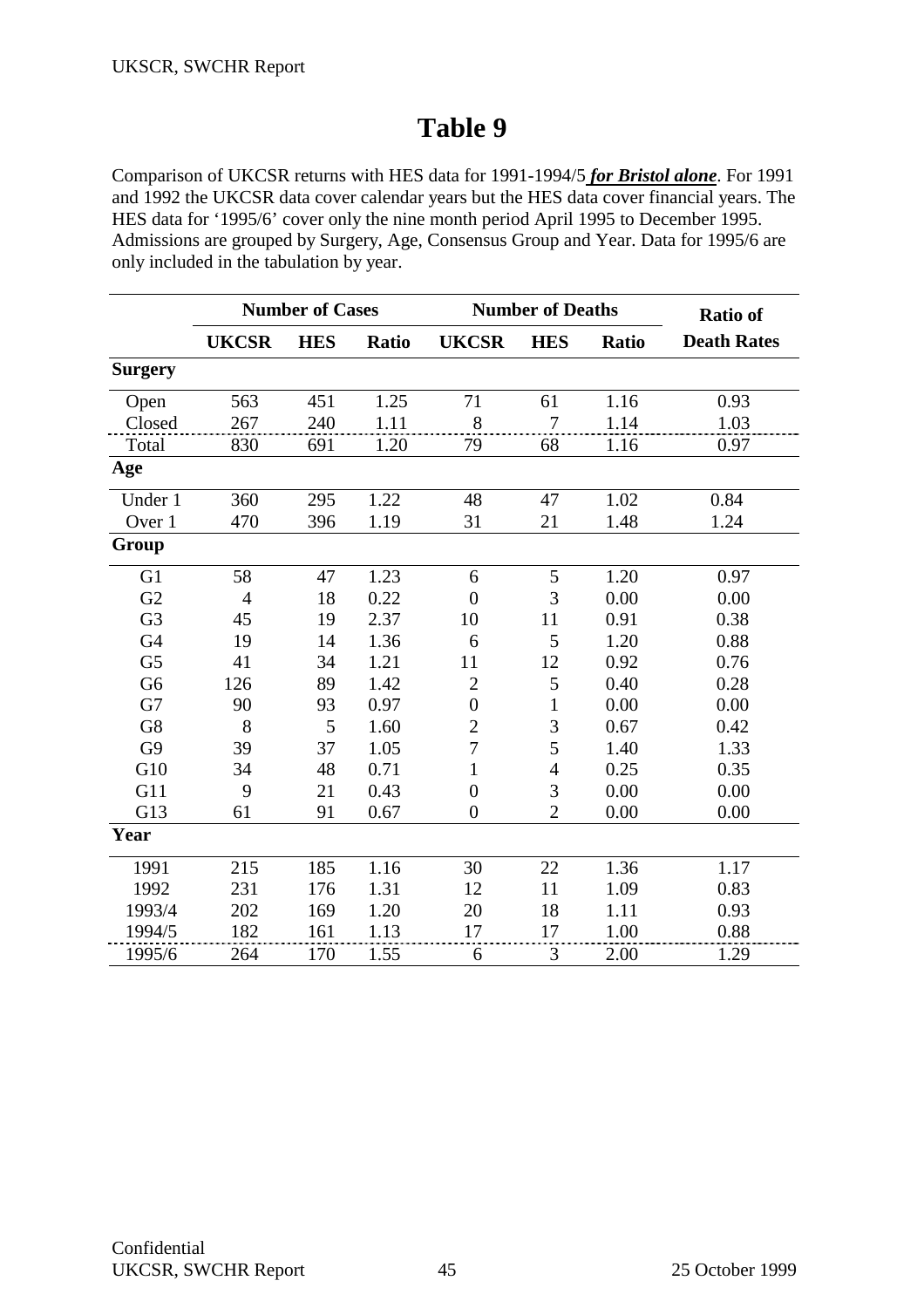Comparison of UKCSR returns with HES data for 1991-1994/5 *for Bristol alone*. For 1991 and 1992 the UKCSR data cover calendar years but the HES data cover financial years. The HES data for '1995/6' cover only the nine month period April 1995 to December 1995. Admissions are grouped by Surgery, Age, Consensus Group and Year. Data for 1995/6 are only included in the tabulation by year.

|                | <b>Number of Cases</b> |            |              | <b>Number of Deaths</b> |                |              | <b>Ratio of</b>    |
|----------------|------------------------|------------|--------------|-------------------------|----------------|--------------|--------------------|
|                | <b>UKCSR</b>           | <b>HES</b> | <b>Ratio</b> | <b>UKCSR</b>            | <b>HES</b>     | <b>Ratio</b> | <b>Death Rates</b> |
| <b>Surgery</b> |                        |            |              |                         |                |              |                    |
| Open           | 563                    | 451        | 1.25         | 71                      | 61             | 1.16         | 0.93               |
| Closed         | 267                    | 240        | 1.11         | 8                       | 7              | 1.14         | 1.03               |
| Total          | 830                    | 691        | 1.20         | 79                      | 68             | 1.16         | 0.97               |
| Age            |                        |            |              |                         |                |              |                    |
| Under 1        | 360                    | 295        | 1.22         | 48                      | 47             | 1.02         | 0.84               |
| Over 1         | 470                    | 396        | 1.19         | 31                      | 21             | 1.48         | 1.24               |
| Group          |                        |            |              |                         |                |              |                    |
| G <sub>1</sub> | 58                     | 47         | 1.23         | 6                       | 5              | 1.20         | 0.97               |
| G2             | $\overline{4}$         | 18         | 0.22         | $\overline{0}$          | 3              | 0.00         | 0.00               |
| G <sub>3</sub> | 45                     | 19         | 2.37         | 10                      | 11             | 0.91         | 0.38               |
| G <sub>4</sub> | 19                     | 14         | 1.36         | 6                       | 5              | 1.20         | 0.88               |
| G <sub>5</sub> | 41                     | 34         | 1.21         | 11                      | 12             | 0.92         | 0.76               |
| G <sub>6</sub> | 126                    | 89         | 1.42         | $\overline{2}$          | 5              | 0.40         | 0.28               |
| G7             | 90                     | 93         | 0.97         | $\boldsymbol{0}$        | $\mathbf{1}$   | 0.00         | 0.00               |
| G8             | 8                      | 5          | 1.60         | $\overline{2}$          | 3              | 0.67         | 0.42               |
| G <sub>9</sub> | 39                     | 37         | 1.05         | $\overline{7}$          | 5              | 1.40         | 1.33               |
| G10            | 34                     | 48         | 0.71         | $\mathbf{1}$            | $\overline{4}$ | 0.25         | 0.35               |
| G11            | 9                      | 21         | 0.43         | $\overline{0}$          | 3              | 0.00         | 0.00               |
| G13            | 61                     | 91         | 0.67         | $\overline{0}$          | $\overline{2}$ | 0.00         | 0.00               |
| Year           |                        |            |              |                         |                |              |                    |
| 1991           | 215                    | 185        | 1.16         | 30                      | 22             | 1.36         | 1.17               |
| 1992           | 231                    | 176        | 1.31         | 12                      | 11             | 1.09         | 0.83               |
| 1993/4         | 202                    | 169        | 1.20         | 20                      | 18             | 1.11         | 0.93               |
| 1994/5         | 182                    | 161        | 1.13         | 17                      | 17             | 1.00         | 0.88               |
| 1995/6         | 264                    | 170        | 1.55         | 6                       | 3              | 2.00         | 1.29               |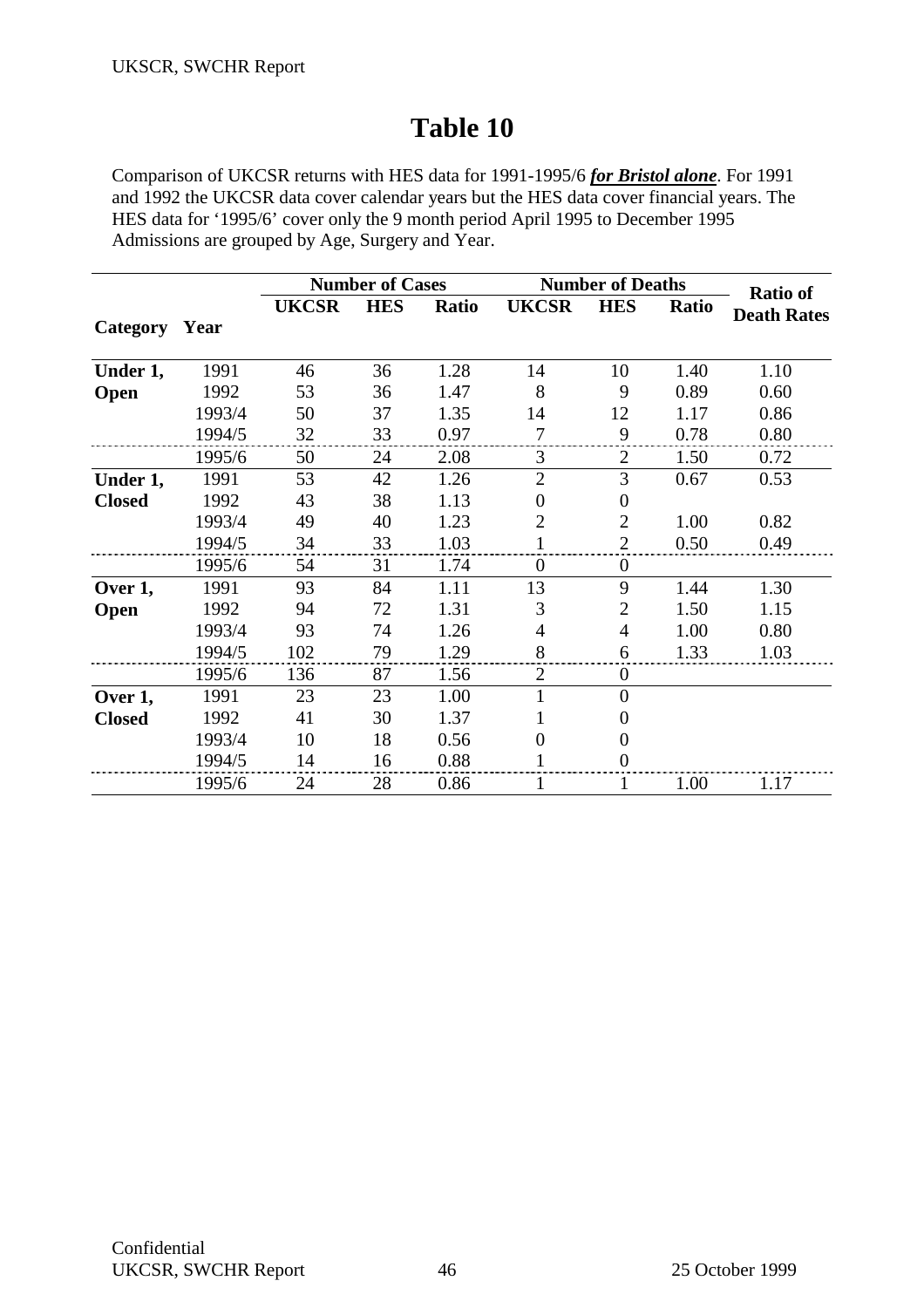Comparison of UKCSR returns with HES data for 1991-1995/6 *for Bristol alone*. For 1991 and 1992 the UKCSR data cover calendar years but the HES data cover financial years. The HES data for '1995/6' cover only the 9 month period April 1995 to December 1995 Admissions are grouped by Age, Surgery and Year.

|                 |        |              | <b>Number of Cases</b> |       | <b>Number of Deaths</b> | <b>Ratio of</b>  |       |                    |
|-----------------|--------|--------------|------------------------|-------|-------------------------|------------------|-------|--------------------|
|                 |        | <b>UKCSR</b> | <b>HES</b>             | Ratio | <b>UKCSR</b>            | <b>HES</b>       | Ratio | <b>Death Rates</b> |
| <b>Category</b> | Year   |              |                        |       |                         |                  |       |                    |
| Under 1,        | 1991   | 46           | 36                     | 1.28  | 14                      | 10               | 1.40  | 1.10               |
| Open            | 1992   | 53           | 36                     | 1.47  | 8                       | 9                | 0.89  | 0.60               |
|                 | 1993/4 | 50           | 37                     | 1.35  | 14                      | 12               | 1.17  | 0.86               |
|                 | 1994/5 | 32           | 33                     | 0.97  | 7                       | 9                | 0.78  | 0.80               |
|                 | 1995/6 | 50           | 24                     | 2.08  | 3                       | 2                | 1.50  | 0.72               |
| Under 1,        | 1991   | 53           | 42                     | 1.26  | $\overline{2}$          | 3                | 0.67  | 0.53               |
| <b>Closed</b>   | 1992   | 43           | 38                     | 1.13  | $\theta$                | $\boldsymbol{0}$ |       |                    |
|                 | 1993/4 | 49           | 40                     | 1.23  | 2                       | $\overline{2}$   | 1.00  | 0.82               |
|                 | 1994/5 | 34           | 33                     | 1.03  | $\mathbf{1}$            | $\overline{2}$   | 0.50  | 0.49               |
|                 | 1995/6 | 54           | 31                     | 1.74  | $\theta$                | $\overline{0}$   |       |                    |
| Over 1,         | 1991   | 93           | 84                     | 1.11  | 13                      | 9                | 1.44  | 1.30               |
| Open            | 1992   | 94           | 72                     | 1.31  | 3                       | $\overline{2}$   | 1.50  | 1.15               |
|                 | 1993/4 | 93           | 74                     | 1.26  | 4                       | 4                | 1.00  | 0.80               |
|                 | 1994/5 | 102          | 79                     | 1.29  | 8                       | 6                | 1.33  | 1.03               |
|                 | 1995/6 | 136          | 87                     | 1.56  | $\overline{2}$          | $\boldsymbol{0}$ |       |                    |
| Over 1,         | 1991   | 23           | 23                     | 1.00  |                         | $\overline{0}$   |       |                    |
| <b>Closed</b>   | 1992   | 41           | 30                     | 1.37  |                         | 0                |       |                    |
|                 | 1993/4 | 10           | 18                     | 0.56  | $\Omega$                | $\boldsymbol{0}$ |       |                    |
|                 | 1994/5 | 14           | 16                     | 0.88  |                         | $\boldsymbol{0}$ |       |                    |
|                 | 1995/6 | 24           | 28                     | 0.86  |                         | 1                | 1.00  | 1.17               |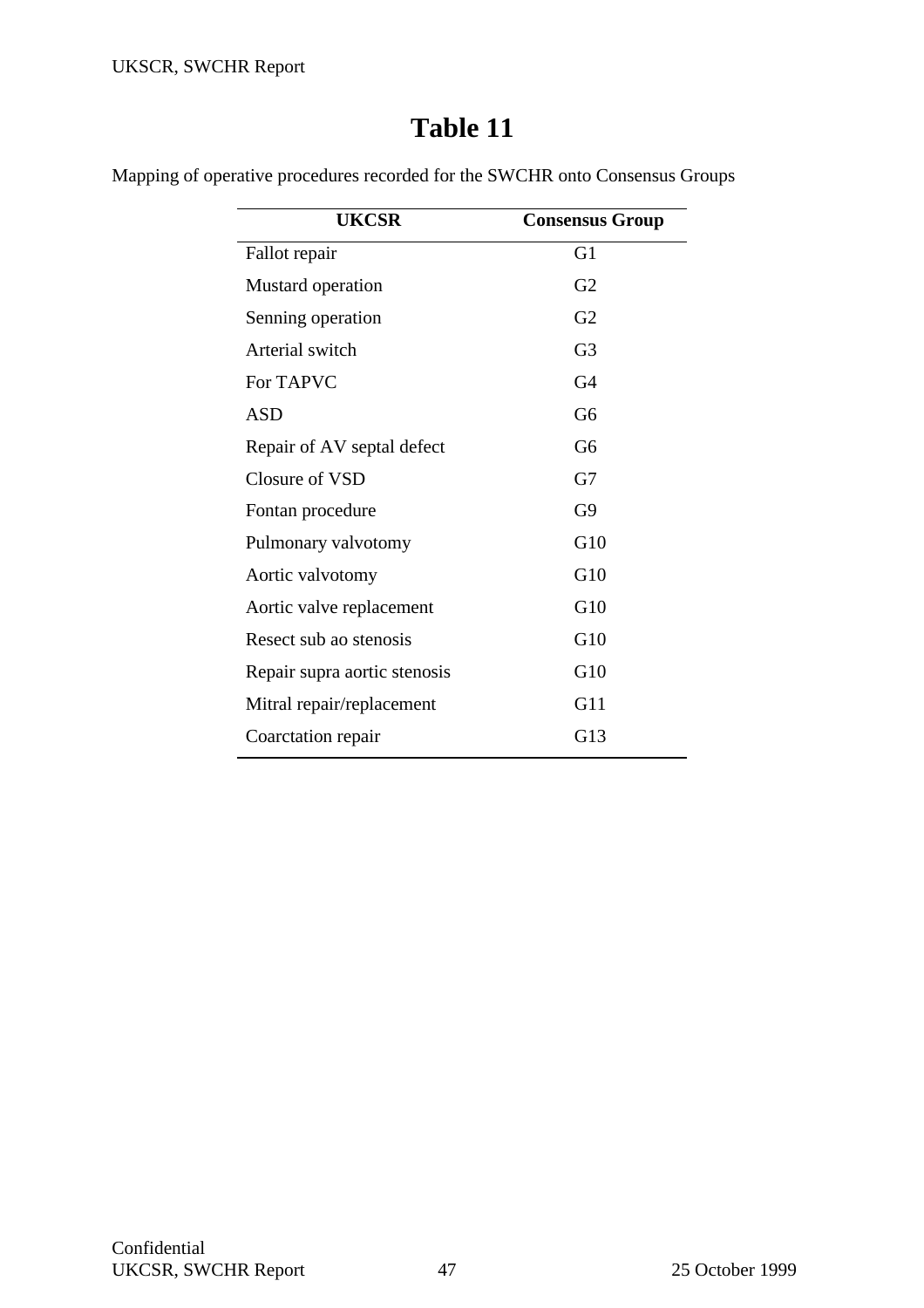Mapping of operative procedures recorded for the SWCHR onto Consensus Groups

| <b>UKCSR</b>                 | <b>Consensus Group</b> |
|------------------------------|------------------------|
| Fallot repair                | G <sub>1</sub>         |
| Mustard operation            | G <sub>2</sub>         |
| Senning operation            | G <sub>2</sub>         |
| Arterial switch              | G <sub>3</sub>         |
| For TAPVC                    | G <sub>4</sub>         |
| <b>ASD</b>                   | G <sub>6</sub>         |
| Repair of AV septal defect   | G <sub>6</sub>         |
| Closure of VSD               | G7                     |
| Fontan procedure             | G9                     |
| Pulmonary valvotomy          | G10                    |
| Aortic valvotomy             | G10                    |
| Aortic valve replacement     | G10                    |
| Resect sub ao stenosis       | G10                    |
| Repair supra aortic stenosis | G10                    |
| Mitral repair/replacement    | G11                    |
| Coarctation repair           | G13                    |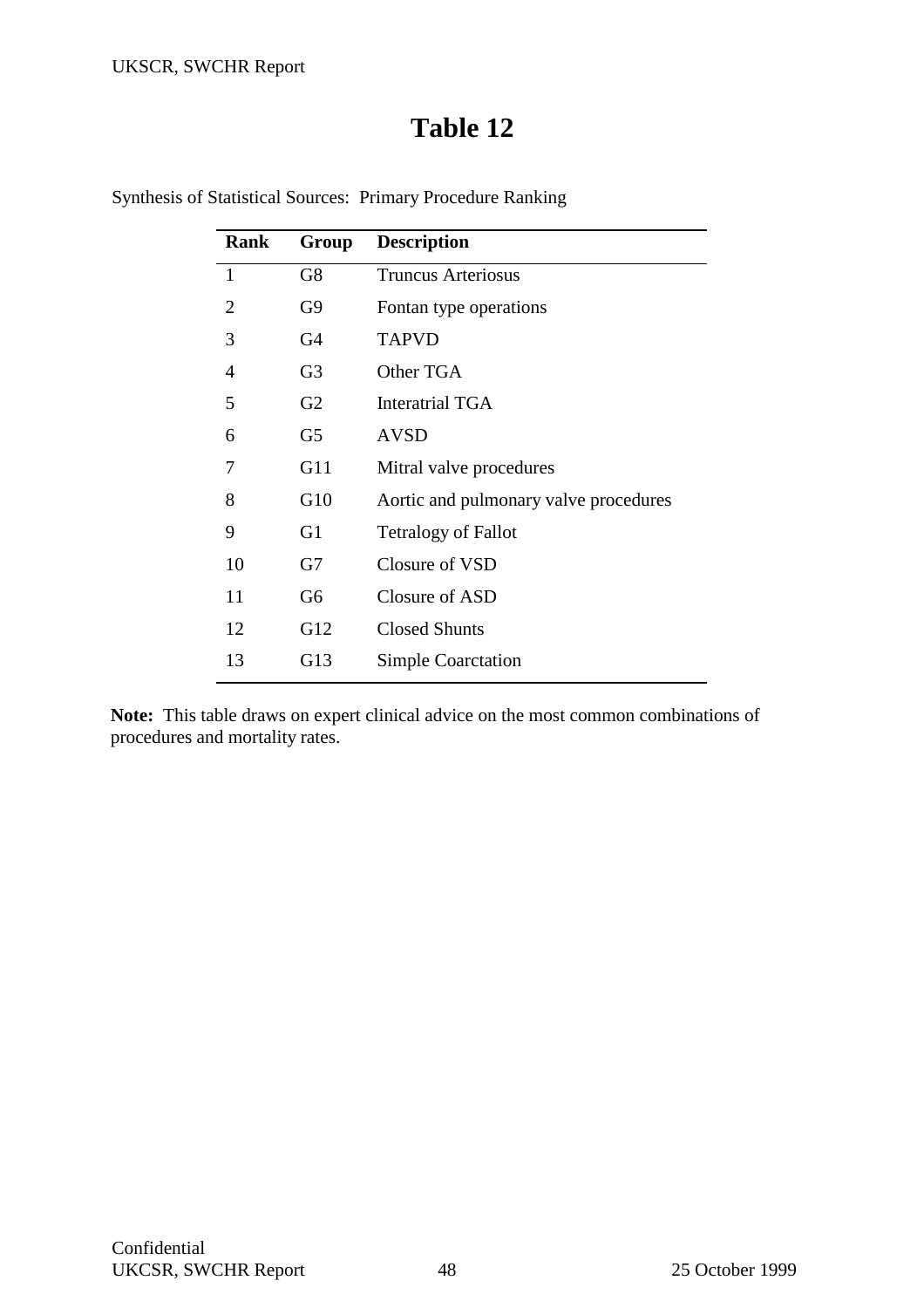## **Table 12**

| <b>Rank</b>    | Group          | <b>Description</b>                    |
|----------------|----------------|---------------------------------------|
| 1              | G8             | <b>Truncus Arteriosus</b>             |
| $\overline{2}$ | G9             | Fontan type operations                |
| 3              | G4             | <b>TAPVD</b>                          |
| 4              | G <sub>3</sub> | Other TGA                             |
| 5              | G <sub>2</sub> | Interatrial TGA                       |
| 6              | G5             | <b>AVSD</b>                           |
| 7              | G11            | Mitral valve procedures               |
| 8              | G10            | Aortic and pulmonary valve procedures |
| 9              | G <sub>1</sub> | <b>Tetralogy of Fallot</b>            |
| 10             | G7             | Closure of VSD                        |
| 11             | G <sub>6</sub> | Closure of ASD                        |
| 12             | G12            | <b>Closed Shunts</b>                  |
| 13             | G13            | <b>Simple Coarctation</b>             |
|                |                |                                       |

Synthesis of Statistical Sources: Primary Procedure Ranking

**Note:** This table draws on expert clinical advice on the most common combinations of procedures and mortality rates.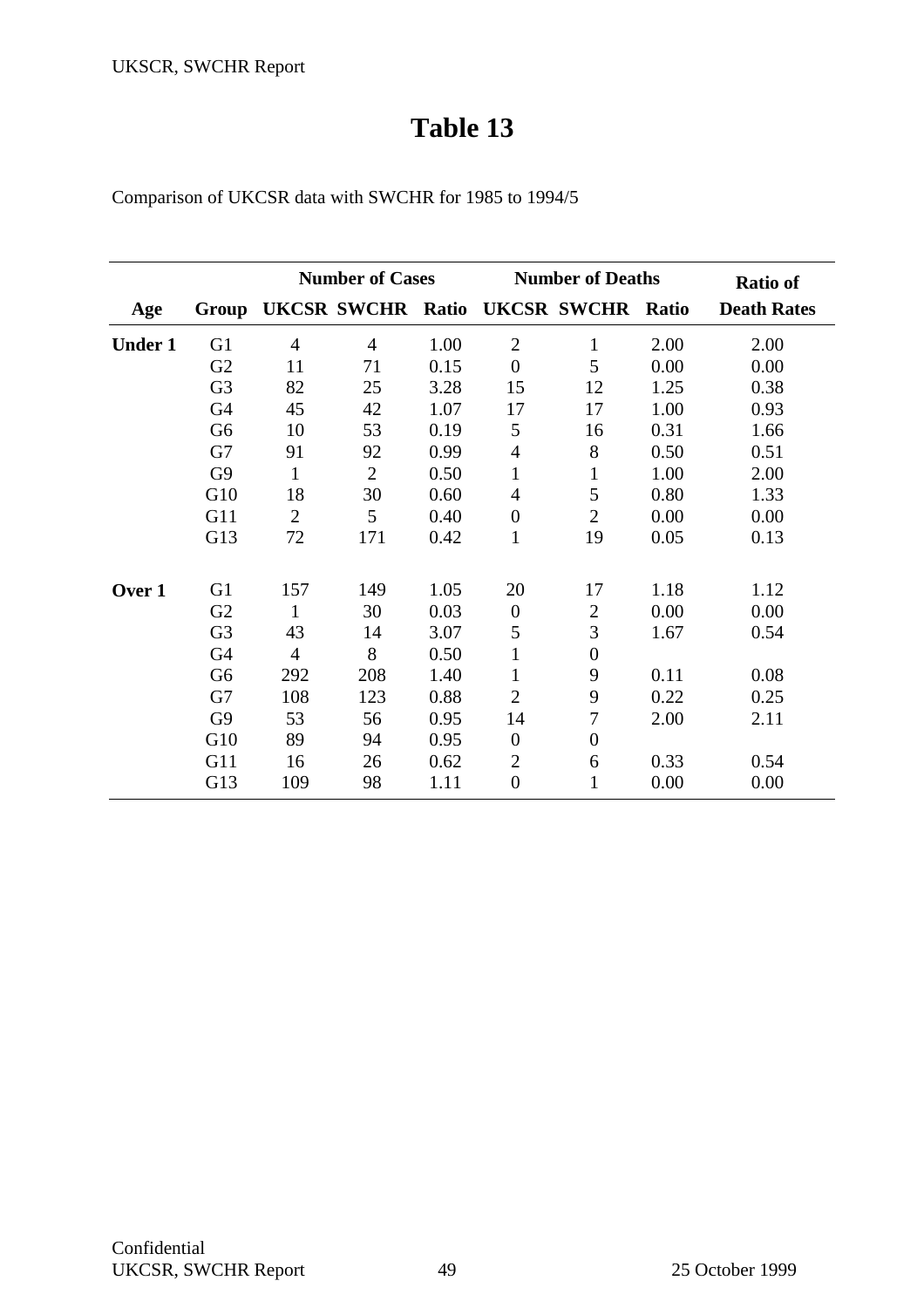| Comparison of UKCSR data with SWCHR for 1985 to 1994/5 |  |  |  |  |  |  |
|--------------------------------------------------------|--|--|--|--|--|--|
|--------------------------------------------------------|--|--|--|--|--|--|

|                |                |                | <b>Number of Cases</b>   |      |                  | <b>Number of Deaths</b> |       | <b>Ratio of</b>    |
|----------------|----------------|----------------|--------------------------|------|------------------|-------------------------|-------|--------------------|
| Age            | Group          |                | <b>UKCSR SWCHR Ratio</b> |      |                  | <b>UKCSR SWCHR</b>      | Ratio | <b>Death Rates</b> |
| <b>Under 1</b> | G <sub>1</sub> | $\overline{4}$ | $\overline{4}$           | 1.00 | $\overline{2}$   | $\mathbf{1}$            | 2.00  | 2.00               |
|                | G2             | 11             | 71                       | 0.15 | $\overline{0}$   | 5                       | 0.00  | 0.00               |
|                | G <sub>3</sub> | 82             | 25                       | 3.28 | 15               | 12                      | 1.25  | 0.38               |
|                | G <sub>4</sub> | 45             | 42                       | 1.07 | 17               | 17                      | 1.00  | 0.93               |
|                | G <sub>6</sub> | 10             | 53                       | 0.19 | 5                | 16                      | 0.31  | 1.66               |
|                | G7             | 91             | 92                       | 0.99 | $\overline{4}$   | 8                       | 0.50  | 0.51               |
|                | G <sub>9</sub> | $\mathbf{1}$   | $\overline{2}$           | 0.50 | $\mathbf{1}$     | 1                       | 1.00  | 2.00               |
|                | G10            | 18             | 30                       | 0.60 | $\overline{4}$   | 5                       | 0.80  | 1.33               |
|                | G11            | $\overline{2}$ | 5                        | 0.40 | $\boldsymbol{0}$ | $\overline{2}$          | 0.00  | 0.00               |
|                | G13            | 72             | 171                      | 0.42 | $\mathbf{1}$     | 19                      | 0.05  | 0.13               |
| Over 1         | G <sub>1</sub> | 157            | 149                      | 1.05 | 20               | 17                      | 1.18  | 1.12               |
|                | G2             | $\mathbf{1}$   | 30                       | 0.03 | $\theta$         | $\overline{2}$          | 0.00  | 0.00               |
|                | G <sub>3</sub> | 43             | 14                       | 3.07 | 5                | 3                       | 1.67  | 0.54               |
|                | G <sub>4</sub> | $\overline{4}$ | 8                        | 0.50 | $\mathbf{1}$     | $\boldsymbol{0}$        |       |                    |
|                | G <sub>6</sub> | 292            | 208                      | 1.40 |                  | 9                       | 0.11  | 0.08               |
|                | G7             | 108            | 123                      | 0.88 | $\overline{2}$   | 9                       | 0.22  | 0.25               |
|                | G <sub>9</sub> | 53             | 56                       | 0.95 | 14               | 7                       | 2.00  | 2.11               |
|                | G10            | 89             | 94                       | 0.95 | $\overline{0}$   | $\boldsymbol{0}$        |       |                    |
|                | G11            | 16             | 26                       | 0.62 | $\overline{2}$   | 6                       | 0.33  | 0.54               |
|                | G13            | 109            | 98                       | 1.11 | $\overline{0}$   | 1                       | 0.00  | 0.00               |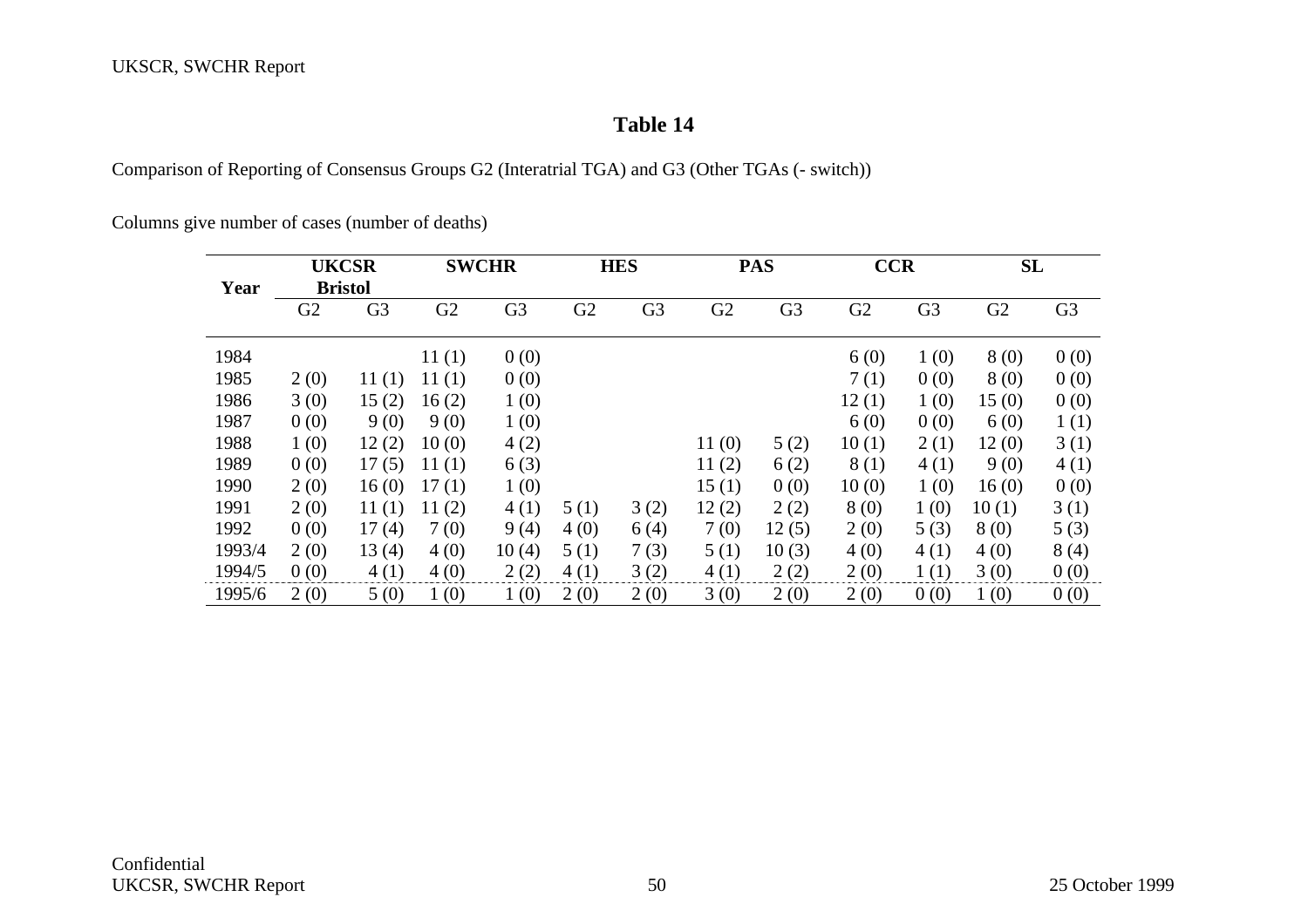Comparison of Reporting of Consensus Groups G2 (Interatrial TGA) and G3 (Other TGAs (- switch))

Columns give number of cases (number of deaths)

|        |                | <b>UKCSR</b>   |       | <b>SWCHR</b>   |      | <b>HES</b>     |       | <b>PAS</b>     | <b>CCR</b> |                | SL             |                |
|--------|----------------|----------------|-------|----------------|------|----------------|-------|----------------|------------|----------------|----------------|----------------|
| Year   |                | <b>Bristol</b> |       |                |      |                |       |                |            |                |                |                |
|        | G <sub>2</sub> | G <sub>3</sub> | G2    | G <sub>3</sub> | G2   | G <sub>3</sub> | G2    | G <sub>3</sub> | G2         | G <sub>3</sub> | G <sub>2</sub> | G <sub>3</sub> |
| 1984   |                |                | 11(1) | 0(0)           |      |                |       |                | 6(0)       | 1(0)           | 8(0)           | 0(0)           |
| 1985   | 2(0)           | 11(1)          | 11(1) | 0(0)           |      |                |       |                | 7(1)       | 0(0)           | 8(0)           | 0(0)           |
| 1986   | 3(0)           | 15(2)          | 16(2) | 1(0)           |      |                |       |                | 12(1)      | 1(0)           | 15(0)          | 0(0)           |
| 1987   | 0(0)           | 9(0)           | 9(0)  | 1(0)           |      |                |       |                | 6(0)       | 0(0)           | 6(0)           | 1(1)           |
| 1988   | 1(0)           | 12(2)          | 10(0) | 4(2)           |      |                | 11(0) | 5(2)           | 10(1)      | 2(1)           | 12(0)          | 3(1)           |
| 1989   | 0(0)           | 17(5)          | 11(1) | 6(3)           |      |                | 11(2) | 6(2)           | 8(1)       | 4(1)           | 9(0)           | 4(1)           |
| 1990   | 2(0)           | 16(0)          | 17(1) | 1(0)           |      |                | 15(1) | 0(0)           | 10(0)      | 1(0)           | 16(0)          | 0(0)           |
| 1991   | 2(0)           | 11(1)          | 11(2) | 4(1)           | 5(1) | 3(2)           | 12(2) | 2(2)           | 8(0)       | 1(0)           | 10(1)          | 3(1)           |
| 1992   | 0(0)           | 17(4)          | 7(0)  | 9(4)           | 4(0) | 6(4)           | 7(0)  | 12(5)          | 2(0)       | 5(3)           | 8(0)           | 5(3)           |
| 1993/4 | 2(0)           | 13(4)          | 4(0)  | 10(4)          | 5(1) | 7(3)           | 5(1)  | 10(3)          | 4(0)       | 4(1)           | 4(0)           | 8(4)           |
| 1994/5 | 0(0)           | 4(1)           | 4(0)  | 2(2)           | 4(1) | 3(2)           | 4(1)  | 2(2)           | 2(0)       | 1(1)           | 3(0)           | 0(0)           |
| 1995/6 | 2(0)           | 5(0)           | 1(0)  | 1(0)           | 2(0) | 2(0)           | 3(0)  | 2(0)           | 2(0)       | 0(0)           | 1(0)           | 0(0)           |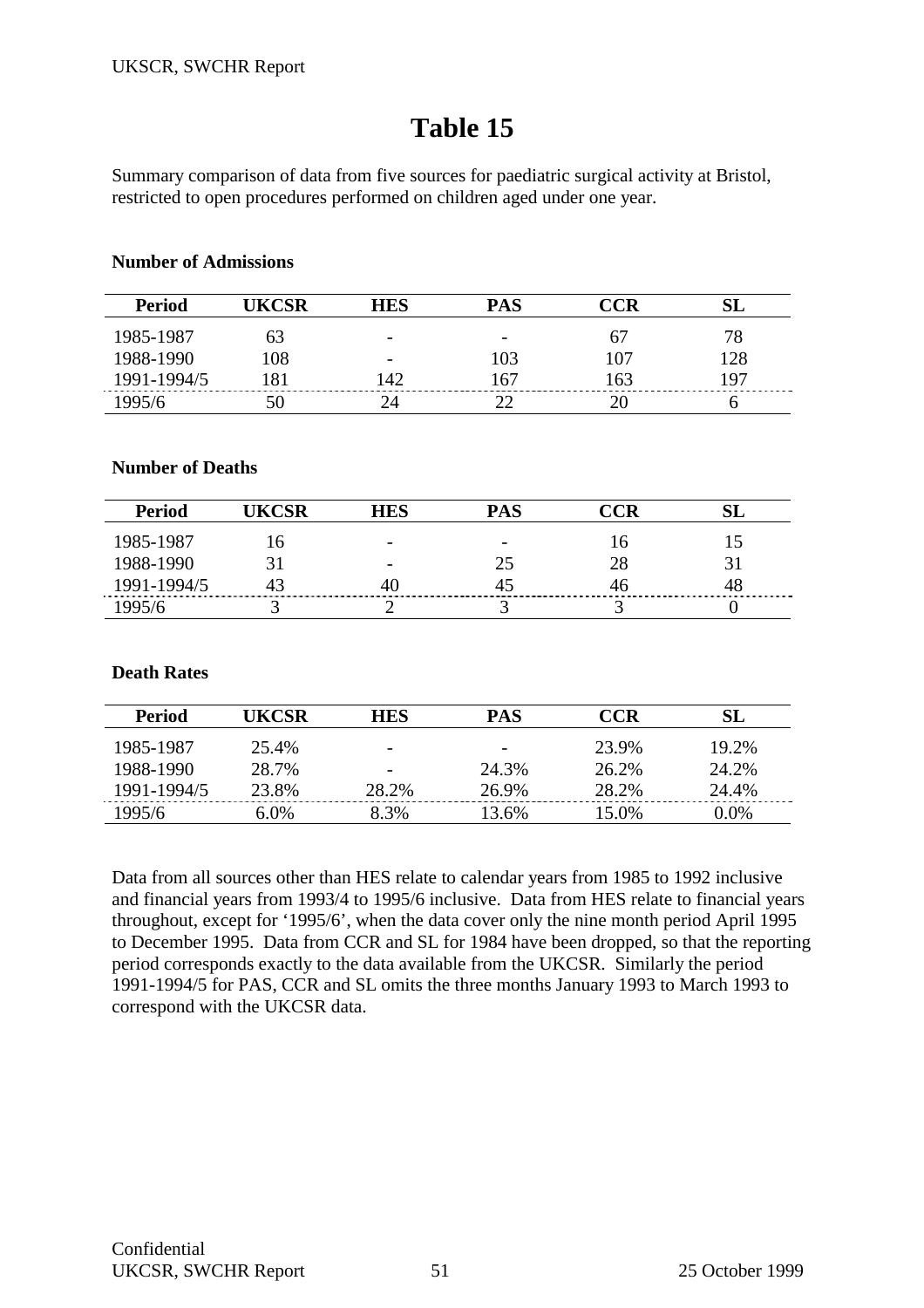Summary comparison of data from five sources for paediatric surgical activity at Bristol, restricted to open procedures performed on children aged under one year.

#### **Number of Admissions**

| <b>Period</b> |     | HES                      | PAS                      |     |     |
|---------------|-----|--------------------------|--------------------------|-----|-----|
| 1985-1987     |     | $\overline{\phantom{0}}$ | $\overline{\phantom{0}}$ |     | 78. |
| 1988-1990     | .08 |                          | 03                       | 107 | 28  |
| 1991-1994/5   |     | $\Delta'$                | 67،                      | 163 | 197 |
|               |     |                          |                          |     |     |

## **Number of Deaths**

| <b>Period</b> | UKCSR | HES                      | PAS                      | CCR |    |
|---------------|-------|--------------------------|--------------------------|-----|----|
| 1985-1987     |       | $\overline{\phantom{0}}$ | $\overline{\phantom{0}}$ | 10  |    |
| 1988-1990     |       |                          | 25                       | 28  | 31 |
| 1991-1994/5   | 43    |                          | 45                       | 46  | 48 |
| 1995/6        |       |                          |                          |     |    |

## **Death Rates**

| Period      | UKCSR | <b>HES</b>               | PAS                      | <b>CCR</b> | SL    |
|-------------|-------|--------------------------|--------------------------|------------|-------|
| 1985-1987   | 25.4% |                          | $\overline{\phantom{0}}$ | 23.9%      | 19.2% |
| 1988-1990   | 28.7% | $\overline{\phantom{0}}$ | 24.3%                    | 26.2%      | 24.2% |
| 1991-1994/5 | 23.8% | 28.2%                    | 26.9%                    | 28.2%      | 24.4% |
| 1995/6      | 6.0%  | 8.3%                     | 13.6%                    | 15.0%      | 0.0%  |

Data from all sources other than HES relate to calendar years from 1985 to 1992 inclusive and financial years from 1993/4 to 1995/6 inclusive. Data from HES relate to financial years throughout, except for '1995/6', when the data cover only the nine month period April 1995 to December 1995. Data from CCR and SL for 1984 have been dropped, so that the reporting period corresponds exactly to the data available from the UKCSR. Similarly the period 1991-1994/5 for PAS, CCR and SL omits the three months January 1993 to March 1993 to correspond with the UKCSR data.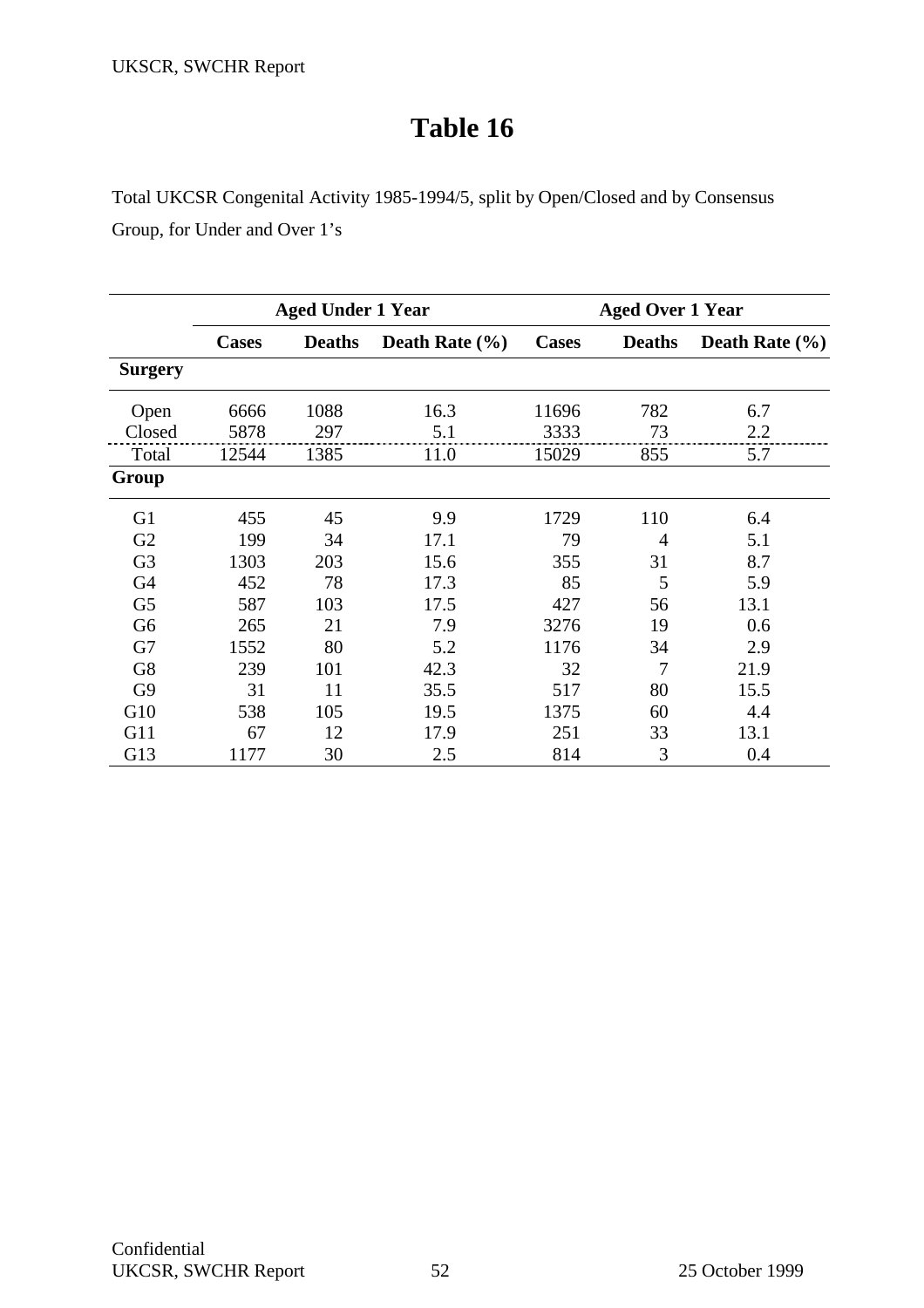Total UKCSR Congenital Activity 1985-1994/5, split by Open/Closed and by Consensus Group, for Under and Over 1's

|                |              | <b>Aged Under 1 Year</b> |                    |              | <b>Aged Over 1 Year</b> |                    |
|----------------|--------------|--------------------------|--------------------|--------------|-------------------------|--------------------|
|                | <b>Cases</b> | <b>Deaths</b>            | Death Rate $(\% )$ | <b>Cases</b> | <b>Deaths</b>           | Death Rate $(\% )$ |
| <b>Surgery</b> |              |                          |                    |              |                         |                    |
| Open           | 6666         | 1088                     | 16.3               | 11696        | 782                     | 6.7                |
| Closed         | 5878         | 297                      | 5.1                | 3333         | 73                      | 2.2                |
| Total          | 12544        | 1385                     | 11.0               | 15029        | 855                     | 5.7                |
| Group          |              |                          |                    |              |                         |                    |
| G <sub>1</sub> | 455          | 45                       | 9.9                | 1729         | 110                     | 6.4                |
| G <sub>2</sub> | 199          | 34                       | 17.1               | 79           | 4                       | 5.1                |
| G <sub>3</sub> | 1303         | 203                      | 15.6               | 355          | 31                      | 8.7                |
| G <sub>4</sub> | 452          | 78                       | 17.3               | 85           | 5                       | 5.9                |
| G <sub>5</sub> | 587          | 103                      | 17.5               | 427          | 56                      | 13.1               |
| G <sub>6</sub> | 265          | 21                       | 7.9                | 3276         | 19                      | 0.6                |
| G7             | 1552         | 80                       | 5.2                | 1176         | 34                      | 2.9                |
| G8             | 239          | 101                      | 42.3               | 32           | 7                       | 21.9               |
| G <sub>9</sub> | 31           | 11                       | 35.5               | 517          | 80                      | 15.5               |
| G10            | 538          | 105                      | 19.5               | 1375         | 60                      | 4.4                |
| G11            | 67           | 12                       | 17.9               | 251          | 33                      | 13.1               |
| G13            | 1177         | 30                       | 2.5                | 814          | 3                       | 0.4                |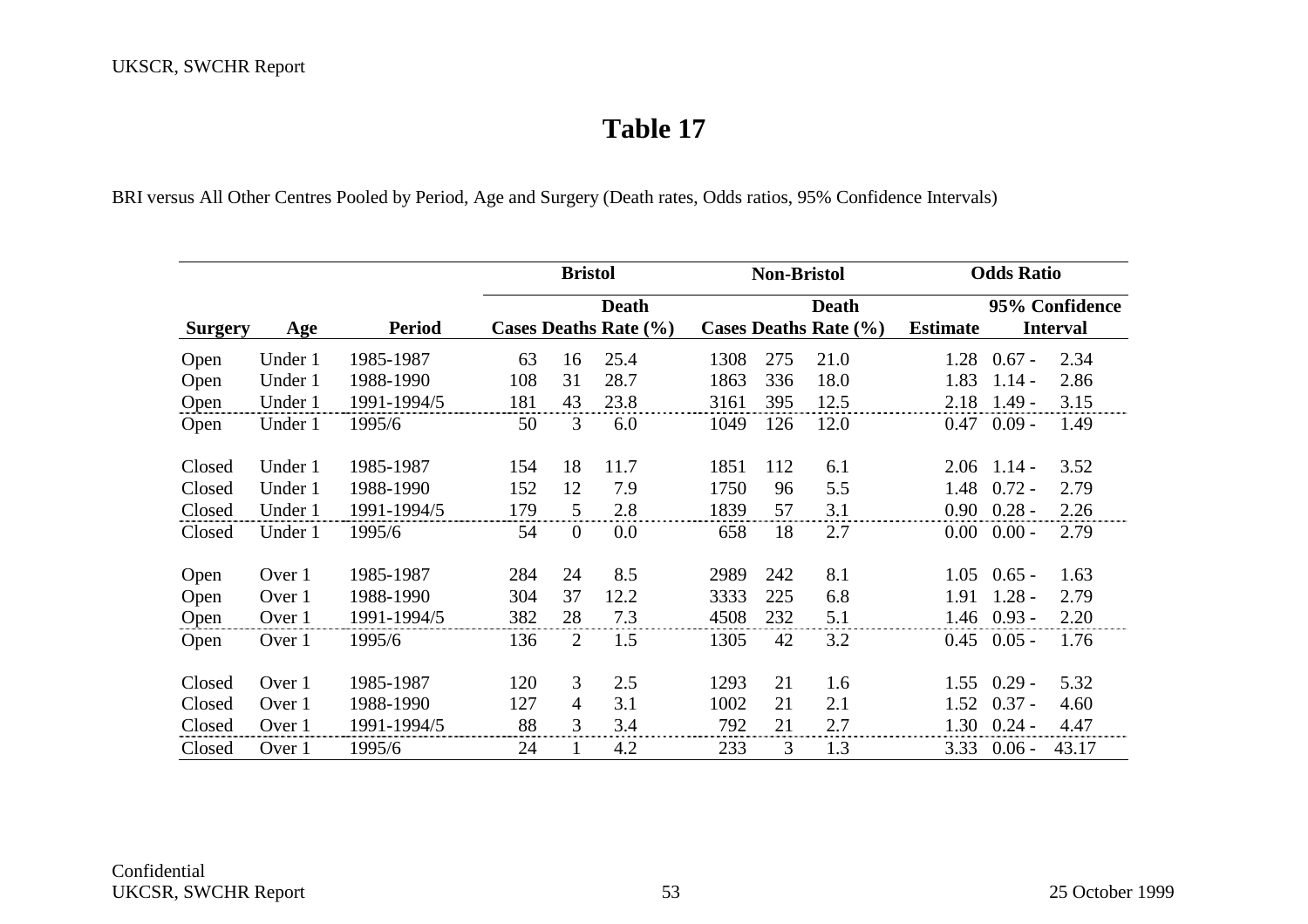BRI versus All Other Centres Pooled by Period, Age and Surgery (Death rates, Odds ratios, 95% Confidence Intervals)

|                |         |               |     | <b>Bristol</b> |                                       |      | <b>Non-Bristol</b> |                                           |                 | <b>Odds Ratio</b> |                                   |  |  |
|----------------|---------|---------------|-----|----------------|---------------------------------------|------|--------------------|-------------------------------------------|-----------------|-------------------|-----------------------------------|--|--|
| <b>Surgery</b> | Age     | <b>Period</b> |     |                | <b>Death</b><br>Cases Deaths Rate (%) |      |                    | <b>Death</b><br>Cases Deaths Rate $(\% )$ | <b>Estimate</b> |                   | 95% Confidence<br><b>Interval</b> |  |  |
| Open           | Under 1 | 1985-1987     | 63  | 16             | 25.4                                  | 1308 | 275                | 21.0                                      | 1.28            | $0.67 -$          | 2.34                              |  |  |
| Open           | Under 1 | 1988-1990     | 108 | 31             | 28.7                                  | 1863 | 336                | 18.0                                      | 1.83            | $1.14 -$          | 2.86                              |  |  |
| Open           | Under 1 | 1991-1994/5   | 181 | 43             | 23.8                                  | 3161 | 395                | 12.5                                      | 2.18            | $1.49 -$          | 3.15                              |  |  |
| Open           | Under 1 | 1995/6        | 50  | 3              | 6.0                                   | 1049 | 126                | 12.0                                      | 0.47            | $0.09 -$          | 1.49                              |  |  |
| Closed         | Under 1 | 1985-1987     | 154 | 18             | 11.7                                  | 1851 | 112                | 6.1                                       | 2.06            | $1.14 -$          | 3.52                              |  |  |
| Closed         | Under 1 | 1988-1990     | 152 | 12             | 7.9                                   | 1750 | 96                 | 5.5                                       | 1.48            | $0.72 -$          | 2.79                              |  |  |
| Closed         | Under 1 | 1991-1994/5   | 179 | 5              | 2.8                                   | 1839 | 57                 | 3.1                                       | 0.90            | $0.28 -$          | 2.26                              |  |  |
| Closed         | Under 1 | 1995/6        | 54  | $\mathbf{0}$   | 0.0                                   | 658  | 18                 | 2.7                                       | $0.00\,$        | $0.00 -$          | 2.79                              |  |  |
| Open           | Over 1  | 1985-1987     | 284 | 24             | 8.5                                   | 2989 | 242                | 8.1                                       | 1.05            | $0.65 -$          | 1.63                              |  |  |
| Open           | Over 1  | 1988-1990     | 304 | 37             | 12.2                                  | 3333 | 225                | 6.8                                       | 1.91            | $1.28 -$          | 2.79                              |  |  |
| Open           | Over 1  | 1991-1994/5   | 382 | 28             | 7.3                                   | 4508 | 232                | 5.1                                       | 1.46            | $0.93 -$          | 2.20                              |  |  |
| Open           | Over 1  | 1995/6        | 136 | 2              | 1.5                                   | 1305 | 42                 | 3.2                                       | 0.45            | $0.05 -$          | 1.76                              |  |  |
| Closed         | Over 1  | 1985-1987     | 120 | 3              | 2.5                                   | 1293 | 21                 | 1.6                                       | 1.55            | $0.29 -$          | 5.32                              |  |  |
| Closed         | Over 1  | 1988-1990     | 127 | 4              | 3.1                                   | 1002 | 21                 | 2.1                                       | 1.52            | $0.37 -$          | 4.60                              |  |  |
| Closed         | Over 1  | 1991-1994/5   | 88  | 3              | 3.4                                   | 792  | 21                 | 2.7                                       | 1.30            | $0.24 -$          | 4.47                              |  |  |
| Closed         | Over 1  | 1995/6        | 24  |                | 4.2                                   | 233  | 3                  | 1.3                                       | 3.33            | $0.06 -$          | 43.17                             |  |  |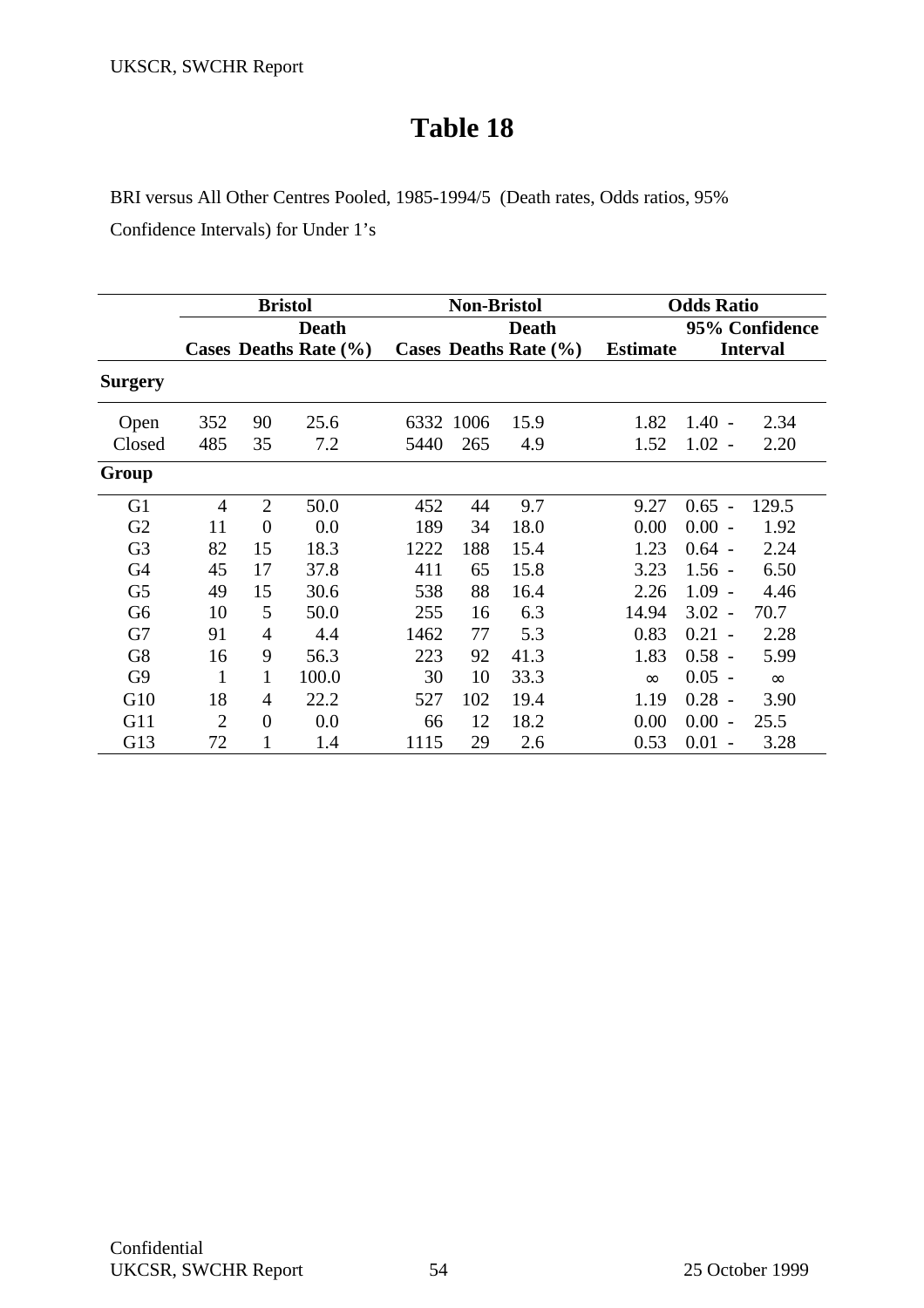BRI versus All Other Centres Pooled, 1985-1994/5 (Death rates, Odds ratios, 95%

Confidence Intervals) for Under 1's

|                |     |                | <b>Bristol</b>            |      | <b>Non-Bristol</b> |                           |                 | <b>Odds Ratio</b>                |                 |  |  |
|----------------|-----|----------------|---------------------------|------|--------------------|---------------------------|-----------------|----------------------------------|-----------------|--|--|
|                |     |                | <b>Death</b>              |      |                    | <b>Death</b>              |                 | 95% Confidence                   |                 |  |  |
|                |     |                | Cases Deaths Rate $(\% )$ |      |                    | Cases Deaths Rate $(\% )$ | <b>Estimate</b> |                                  | <b>Interval</b> |  |  |
| <b>Surgery</b> |     |                |                           |      |                    |                           |                 |                                  |                 |  |  |
| Open           | 352 | 90             | 25.6                      | 6332 | 1006               | 15.9                      | 1.82            | $1.40 -$                         | 2.34            |  |  |
| Closed         | 485 | 35             | 7.2                       | 5440 | 265                | 4.9                       | 1.52            | $1.02 -$                         | 2.20            |  |  |
| Group          |     |                |                           |      |                    |                           |                 |                                  |                 |  |  |
| G <sub>1</sub> | 4   | $\overline{2}$ | 50.0                      | 452  | 44                 | 9.7                       | 9.27            | $0.65 -$                         | 129.5           |  |  |
| G2             | 11  | $\overline{0}$ | 0.0                       | 189  | 34                 | 18.0                      | 0.00            | $0.00 -$                         | 1.92            |  |  |
| G <sub>3</sub> | 82  | 15             | 18.3                      | 1222 | 188                | 15.4                      | 1.23            | $0.64 -$                         | 2.24            |  |  |
| G <sub>4</sub> | 45  | 17             | 37.8                      | 411  | 65                 | 15.8                      | 3.23            | $1.56 -$                         | 6.50            |  |  |
| G <sub>5</sub> | 49  | 15             | 30.6                      | 538  | 88                 | 16.4                      | 2.26            | $1.09 -$                         | 4.46            |  |  |
| G <sub>6</sub> | 10  | 5              | 50.0                      | 255  | 16                 | 6.3                       | 14.94           | $3.02 -$                         | 70.7            |  |  |
| G7             | 91  | $\overline{4}$ | 4.4                       | 1462 | 77                 | 5.3                       | 0.83            | $0.21 -$                         | 2.28            |  |  |
| G8             | 16  | 9              | 56.3                      | 223  | 92                 | 41.3                      | 1.83            | $0.58 -$                         | 5.99            |  |  |
| G <sub>9</sub> | 1   | 1              | 100.0                     | 30   | 10                 | 33.3                      | $\infty$        | $0.05 -$                         | $\infty$        |  |  |
| G10            | 18  | 4              | 22.2                      | 527  | 102                | 19.4                      | 1.19            | $0.28 -$                         | 3.90            |  |  |
| G11            | 2   | $\theta$       | 0.0                       | 66   | 12                 | 18.2                      | 0.00            | 0.00<br>$\overline{\phantom{0}}$ | 25.5            |  |  |
| G13            | 72  | 1              | 1.4                       | 1115 | 29                 | 2.6                       | 0.53            | $0.01 -$                         | 3.28            |  |  |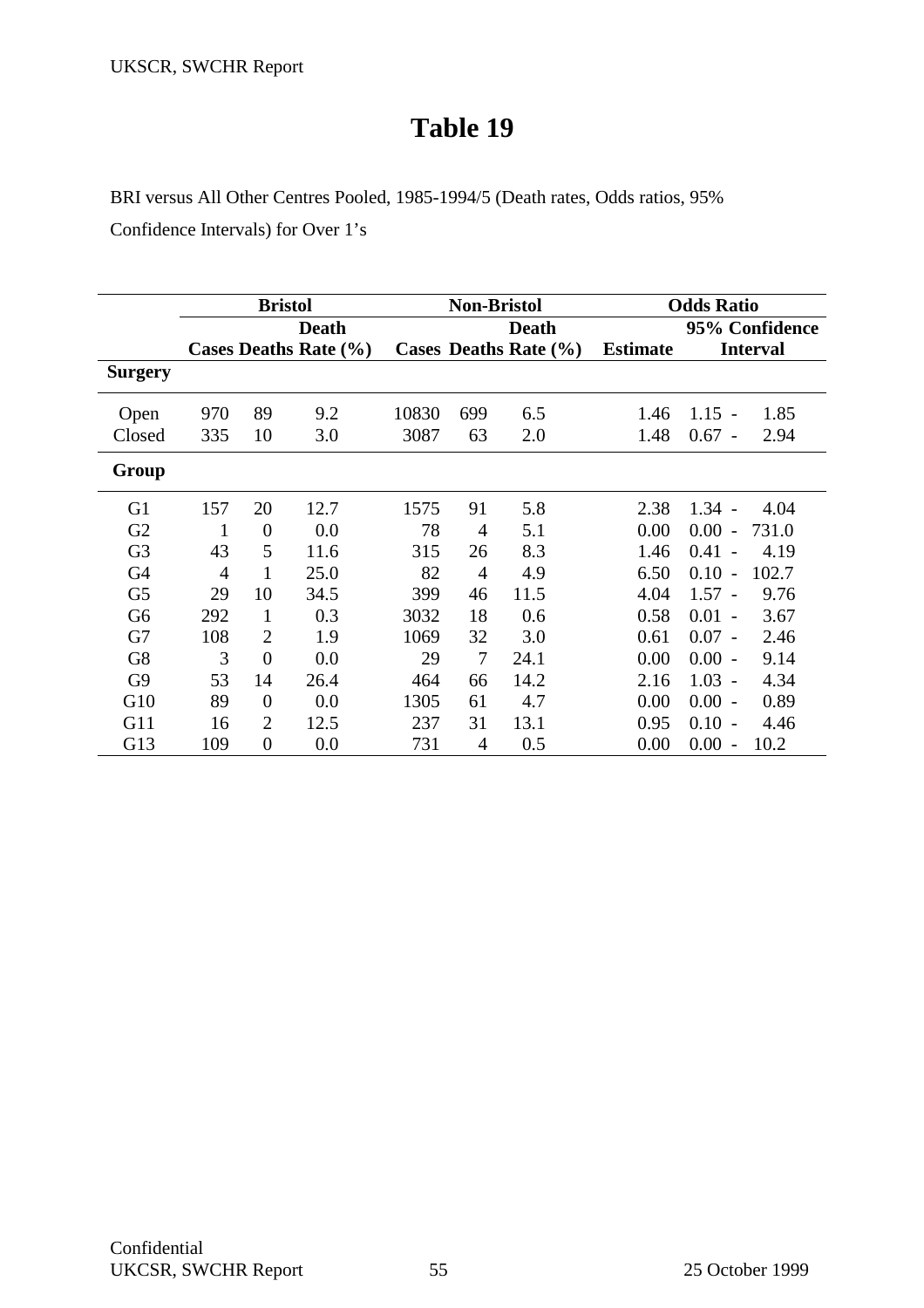BRI versus All Other Centres Pooled, 1985-1994/5 (Death rates, Odds ratios, 95%

Confidence Intervals) for Over 1's

|                | <b>Bristol</b> |                |                       | <b>Non-Bristol</b> |                |                       | <b>Odds Ratio</b> |                                          |
|----------------|----------------|----------------|-----------------------|--------------------|----------------|-----------------------|-------------------|------------------------------------------|
|                | <b>Death</b>   |                |                       | <b>Death</b>       |                |                       | 95% Confidence    |                                          |
|                |                |                | Cases Deaths Rate (%) |                    |                | Cases Deaths Rate (%) | <b>Estimate</b>   | <b>Interval</b>                          |
| <b>Surgery</b> |                |                |                       |                    |                |                       |                   |                                          |
| Open           | 970            | 89             | 9.2                   | 10830              | 699            | 6.5                   | 1.46              | $1.15 -$<br>1.85                         |
| Closed         | 335            | 10             | 3.0                   | 3087               | 63             | 2.0                   | 1.48              | $0.67 -$<br>2.94                         |
| Group          |                |                |                       |                    |                |                       |                   |                                          |
| G <sub>1</sub> | 157            | 20             | 12.7                  | 1575               | 91             | 5.8                   | 2.38              | $1.34 -$<br>4.04                         |
| G2             | 1              | $\theta$       | 0.0                   | 78                 | 4              | 5.1                   | 0.00              | 0.00<br>731.0<br>$\overline{a}$          |
| G <sub>3</sub> | 43             | 5              | 11.6                  | 315                | 26             | 8.3                   | 1.46              | 0.41<br>4.19<br>$\overline{\phantom{a}}$ |
| G <sub>4</sub> | $\overline{4}$ |                | 25.0                  | 82                 | $\overline{4}$ | 4.9                   | 6.50              | 0.10<br>102.7<br>$\blacksquare$          |
| G <sub>5</sub> | 29             | 10             | 34.5                  | 399                | 46             | 11.5                  | 4.04              | $1.57 -$<br>9.76                         |
| G <sub>6</sub> | 292            | 1              | 0.3                   | 3032               | 18             | 0.6                   | 0.58              | 0.01<br>3.67<br>$\sim$                   |
| G7             | 108            | $\overline{2}$ | 1.9                   | 1069               | 32             | 3.0                   | 0.61              | 2.46<br>$0.07 -$                         |
| G8             | 3              | $\theta$       | 0.0                   | 29                 | $\overline{7}$ | 24.1                  | 0.00              | 9.14<br>0.00<br>$\overline{\phantom{0}}$ |
| G <sub>9</sub> | 53             | 14             | 26.4                  | 464                | 66             | 14.2                  | 2.16              | 1.03<br>4.34<br>$\overline{\phantom{a}}$ |
| G10            | 89             | $\theta$       | 0.0                   | 1305               | 61             | 4.7                   | 0.00              | $0.00 -$<br>0.89                         |
| G11            | 16             | $\overline{2}$ | 12.5                  | 237                | 31             | 13.1                  | 0.95              | 0.10<br>4.46<br>$\overline{\phantom{a}}$ |
| G13            | 109            | $\overline{0}$ | 0.0                   | 731                | $\overline{4}$ | 0.5                   | 0.00              | 10.2<br>0.00<br>$\overline{\phantom{a}}$ |